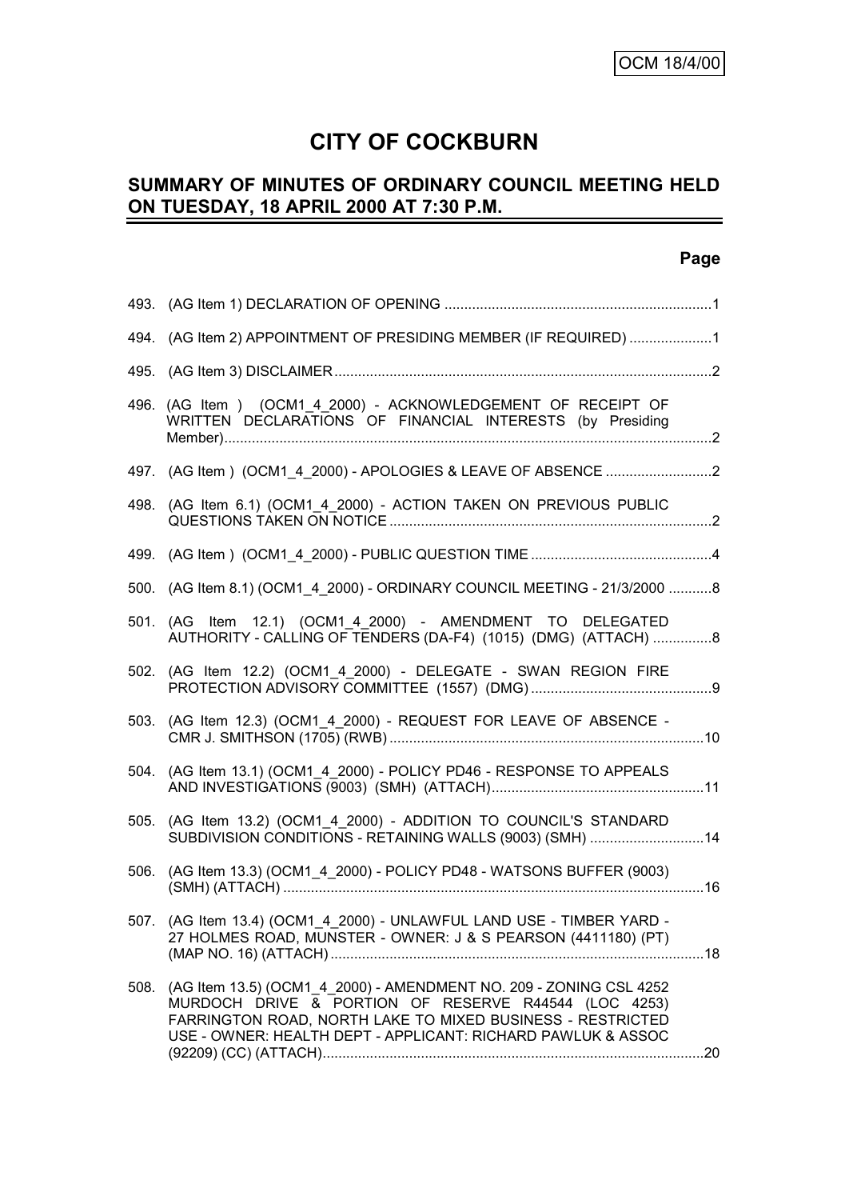# **CITY OF COCKBURN**

#### **SUMMARY OF MINUTES OF ORDINARY COUNCIL MEETING HELD ON TUESDAY, 18 APRIL 2000 AT 7:30 P.M.**  $\overline{\phantom{0}}$

# **Page**

| 494. (AG Item 2) APPOINTMENT OF PRESIDING MEMBER (IF REQUIRED) 1<br>496. (AG Item ) (OCM1_4_2000) - ACKNOWLEDGEMENT OF RECEIPT OF<br>WRITTEN DECLARATIONS OF FINANCIAL INTERESTS (by Presiding<br>498. (AG Item 6.1) (OCM1_4_2000) - ACTION TAKEN ON PREVIOUS PUBLIC<br>500. (AG Item 8.1) (OCM1 4 2000) - ORDINARY COUNCIL MEETING - 21/3/2000 8<br>501. (AG Item 12.1) (OCM1 4 2000) - AMENDMENT TO DELEGATED<br>502. (AG Item 12.2) (OCM1 4 2000) - DELEGATE - SWAN REGION FIRE<br>503. (AG Item 12.3) (OCM1_4_2000) - REQUEST FOR LEAVE OF ABSENCE -<br>504. (AG Item 13.1) (OCM1 4 2000) - POLICY PD46 - RESPONSE TO APPEALS<br>(AG Item 13.2) (OCM1 4 2000) - ADDITION TO COUNCIL'S STANDARD<br>505.<br>(AG Item 13.3) (OCM1_4_2000) - POLICY PD48 - WATSONS BUFFER (9003)<br>506.<br>507. (AG Item 13.4) (OCM1_4_2000) - UNLAWFUL LAND USE - TIMBER YARD -<br>27 HOLMES ROAD, MUNSTER - OWNER: J & S PEARSON (4411180) (PT)<br>508. (AG Item 13.5) (OCM1_4_2000) - AMENDMENT NO. 209 - ZONING CSL 4252<br>MURDOCH DRIVE & PORTION OF RESERVE R44544 (LOC 4253)<br>FARRINGTON ROAD, NORTH LAKE TO MIXED BUSINESS - RESTRICTED<br>USE - OWNER: HEALTH DEPT - APPLICANT: RICHARD PAWLUK & ASSOC |                                                                |
|-----------------------------------------------------------------------------------------------------------------------------------------------------------------------------------------------------------------------------------------------------------------------------------------------------------------------------------------------------------------------------------------------------------------------------------------------------------------------------------------------------------------------------------------------------------------------------------------------------------------------------------------------------------------------------------------------------------------------------------------------------------------------------------------------------------------------------------------------------------------------------------------------------------------------------------------------------------------------------------------------------------------------------------------------------------------------------------------------------------------------------------------------------------------------------------------------------|----------------------------------------------------------------|
|                                                                                                                                                                                                                                                                                                                                                                                                                                                                                                                                                                                                                                                                                                                                                                                                                                                                                                                                                                                                                                                                                                                                                                                                     |                                                                |
|                                                                                                                                                                                                                                                                                                                                                                                                                                                                                                                                                                                                                                                                                                                                                                                                                                                                                                                                                                                                                                                                                                                                                                                                     |                                                                |
|                                                                                                                                                                                                                                                                                                                                                                                                                                                                                                                                                                                                                                                                                                                                                                                                                                                                                                                                                                                                                                                                                                                                                                                                     |                                                                |
|                                                                                                                                                                                                                                                                                                                                                                                                                                                                                                                                                                                                                                                                                                                                                                                                                                                                                                                                                                                                                                                                                                                                                                                                     |                                                                |
|                                                                                                                                                                                                                                                                                                                                                                                                                                                                                                                                                                                                                                                                                                                                                                                                                                                                                                                                                                                                                                                                                                                                                                                                     |                                                                |
|                                                                                                                                                                                                                                                                                                                                                                                                                                                                                                                                                                                                                                                                                                                                                                                                                                                                                                                                                                                                                                                                                                                                                                                                     |                                                                |
|                                                                                                                                                                                                                                                                                                                                                                                                                                                                                                                                                                                                                                                                                                                                                                                                                                                                                                                                                                                                                                                                                                                                                                                                     |                                                                |
|                                                                                                                                                                                                                                                                                                                                                                                                                                                                                                                                                                                                                                                                                                                                                                                                                                                                                                                                                                                                                                                                                                                                                                                                     | AUTHORITY - CALLING OF TENDERS (DA-F4) (1015) (DMG) (ATTACH) 8 |
|                                                                                                                                                                                                                                                                                                                                                                                                                                                                                                                                                                                                                                                                                                                                                                                                                                                                                                                                                                                                                                                                                                                                                                                                     |                                                                |
|                                                                                                                                                                                                                                                                                                                                                                                                                                                                                                                                                                                                                                                                                                                                                                                                                                                                                                                                                                                                                                                                                                                                                                                                     |                                                                |
|                                                                                                                                                                                                                                                                                                                                                                                                                                                                                                                                                                                                                                                                                                                                                                                                                                                                                                                                                                                                                                                                                                                                                                                                     |                                                                |
|                                                                                                                                                                                                                                                                                                                                                                                                                                                                                                                                                                                                                                                                                                                                                                                                                                                                                                                                                                                                                                                                                                                                                                                                     | SUBDIVISION CONDITIONS - RETAINING WALLS (9003) (SMH) 14       |
|                                                                                                                                                                                                                                                                                                                                                                                                                                                                                                                                                                                                                                                                                                                                                                                                                                                                                                                                                                                                                                                                                                                                                                                                     |                                                                |
|                                                                                                                                                                                                                                                                                                                                                                                                                                                                                                                                                                                                                                                                                                                                                                                                                                                                                                                                                                                                                                                                                                                                                                                                     |                                                                |
|                                                                                                                                                                                                                                                                                                                                                                                                                                                                                                                                                                                                                                                                                                                                                                                                                                                                                                                                                                                                                                                                                                                                                                                                     |                                                                |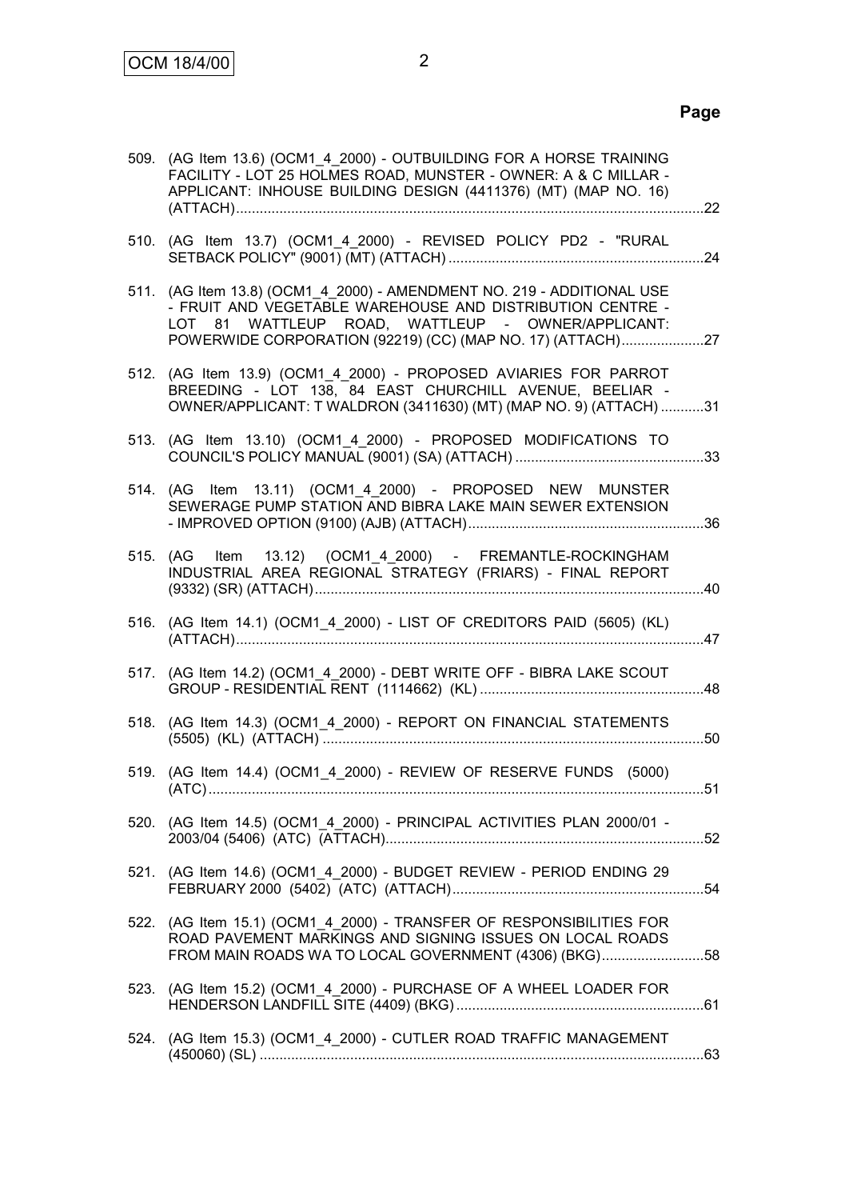|      | 509. (AG Item 13.6) (OCM1 4 2000) - OUTBUILDING FOR A HORSE TRAINING<br>FACILITY - LOT 25 HOLMES ROAD, MUNSTER - OWNER: A & C MILLAR -<br>APPLICANT: INHOUSE BUILDING DESIGN (4411376) (MT) (MAP NO. 16)                                               |
|------|--------------------------------------------------------------------------------------------------------------------------------------------------------------------------------------------------------------------------------------------------------|
|      | 510. (AG Item 13.7) (OCM1 4 2000) - REVISED POLICY PD2 - "RURAL                                                                                                                                                                                        |
|      | 511. (AG Item 13.8) (OCM1 4 2000) - AMENDMENT NO. 219 - ADDITIONAL USE<br>- FRUIT AND VEGETABLE WAREHOUSE AND DISTRIBUTION CENTRE -<br>LOT 81 WATTLEUP ROAD, WATTLEUP - OWNER/APPLICANT:<br>POWERWIDE CORPORATION (92219) (CC) (MAP NO. 17) (ATTACH)27 |
|      | 512. (AG Item 13.9) (OCM1 4 2000) - PROPOSED AVIARIES FOR PARROT<br>BREEDING - LOT 138, 84 EAST CHURCHILL AVENUE, BEELIAR -<br>OWNER/APPLICANT: T WALDRON (3411630) (MT) (MAP NO. 9) (ATTACH) 31                                                       |
|      | 513. (AG Item 13.10) (OCM1 4 2000) - PROPOSED MODIFICATIONS TO                                                                                                                                                                                         |
|      | 514. (AG Item 13.11) (OCM1 4 2000) - PROPOSED NEW MUNSTER<br>SEWERAGE PUMP STATION AND BIBRA LAKE MAIN SEWER EXTENSION                                                                                                                                 |
|      | 515. (AG Item 13.12) (OCM1 4 2000) - FREMANTLE-ROCKINGHAM<br>INDUSTRIAL AREA REGIONAL STRATEGY (FRIARS) - FINAL REPORT                                                                                                                                 |
|      | 516. (AG Item 14.1) (OCM1_4_2000) - LIST OF CREDITORS PAID (5605) (KL)                                                                                                                                                                                 |
|      | 517. (AG Item 14.2) (OCM1_4_2000) - DEBT WRITE OFF - BIBRA LAKE SCOUT                                                                                                                                                                                  |
|      | 518. (AG Item 14.3) (OCM1_4_2000) - REPORT ON FINANCIAL STATEMENTS                                                                                                                                                                                     |
|      | 519. (AG Item 14.4) (OCM1_4_2000) - REVIEW OF RESERVE FUNDS (5000)                                                                                                                                                                                     |
|      | 520. (AG Item 14.5) (OCM1_4_2000) - PRINCIPAL ACTIVITIES PLAN 2000/01 -                                                                                                                                                                                |
|      | 521. (AG Item 14.6) (OCM1_4_2000) - BUDGET REVIEW - PERIOD ENDING 29                                                                                                                                                                                   |
|      | 522. (AG Item 15.1) (OCM1 4 2000) - TRANSFER OF RESPONSIBILITIES FOR<br>ROAD PAVEMENT MARKINGS AND SIGNING ISSUES ON LOCAL ROADS<br>FROM MAIN ROADS WA TO LOCAL GOVERNMENT (4306) (BKG)58                                                              |
|      | 523. (AG Item 15.2) (OCM1 4 2000) - PURCHASE OF A WHEEL LOADER FOR                                                                                                                                                                                     |
| 524. | (AG Item 15.3) (OCM1_4_2000) - CUTLER ROAD TRAFFIC MANAGEMENT                                                                                                                                                                                          |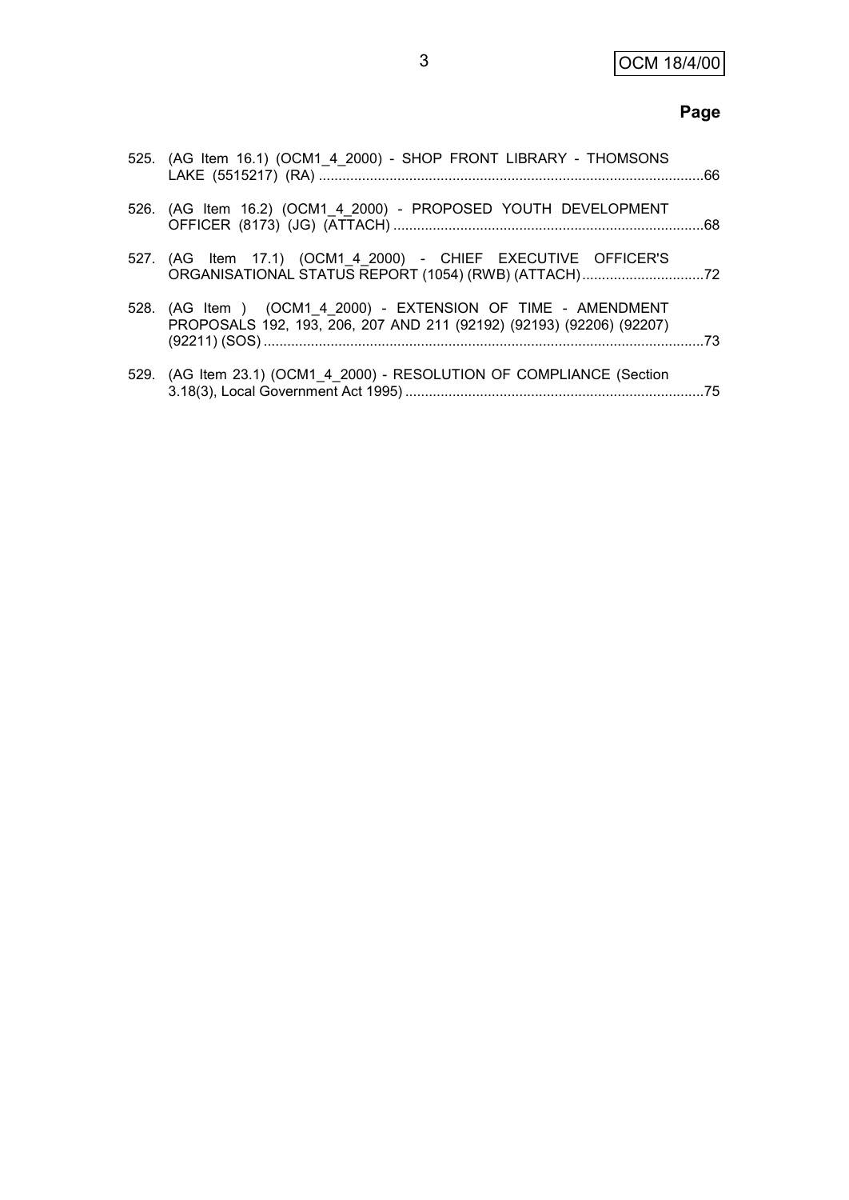# **Page**

| 525. (AG Item 16.1) (OCM1_4_2000) - SHOP FRONT LIBRARY - THOMSONS                                                                     |  |
|---------------------------------------------------------------------------------------------------------------------------------------|--|
| 526. (AG Item 16.2) (OCM1 4 2000) - PROPOSED YOUTH DEVELOPMENT                                                                        |  |
| 527. (AG Item 17.1) (OCM1 4 2000) - CHIEF EXECUTIVE OFFICER'S<br>ORGANISATIONAL STATUS REPORT (1054) (RWB) (ATTACH)72                 |  |
| 528. (AG Item ) (OCM1 4 2000) - EXTENSION OF TIME - AMENDMENT<br>PROPOSALS 192, 193, 206, 207 AND 211 (92192) (92193) (92206) (92207) |  |
| 529. (AG Item 23.1) (OCM1_4_2000) - RESOLUTION OF COMPLIANCE (Section                                                                 |  |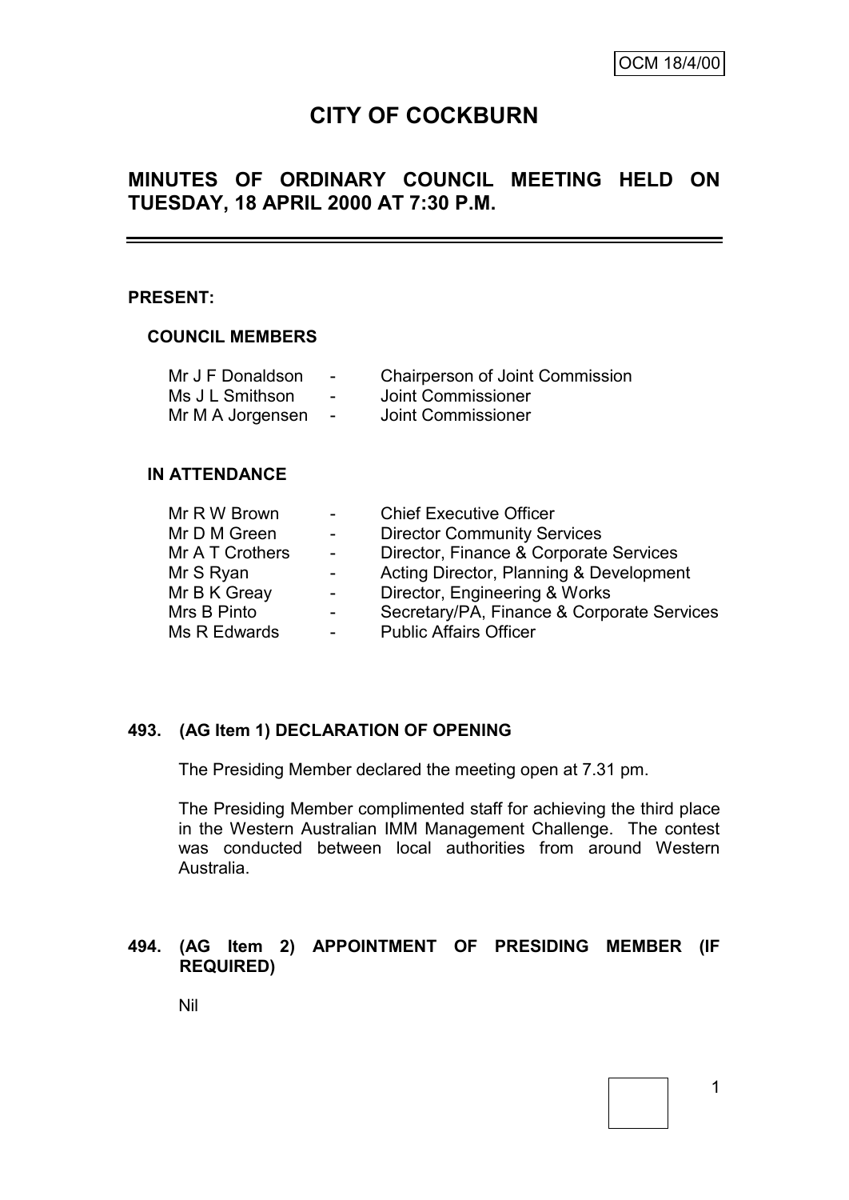# **CITY OF COCKBURN**

# **MINUTES OF ORDINARY COUNCIL MEETING HELD ON TUESDAY, 18 APRIL 2000 AT 7:30 P.M.**

#### **PRESENT:**

#### **COUNCIL MEMBERS**

| Mr J F Donaldson | $\overline{\phantom{0}}$ | <b>Chairperson of Joint Commission</b> |
|------------------|--------------------------|----------------------------------------|
| Ms J L Smithson  | $\overline{\phantom{a}}$ | Joint Commissioner                     |
| Mr M A Jorgensen | $\sim$                   | Joint Commissioner                     |

#### **IN ATTENDANCE**

| Mr R W Brown    | $\sim$ $-$     | <b>Chief Executive Officer</b>             |
|-----------------|----------------|--------------------------------------------|
| Mr D M Green    | $\sim 100$     | <b>Director Community Services</b>         |
| Mr A T Crothers | $\sim$         | Director, Finance & Corporate Services     |
| Mr S Ryan       | $\sim$         | Acting Director, Planning & Development    |
| Mr B K Greay    | $\sim$         | Director, Engineering & Works              |
| Mrs B Pinto     | $\blacksquare$ | Secretary/PA, Finance & Corporate Services |
| Ms R Edwards    | $\blacksquare$ | <b>Public Affairs Officer</b>              |
|                 |                |                                            |

#### **493. (AG Item 1) DECLARATION OF OPENING**

The Presiding Member declared the meeting open at 7.31 pm.

The Presiding Member complimented staff for achieving the third place in the Western Australian IMM Management Challenge. The contest was conducted between local authorities from around Western Australia.

# **494. (AG Item 2) APPOINTMENT OF PRESIDING MEMBER (IF REQUIRED)**

Nil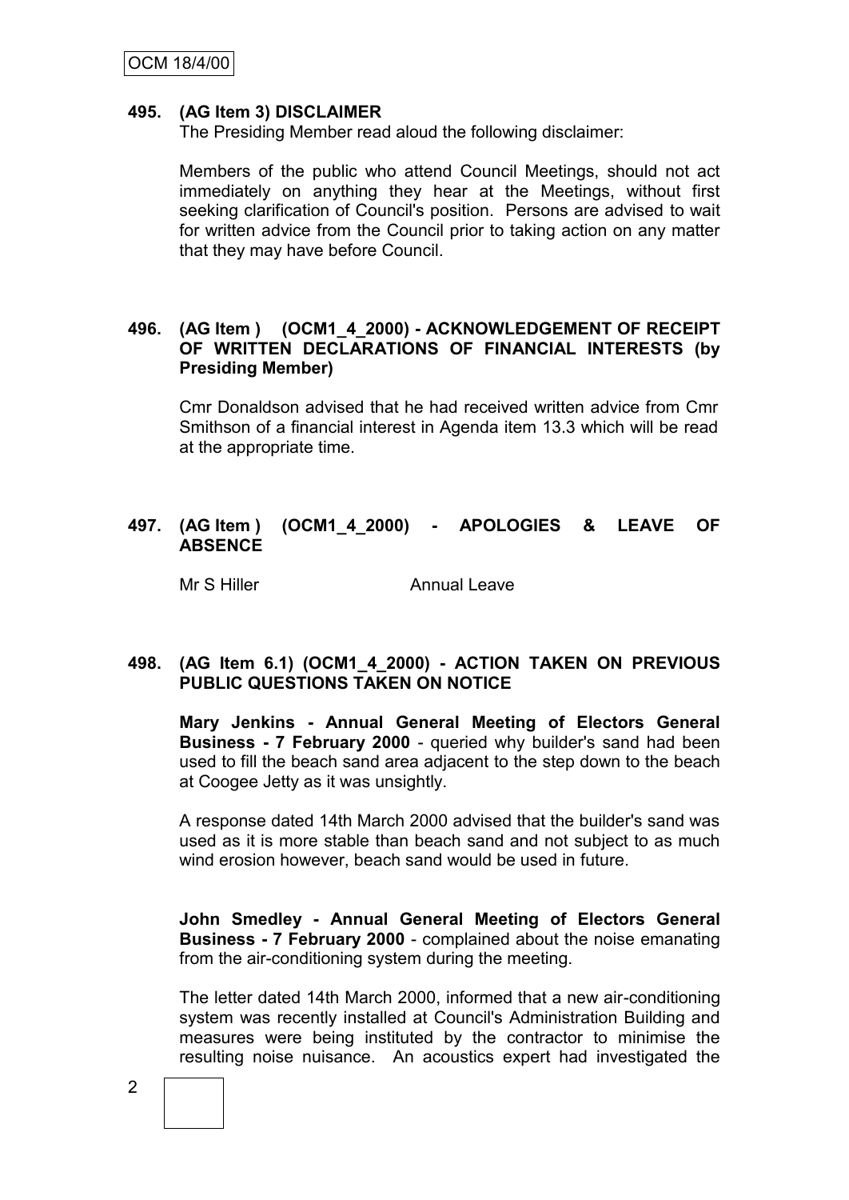#### **495. (AG Item 3) DISCLAIMER**

The Presiding Member read aloud the following disclaimer:

Members of the public who attend Council Meetings, should not act immediately on anything they hear at the Meetings, without first seeking clarification of Council's position. Persons are advised to wait for written advice from the Council prior to taking action on any matter that they may have before Council.

#### **496. (AG Item ) (OCM1\_4\_2000) - ACKNOWLEDGEMENT OF RECEIPT OF WRITTEN DECLARATIONS OF FINANCIAL INTERESTS (by Presiding Member)**

Cmr Donaldson advised that he had received written advice from Cmr Smithson of a financial interest in Agenda item 13.3 which will be read at the appropriate time.

#### **497. (AG Item ) (OCM1\_4\_2000) - APOLOGIES & LEAVE OF ABSENCE**

Mr S Hiller **Annual Leave** 

#### **498. (AG Item 6.1) (OCM1\_4\_2000) - ACTION TAKEN ON PREVIOUS PUBLIC QUESTIONS TAKEN ON NOTICE**

**Mary Jenkins - Annual General Meeting of Electors General Business - 7 February 2000** - queried why builder's sand had been used to fill the beach sand area adjacent to the step down to the beach at Coogee Jetty as it was unsightly.

A response dated 14th March 2000 advised that the builder's sand was used as it is more stable than beach sand and not subject to as much wind erosion however, beach sand would be used in future.

**John Smedley - Annual General Meeting of Electors General Business - 7 February 2000** - complained about the noise emanating from the air-conditioning system during the meeting.

The letter dated 14th March 2000, informed that a new air-conditioning system was recently installed at Council's Administration Building and measures were being instituted by the contractor to minimise the resulting noise nuisance. An acoustics expert had investigated the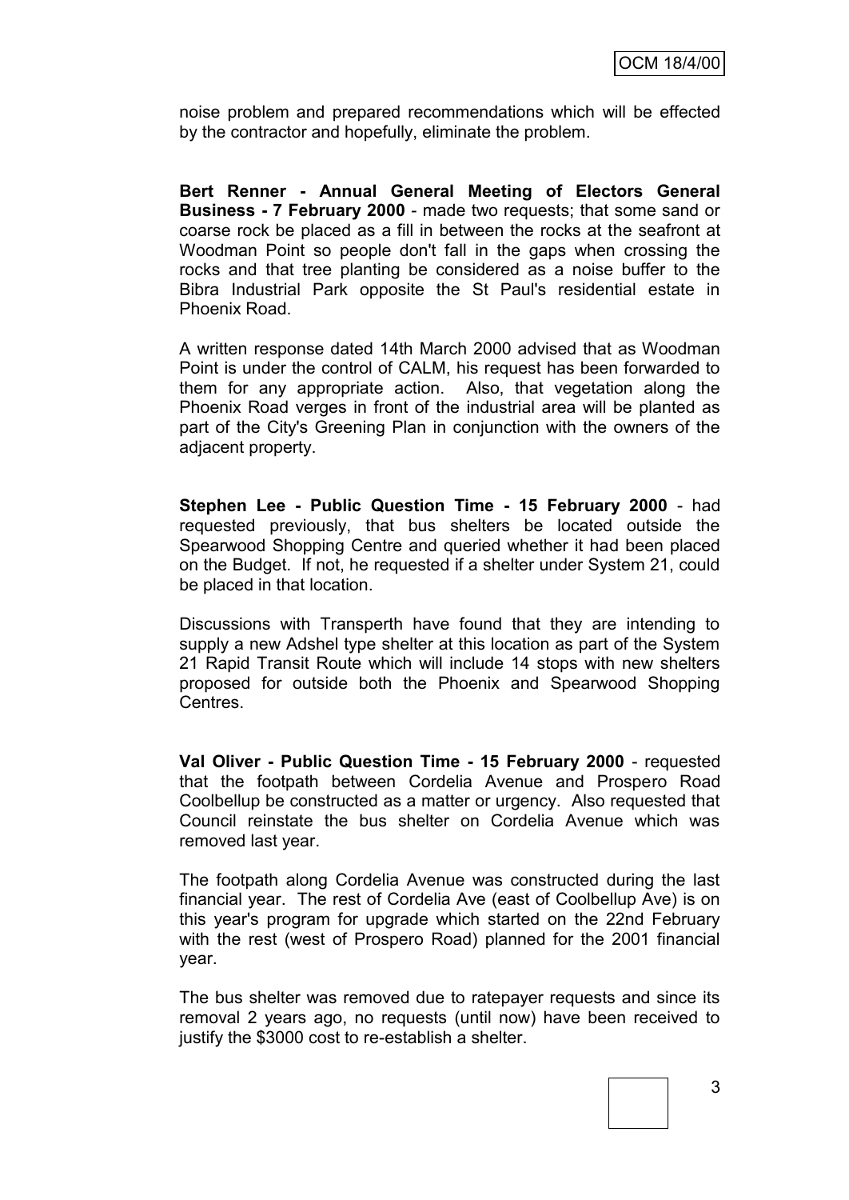noise problem and prepared recommendations which will be effected by the contractor and hopefully, eliminate the problem.

**Bert Renner - Annual General Meeting of Electors General Business - 7 February 2000** - made two requests; that some sand or coarse rock be placed as a fill in between the rocks at the seafront at Woodman Point so people don't fall in the gaps when crossing the rocks and that tree planting be considered as a noise buffer to the Bibra Industrial Park opposite the St Paul's residential estate in Phoenix Road.

A written response dated 14th March 2000 advised that as Woodman Point is under the control of CALM, his request has been forwarded to them for any appropriate action. Also, that vegetation along the Phoenix Road verges in front of the industrial area will be planted as part of the City's Greening Plan in conjunction with the owners of the adjacent property.

**Stephen Lee - Public Question Time - 15 February 2000** - had requested previously, that bus shelters be located outside the Spearwood Shopping Centre and queried whether it had been placed on the Budget. If not, he requested if a shelter under System 21, could be placed in that location.

Discussions with Transperth have found that they are intending to supply a new Adshel type shelter at this location as part of the System 21 Rapid Transit Route which will include 14 stops with new shelters proposed for outside both the Phoenix and Spearwood Shopping Centres.

**Val Oliver - Public Question Time - 15 February 2000** - requested that the footpath between Cordelia Avenue and Prospero Road Coolbellup be constructed as a matter or urgency. Also requested that Council reinstate the bus shelter on Cordelia Avenue which was removed last year.

The footpath along Cordelia Avenue was constructed during the last financial year. The rest of Cordelia Ave (east of Coolbellup Ave) is on this year's program for upgrade which started on the 22nd February with the rest (west of Prospero Road) planned for the 2001 financial year.

The bus shelter was removed due to ratepayer requests and since its removal 2 years ago, no requests (until now) have been received to justify the \$3000 cost to re-establish a shelter.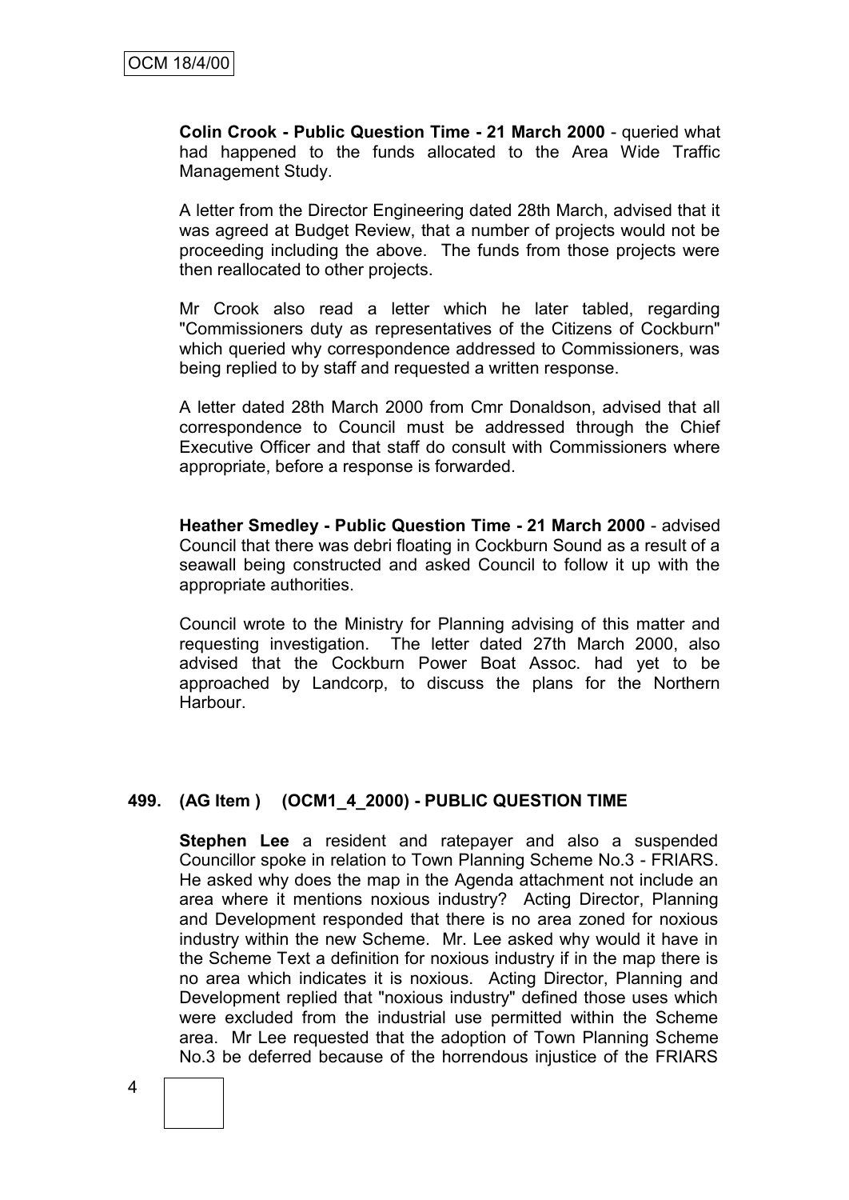**Colin Crook - Public Question Time - 21 March 2000** - queried what had happened to the funds allocated to the Area Wide Traffic Management Study.

A letter from the Director Engineering dated 28th March, advised that it was agreed at Budget Review, that a number of projects would not be proceeding including the above. The funds from those projects were then reallocated to other projects.

Mr Crook also read a letter which he later tabled, regarding "Commissioners duty as representatives of the Citizens of Cockburn" which queried why correspondence addressed to Commissioners, was being replied to by staff and requested a written response.

A letter dated 28th March 2000 from Cmr Donaldson, advised that all correspondence to Council must be addressed through the Chief Executive Officer and that staff do consult with Commissioners where appropriate, before a response is forwarded.

**Heather Smedley - Public Question Time - 21 March 2000** - advised Council that there was debri floating in Cockburn Sound as a result of a seawall being constructed and asked Council to follow it up with the appropriate authorities.

Council wrote to the Ministry for Planning advising of this matter and requesting investigation. The letter dated 27th March 2000, also advised that the Cockburn Power Boat Assoc. had yet to be approached by Landcorp, to discuss the plans for the Northern Harbour.

#### **499. (AG Item ) (OCM1\_4\_2000) - PUBLIC QUESTION TIME**

**Stephen Lee** a resident and ratepayer and also a suspended Councillor spoke in relation to Town Planning Scheme No.3 - FRIARS. He asked why does the map in the Agenda attachment not include an area where it mentions noxious industry? Acting Director, Planning and Development responded that there is no area zoned for noxious industry within the new Scheme. Mr. Lee asked why would it have in the Scheme Text a definition for noxious industry if in the map there is no area which indicates it is noxious. Acting Director, Planning and Development replied that "noxious industry" defined those uses which were excluded from the industrial use permitted within the Scheme area. Mr Lee requested that the adoption of Town Planning Scheme No.3 be deferred because of the horrendous injustice of the FRIARS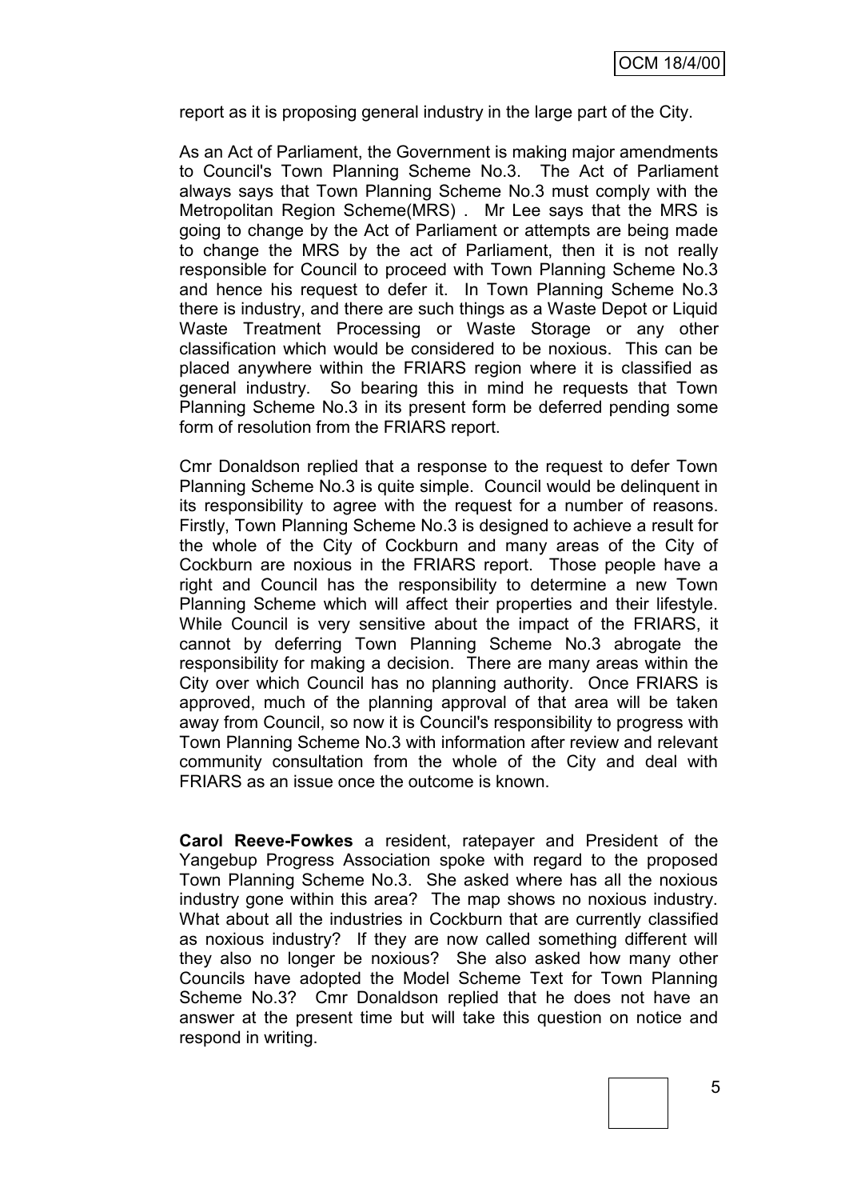report as it is proposing general industry in the large part of the City.

As an Act of Parliament, the Government is making major amendments to Council's Town Planning Scheme No.3. The Act of Parliament always says that Town Planning Scheme No.3 must comply with the Metropolitan Region Scheme(MRS) . Mr Lee says that the MRS is going to change by the Act of Parliament or attempts are being made to change the MRS by the act of Parliament, then it is not really responsible for Council to proceed with Town Planning Scheme No.3 and hence his request to defer it. In Town Planning Scheme No.3 there is industry, and there are such things as a Waste Depot or Liquid Waste Treatment Processing or Waste Storage or any other classification which would be considered to be noxious. This can be placed anywhere within the FRIARS region where it is classified as general industry. So bearing this in mind he requests that Town Planning Scheme No.3 in its present form be deferred pending some form of resolution from the FRIARS report.

Cmr Donaldson replied that a response to the request to defer Town Planning Scheme No.3 is quite simple. Council would be delinquent in its responsibility to agree with the request for a number of reasons. Firstly, Town Planning Scheme No.3 is designed to achieve a result for the whole of the City of Cockburn and many areas of the City of Cockburn are noxious in the FRIARS report. Those people have a right and Council has the responsibility to determine a new Town Planning Scheme which will affect their properties and their lifestyle. While Council is very sensitive about the impact of the FRIARS, it cannot by deferring Town Planning Scheme No.3 abrogate the responsibility for making a decision. There are many areas within the City over which Council has no planning authority. Once FRIARS is approved, much of the planning approval of that area will be taken away from Council, so now it is Council's responsibility to progress with Town Planning Scheme No.3 with information after review and relevant community consultation from the whole of the City and deal with FRIARS as an issue once the outcome is known.

**Carol Reeve-Fowkes** a resident, ratepayer and President of the Yangebup Progress Association spoke with regard to the proposed Town Planning Scheme No.3. She asked where has all the noxious industry gone within this area? The map shows no noxious industry. What about all the industries in Cockburn that are currently classified as noxious industry? If they are now called something different will they also no longer be noxious? She also asked how many other Councils have adopted the Model Scheme Text for Town Planning Scheme No.3? Cmr Donaldson replied that he does not have an answer at the present time but will take this question on notice and respond in writing.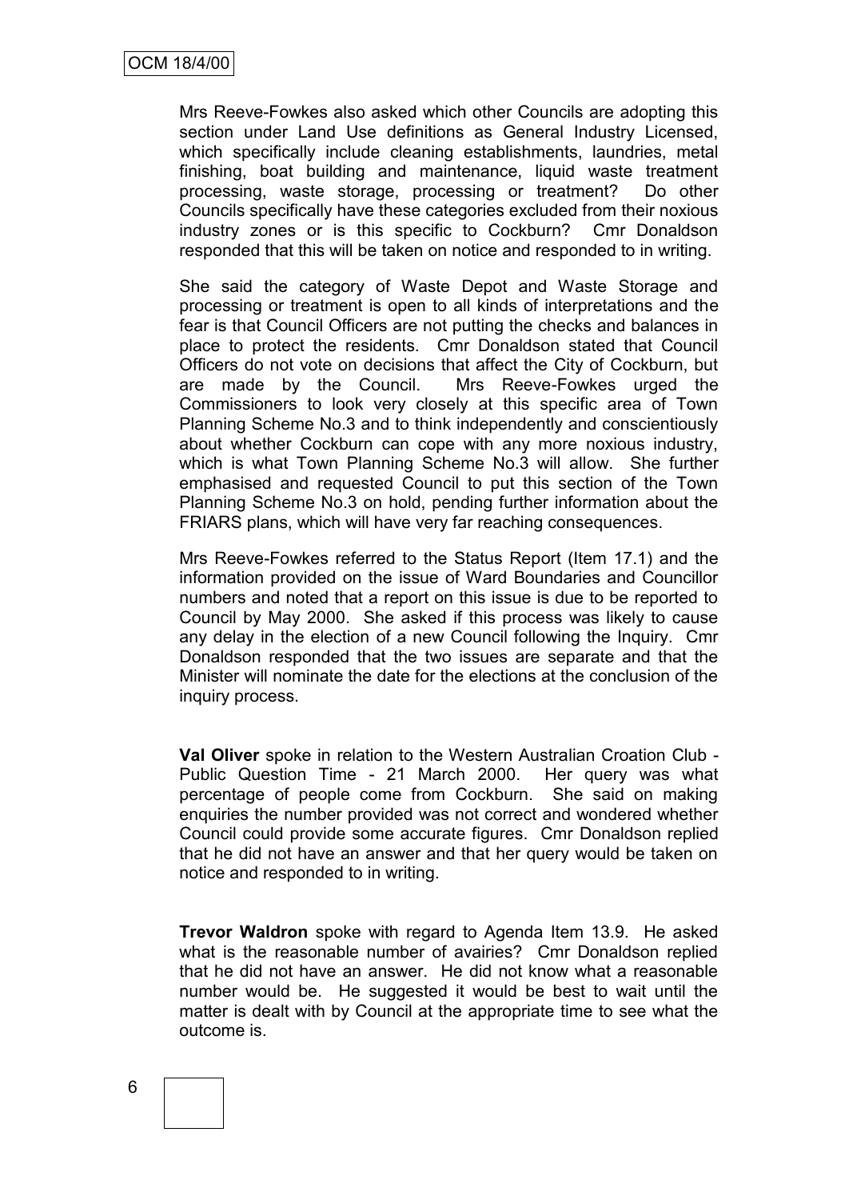Mrs Reeve-Fowkes also asked which other Councils are adopting this section under Land Use definitions as General Industry Licensed, which specifically include cleaning establishments, laundries, metal finishing, boat building and maintenance, liquid waste treatment processing, waste storage, processing or treatment? Do other Councils specifically have these categories excluded from their noxious industry zones or is this specific to Cockburn? Cmr Donaldson responded that this will be taken on notice and responded to in writing.

She said the category of Waste Depot and Waste Storage and processing or treatment is open to all kinds of interpretations and the fear is that Council Officers are not putting the checks and balances in place to protect the residents. Cmr Donaldson stated that Council Officers do not vote on decisions that affect the City of Cockburn, but are made by the Council. Mrs Reeve-Fowkes urged the Commissioners to look very closely at this specific area of Town Planning Scheme No.3 and to think independently and conscientiously about whether Cockburn can cope with any more noxious industry, which is what Town Planning Scheme No.3 will allow. She further emphasised and requested Council to put this section of the Town Planning Scheme No.3 on hold, pending further information about the FRIARS plans, which will have very far reaching consequences.

Mrs Reeve-Fowkes referred to the Status Report (Item 17.1) and the information provided on the issue of Ward Boundaries and Councillor numbers and noted that a report on this issue is due to be reported to Council by May 2000. She asked if this process was likely to cause any delay in the election of a new Council following the Inquiry. Cmr Donaldson responded that the two issues are separate and that the Minister will nominate the date for the elections at the conclusion of the inquiry process.

**Val Oliver** spoke in relation to the Western Australian Croation Club - Public Question Time - 21 March 2000. Her query was what percentage of people come from Cockburn. She said on making enquiries the number provided was not correct and wondered whether Council could provide some accurate figures. Cmr Donaldson replied that he did not have an answer and that her query would be taken on notice and responded to in writing.

**Trevor Waldron** spoke with regard to Agenda Item 13.9. He asked what is the reasonable number of avairies? Cmr Donaldson replied that he did not have an answer. He did not know what a reasonable number would be. He suggested it would be best to wait until the matter is dealt with by Council at the appropriate time to see what the outcome is.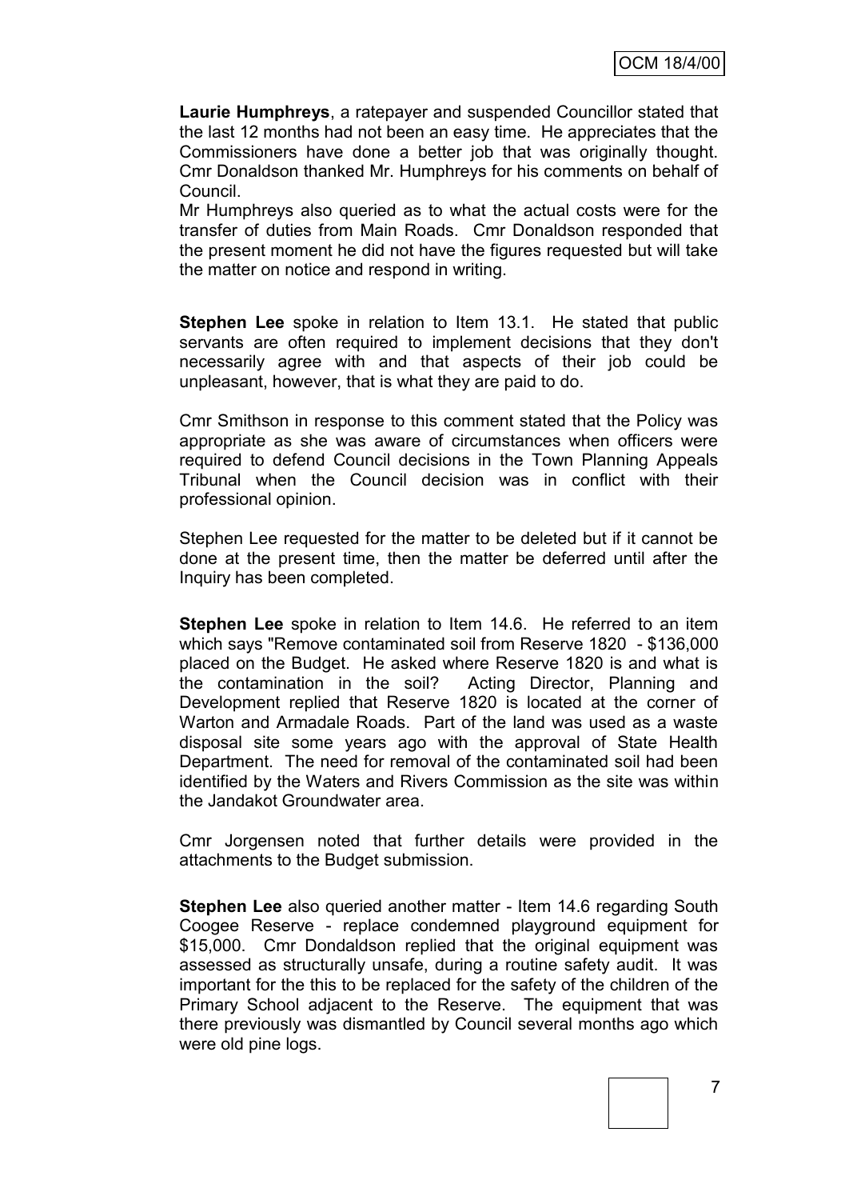**Laurie Humphreys**, a ratepayer and suspended Councillor stated that the last 12 months had not been an easy time. He appreciates that the Commissioners have done a better job that was originally thought. Cmr Donaldson thanked Mr. Humphreys for his comments on behalf of Council.

Mr Humphreys also queried as to what the actual costs were for the transfer of duties from Main Roads. Cmr Donaldson responded that the present moment he did not have the figures requested but will take the matter on notice and respond in writing.

**Stephen Lee** spoke in relation to Item 13.1. He stated that public servants are often required to implement decisions that they don't necessarily agree with and that aspects of their job could be unpleasant, however, that is what they are paid to do.

Cmr Smithson in response to this comment stated that the Policy was appropriate as she was aware of circumstances when officers were required to defend Council decisions in the Town Planning Appeals Tribunal when the Council decision was in conflict with their professional opinion.

Stephen Lee requested for the matter to be deleted but if it cannot be done at the present time, then the matter be deferred until after the Inquiry has been completed.

**Stephen Lee** spoke in relation to Item 14.6. He referred to an item which says "Remove contaminated soil from Reserve 1820 - \$136,000 placed on the Budget. He asked where Reserve 1820 is and what is the contamination in the soil? Acting Director, Planning and Development replied that Reserve 1820 is located at the corner of Warton and Armadale Roads. Part of the land was used as a waste disposal site some years ago with the approval of State Health Department. The need for removal of the contaminated soil had been identified by the Waters and Rivers Commission as the site was within the Jandakot Groundwater area.

Cmr Jorgensen noted that further details were provided in the attachments to the Budget submission.

**Stephen Lee** also queried another matter - Item 14.6 regarding South Coogee Reserve - replace condemned playground equipment for \$15,000. Cmr Dondaldson replied that the original equipment was assessed as structurally unsafe, during a routine safety audit. It was important for the this to be replaced for the safety of the children of the Primary School adjacent to the Reserve. The equipment that was there previously was dismantled by Council several months ago which were old pine logs.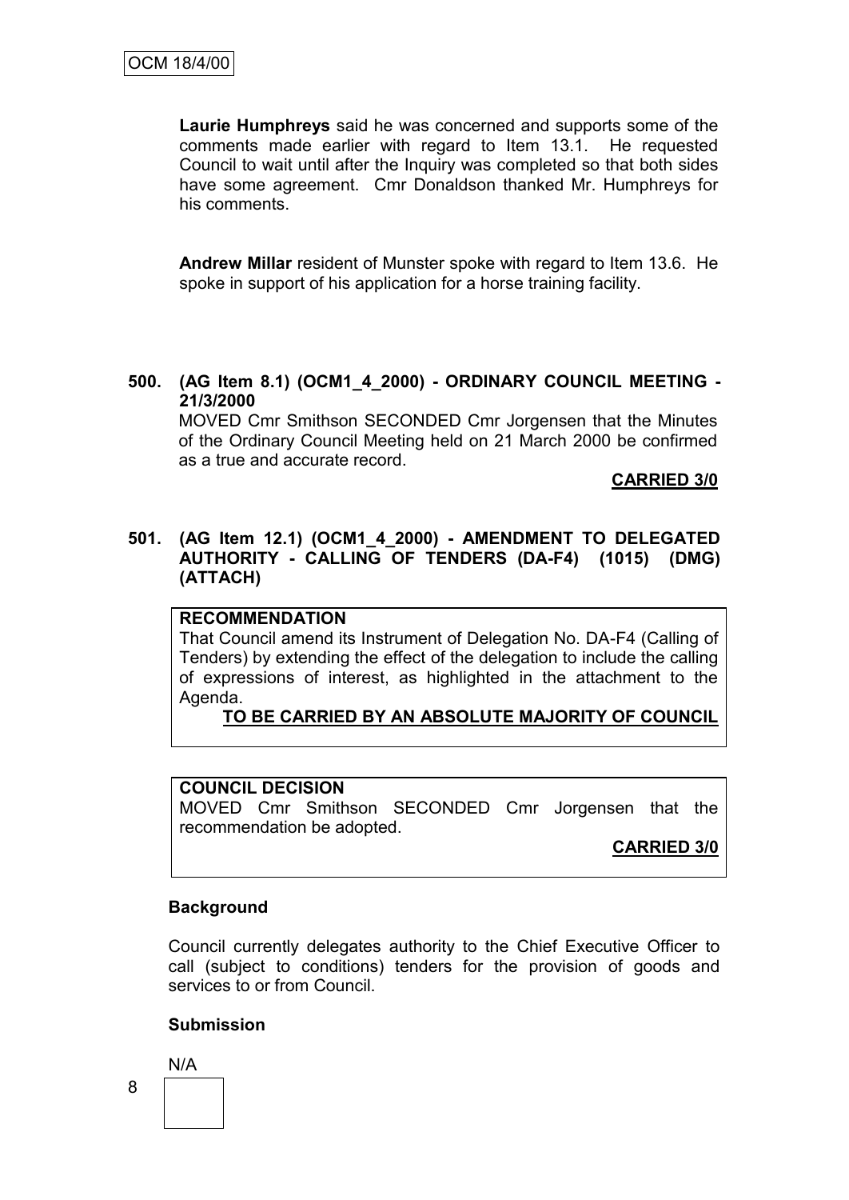**Laurie Humphreys** said he was concerned and supports some of the comments made earlier with regard to Item 13.1. He requested Council to wait until after the Inquiry was completed so that both sides have some agreement. Cmr Donaldson thanked Mr. Humphreys for his comments.

**Andrew Millar** resident of Munster spoke with regard to Item 13.6. He spoke in support of his application for a horse training facility.

**500. (AG Item 8.1) (OCM1\_4\_2000) - ORDINARY COUNCIL MEETING - 21/3/2000**

MOVED Cmr Smithson SECONDED Cmr Jorgensen that the Minutes of the Ordinary Council Meeting held on 21 March 2000 be confirmed as a true and accurate record.

**CARRIED 3/0**

#### **501. (AG Item 12.1) (OCM1\_4\_2000) - AMENDMENT TO DELEGATED AUTHORITY - CALLING OF TENDERS (DA-F4) (1015) (DMG) (ATTACH)**

#### **RECOMMENDATION**

That Council amend its Instrument of Delegation No. DA-F4 (Calling of Tenders) by extending the effect of the delegation to include the calling of expressions of interest, as highlighted in the attachment to the Agenda.

#### **TO BE CARRIED BY AN ABSOLUTE MAJORITY OF COUNCIL**

#### **COUNCIL DECISION**

MOVED Cmr Smithson SECONDED Cmr Jorgensen that the recommendation be adopted.

**CARRIED 3/0**

#### **Background**

Council currently delegates authority to the Chief Executive Officer to call (subject to conditions) tenders for the provision of goods and services to or from Council.

#### **Submission**

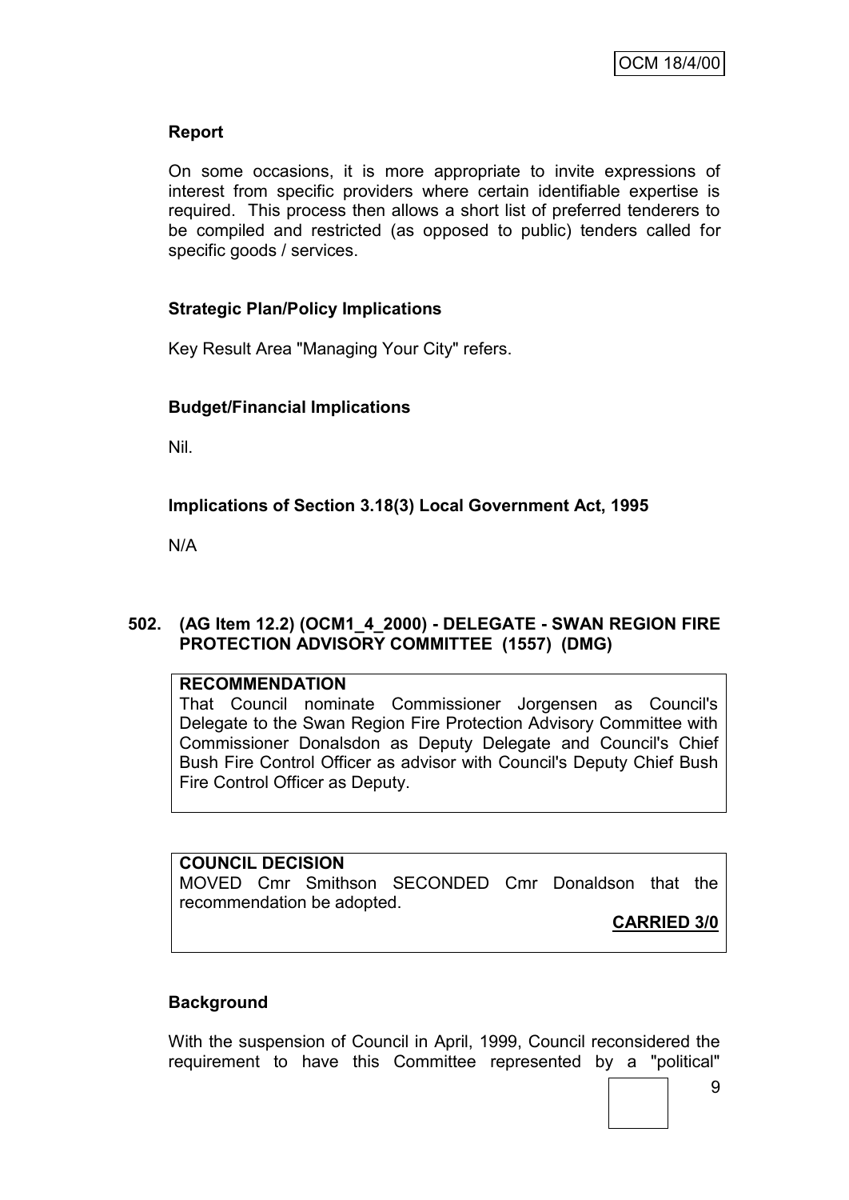# **Report**

On some occasions, it is more appropriate to invite expressions of interest from specific providers where certain identifiable expertise is required. This process then allows a short list of preferred tenderers to be compiled and restricted (as opposed to public) tenders called for specific goods / services.

# **Strategic Plan/Policy Implications**

Key Result Area "Managing Your City" refers.

# **Budget/Financial Implications**

Nil.

# **Implications of Section 3.18(3) Local Government Act, 1995**

N/A

#### **502. (AG Item 12.2) (OCM1\_4\_2000) - DELEGATE - SWAN REGION FIRE PROTECTION ADVISORY COMMITTEE (1557) (DMG)**

# **RECOMMENDATION**

That Council nominate Commissioner Jorgensen as Council's Delegate to the Swan Region Fire Protection Advisory Committee with Commissioner Donalsdon as Deputy Delegate and Council's Chief Bush Fire Control Officer as advisor with Council's Deputy Chief Bush Fire Control Officer as Deputy.

#### **COUNCIL DECISION**

MOVED Cmr Smithson SECONDED Cmr Donaldson that the recommendation be adopted.

**CARRIED 3/0**

#### **Background**

With the suspension of Council in April, 1999, Council reconsidered the requirement to have this Committee represented by a "political"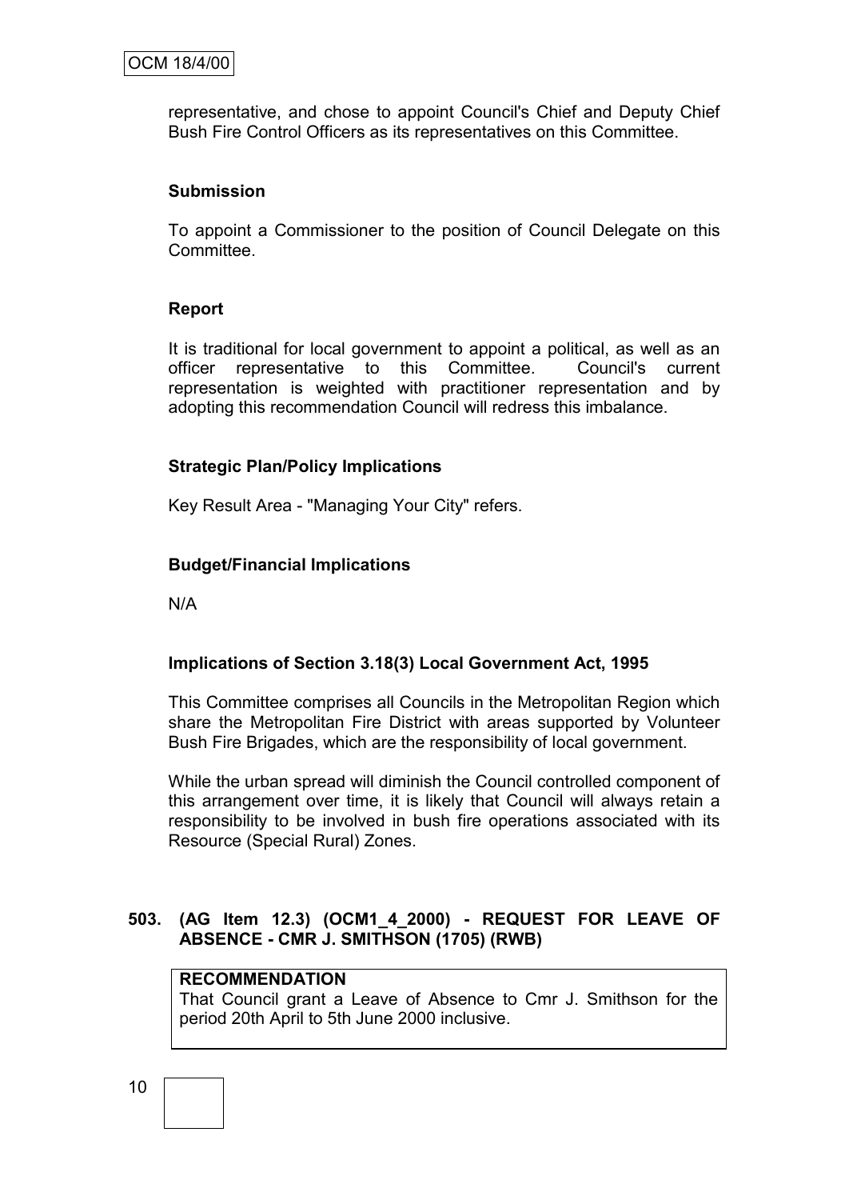representative, and chose to appoint Council's Chief and Deputy Chief Bush Fire Control Officers as its representatives on this Committee.

#### **Submission**

To appoint a Commissioner to the position of Council Delegate on this Committee.

#### **Report**

It is traditional for local government to appoint a political, as well as an officer representative to this Committee. Council's current representation is weighted with practitioner representation and by adopting this recommendation Council will redress this imbalance.

#### **Strategic Plan/Policy Implications**

Key Result Area - "Managing Your City" refers.

#### **Budget/Financial Implications**

N/A

#### **Implications of Section 3.18(3) Local Government Act, 1995**

This Committee comprises all Councils in the Metropolitan Region which share the Metropolitan Fire District with areas supported by Volunteer Bush Fire Brigades, which are the responsibility of local government.

While the urban spread will diminish the Council controlled component of this arrangement over time, it is likely that Council will always retain a responsibility to be involved in bush fire operations associated with its Resource (Special Rural) Zones.

#### **503. (AG Item 12.3) (OCM1\_4\_2000) - REQUEST FOR LEAVE OF ABSENCE - CMR J. SMITHSON (1705) (RWB)**

# **RECOMMENDATION**

That Council grant a Leave of Absence to Cmr J. Smithson for the period 20th April to 5th June 2000 inclusive.

10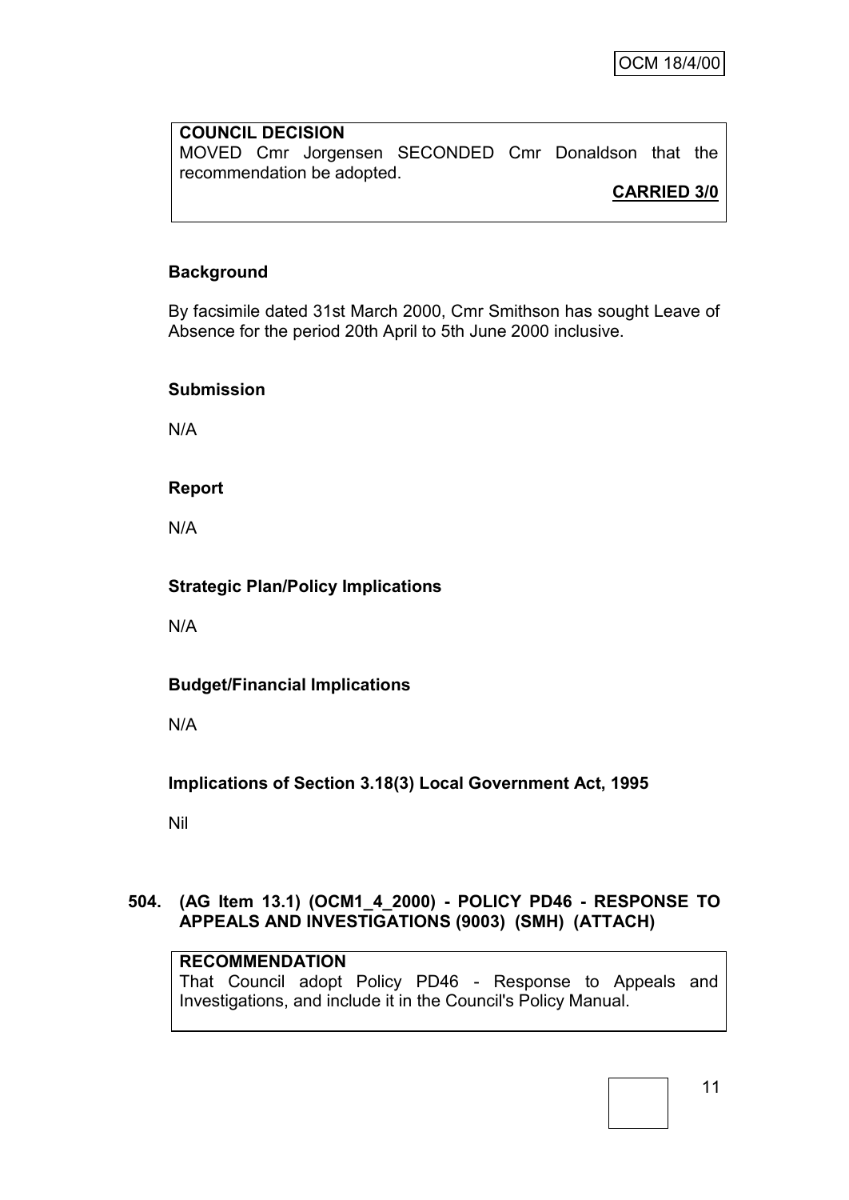# **COUNCIL DECISION** MOVED Cmr Jorgensen SECONDED Cmr Donaldson that the recommendation be adopted.

# **CARRIED 3/0**

# **Background**

By facsimile dated 31st March 2000, Cmr Smithson has sought Leave of Absence for the period 20th April to 5th June 2000 inclusive.

# **Submission**

N/A

# **Report**

N/A

# **Strategic Plan/Policy Implications**

N/A

**Budget/Financial Implications**

N/A

**Implications of Section 3.18(3) Local Government Act, 1995**

Nil

# **504. (AG Item 13.1) (OCM1\_4\_2000) - POLICY PD46 - RESPONSE TO APPEALS AND INVESTIGATIONS (9003) (SMH) (ATTACH)**

# **RECOMMENDATION**

That Council adopt Policy PD46 - Response to Appeals and Investigations, and include it in the Council's Policy Manual.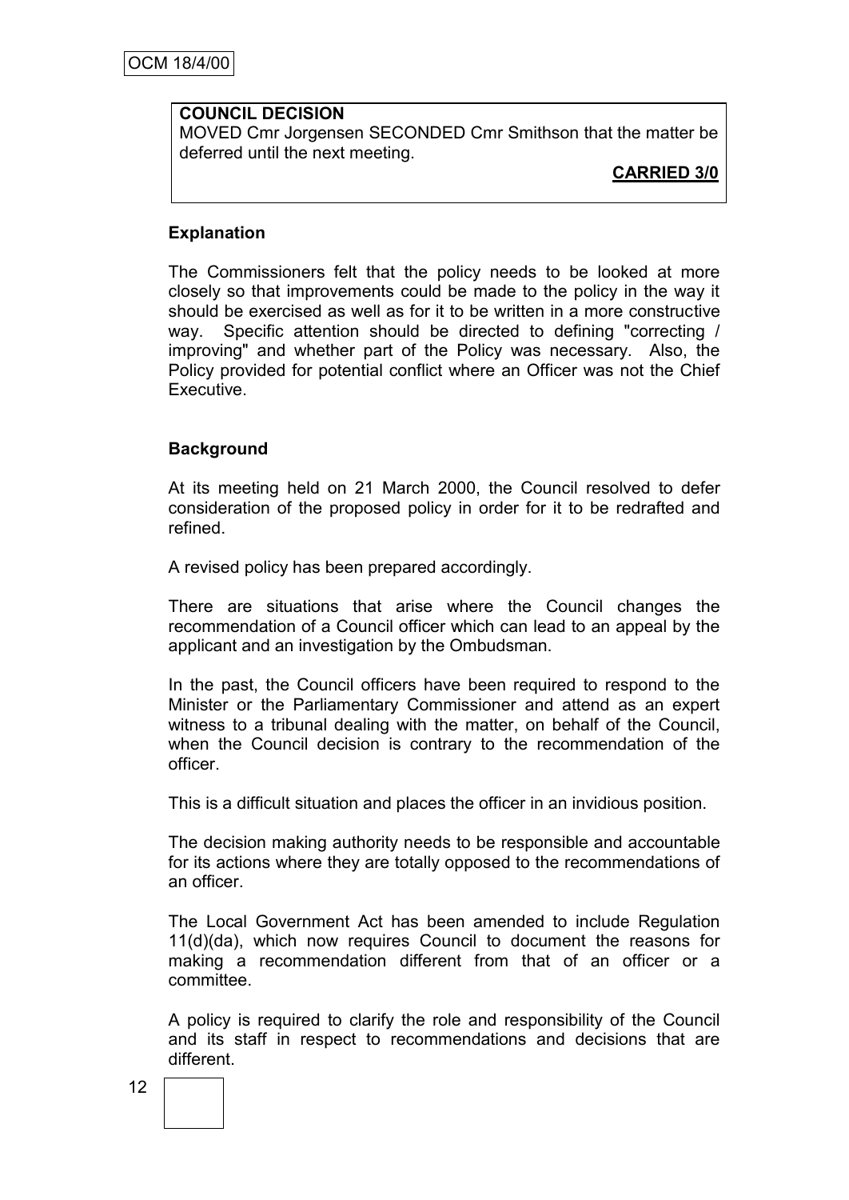# **COUNCIL DECISION**

MOVED Cmr Jorgensen SECONDED Cmr Smithson that the matter be deferred until the next meeting.

**CARRIED 3/0**

### **Explanation**

The Commissioners felt that the policy needs to be looked at more closely so that improvements could be made to the policy in the way it should be exercised as well as for it to be written in a more constructive way. Specific attention should be directed to defining "correcting / improving" and whether part of the Policy was necessary. Also, the Policy provided for potential conflict where an Officer was not the Chief Executive.

# **Background**

At its meeting held on 21 March 2000, the Council resolved to defer consideration of the proposed policy in order for it to be redrafted and refined.

A revised policy has been prepared accordingly.

There are situations that arise where the Council changes the recommendation of a Council officer which can lead to an appeal by the applicant and an investigation by the Ombudsman.

In the past, the Council officers have been required to respond to the Minister or the Parliamentary Commissioner and attend as an expert witness to a tribunal dealing with the matter, on behalf of the Council, when the Council decision is contrary to the recommendation of the officer.

This is a difficult situation and places the officer in an invidious position.

The decision making authority needs to be responsible and accountable for its actions where they are totally opposed to the recommendations of an officer.

The Local Government Act has been amended to include Regulation 11(d)(da), which now requires Council to document the reasons for making a recommendation different from that of an officer or a committee.

A policy is required to clarify the role and responsibility of the Council and its staff in respect to recommendations and decisions that are different.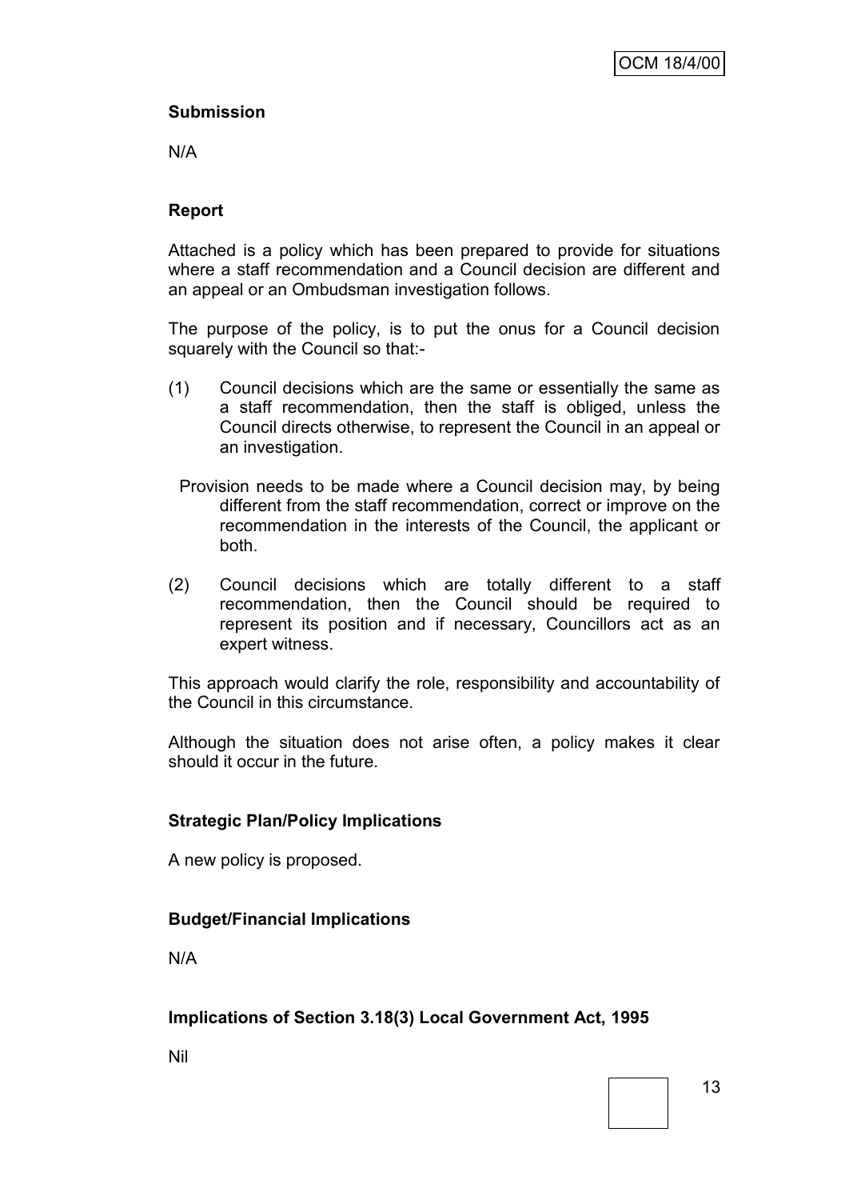# **Submission**

N/A

# **Report**

Attached is a policy which has been prepared to provide for situations where a staff recommendation and a Council decision are different and an appeal or an Ombudsman investigation follows.

The purpose of the policy, is to put the onus for a Council decision squarely with the Council so that:-

- (1) Council decisions which are the same or essentially the same as a staff recommendation, then the staff is obliged, unless the Council directs otherwise, to represent the Council in an appeal or an investigation.
- Provision needs to be made where a Council decision may, by being different from the staff recommendation, correct or improve on the recommendation in the interests of the Council, the applicant or both.
- (2) Council decisions which are totally different to a staff recommendation, then the Council should be required to represent its position and if necessary, Councillors act as an expert witness.

This approach would clarify the role, responsibility and accountability of the Council in this circumstance.

Although the situation does not arise often, a policy makes it clear should it occur in the future.

#### **Strategic Plan/Policy Implications**

A new policy is proposed.

#### **Budget/Financial Implications**

N/A

#### **Implications of Section 3.18(3) Local Government Act, 1995**

Nil

13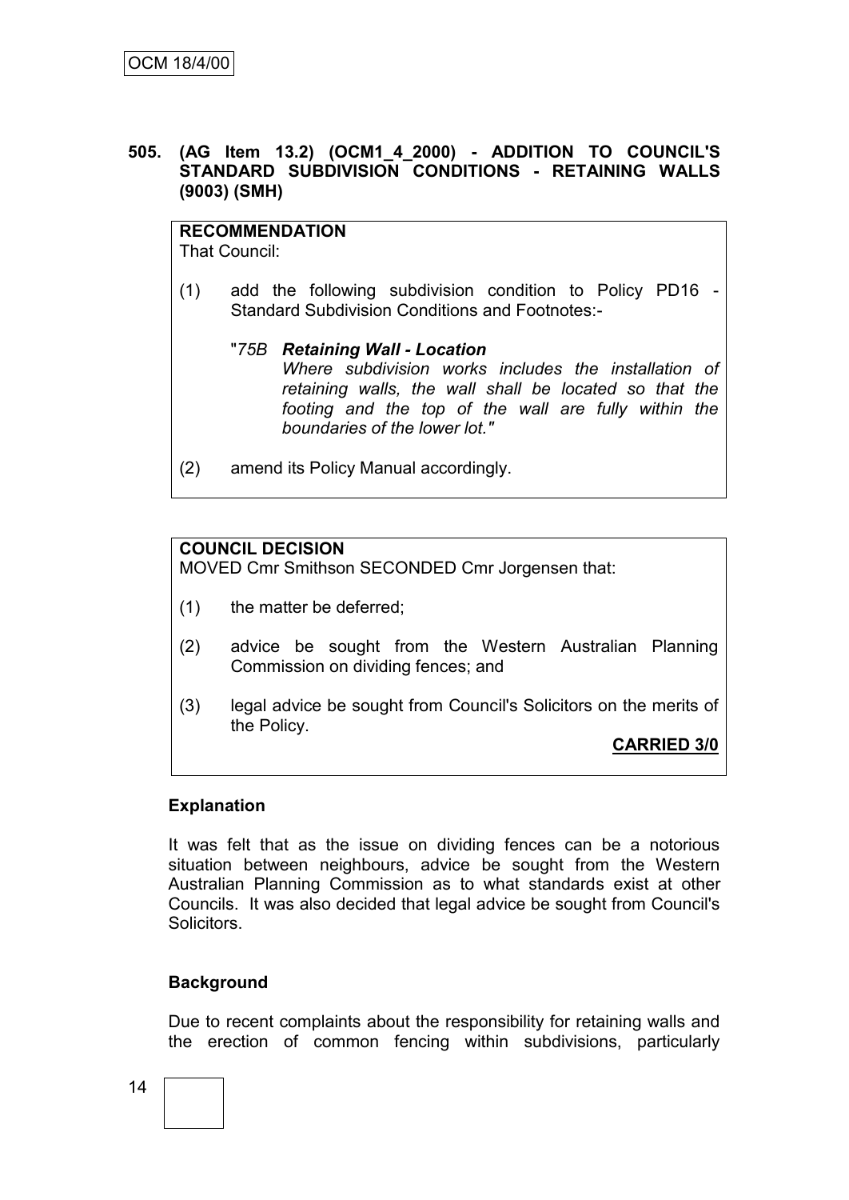### **505. (AG Item 13.2) (OCM1\_4\_2000) - ADDITION TO COUNCIL'S STANDARD SUBDIVISION CONDITIONS - RETAINING WALLS (9003) (SMH)**

# **RECOMMENDATION**

That Council:

- (1) add the following subdivision condition to Policy PD16 Standard Subdivision Conditions and Footnotes:-
	- "*75B Retaining Wall - Location Where subdivision works includes the installation of retaining walls, the wall shall be located so that the footing and the top of the wall are fully within the boundaries of the lower lot."*
- (2) amend its Policy Manual accordingly.

# **COUNCIL DECISION**

MOVED Cmr Smithson SECONDED Cmr Jorgensen that:

- (1) the matter be deferred;
- (2) advice be sought from the Western Australian Planning Commission on dividing fences; and
- (3) legal advice be sought from Council's Solicitors on the merits of the Policy.

**CARRIED 3/0**

# **Explanation**

It was felt that as the issue on dividing fences can be a notorious situation between neighbours, advice be sought from the Western Australian Planning Commission as to what standards exist at other Councils. It was also decided that legal advice be sought from Council's Solicitors.

# **Background**

Due to recent complaints about the responsibility for retaining walls and the erection of common fencing within subdivisions, particularly

14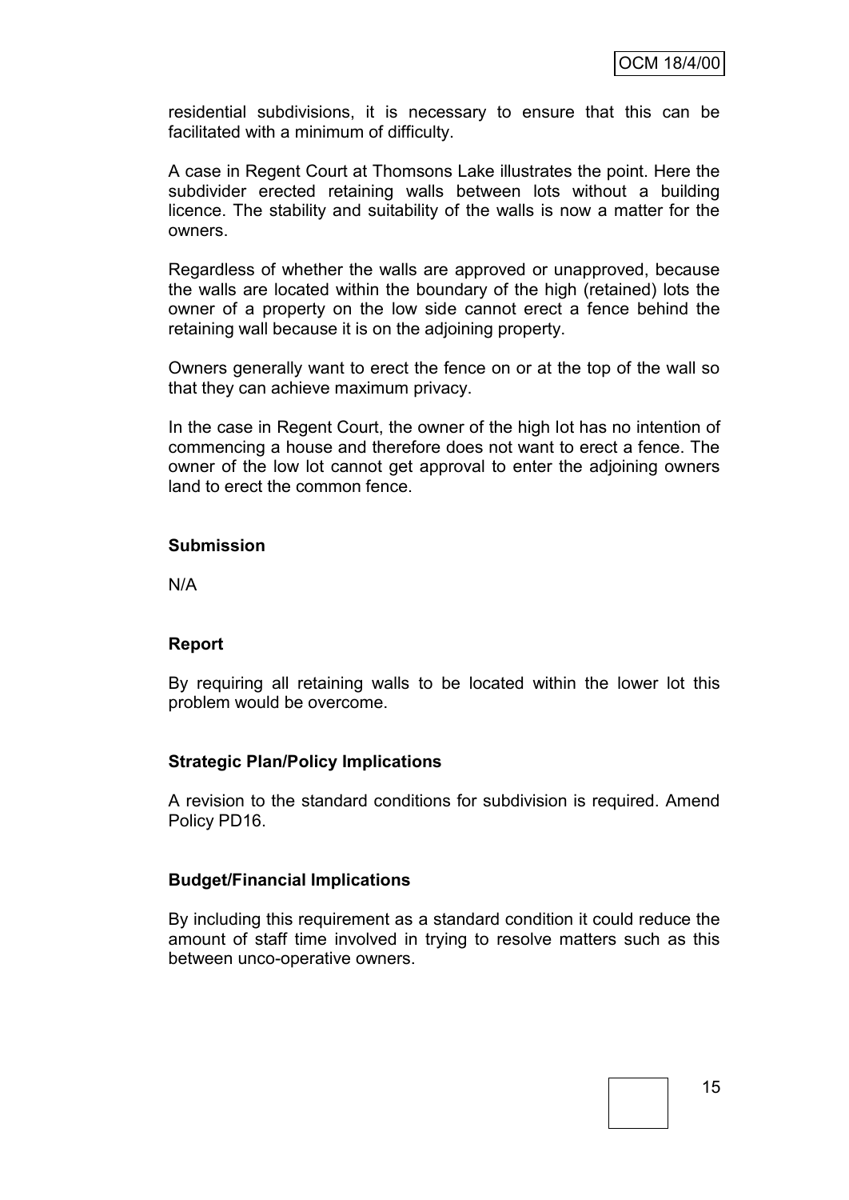residential subdivisions, it is necessary to ensure that this can be facilitated with a minimum of difficulty.

A case in Regent Court at Thomsons Lake illustrates the point. Here the subdivider erected retaining walls between lots without a building licence. The stability and suitability of the walls is now a matter for the owners.

Regardless of whether the walls are approved or unapproved, because the walls are located within the boundary of the high (retained) lots the owner of a property on the low side cannot erect a fence behind the retaining wall because it is on the adjoining property.

Owners generally want to erect the fence on or at the top of the wall so that they can achieve maximum privacy.

In the case in Regent Court, the owner of the high lot has no intention of commencing a house and therefore does not want to erect a fence. The owner of the low lot cannot get approval to enter the adjoining owners land to erect the common fence.

#### **Submission**

N/A

#### **Report**

By requiring all retaining walls to be located within the lower lot this problem would be overcome.

#### **Strategic Plan/Policy Implications**

A revision to the standard conditions for subdivision is required. Amend Policy PD16.

#### **Budget/Financial Implications**

By including this requirement as a standard condition it could reduce the amount of staff time involved in trying to resolve matters such as this between unco-operative owners.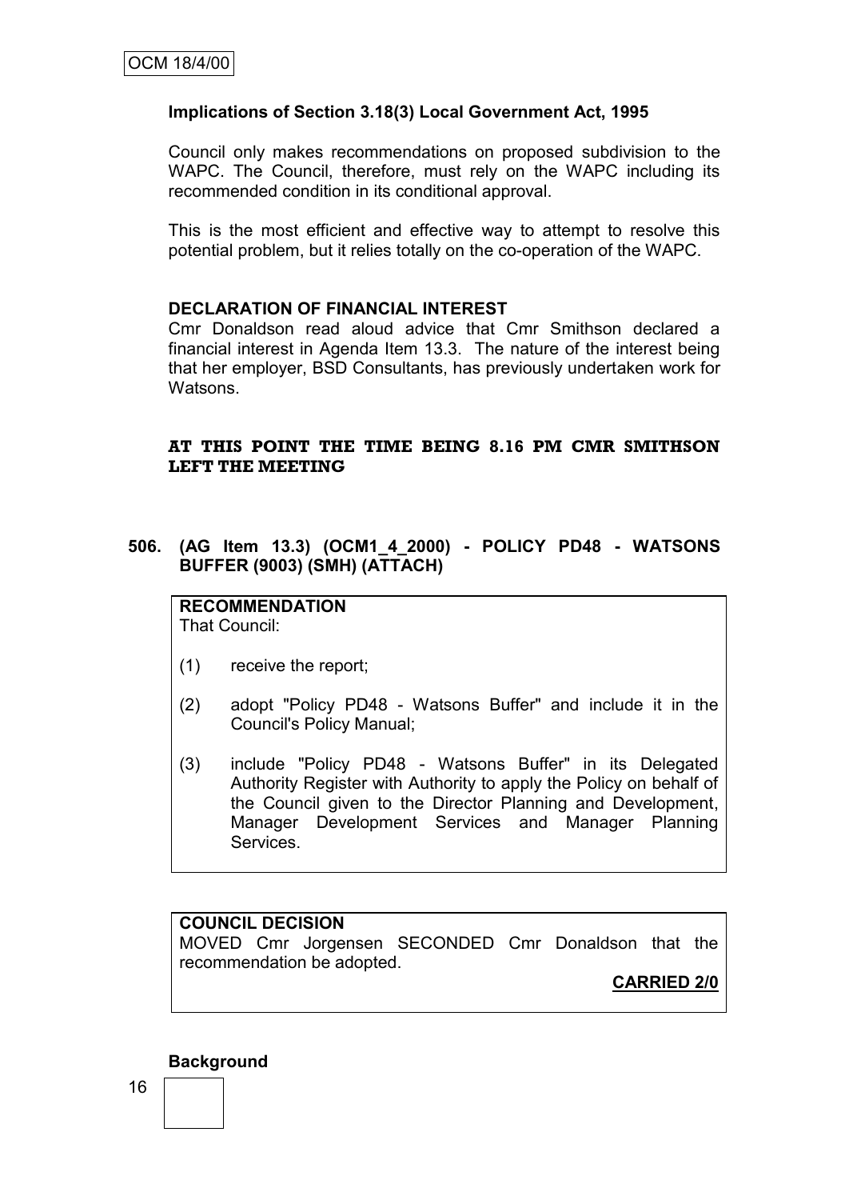#### **Implications of Section 3.18(3) Local Government Act, 1995**

Council only makes recommendations on proposed subdivision to the WAPC. The Council, therefore, must rely on the WAPC including its recommended condition in its conditional approval.

This is the most efficient and effective way to attempt to resolve this potential problem, but it relies totally on the co-operation of the WAPC.

#### **DECLARATION OF FINANCIAL INTEREST**

Cmr Donaldson read aloud advice that Cmr Smithson declared a financial interest in Agenda Item 13.3. The nature of the interest being that her employer, BSD Consultants, has previously undertaken work for Watsons.

#### **AT THIS POINT THE TIME BEING 8.16 PM CMR SMITHSON LEFT THE MEETING**

**506. (AG Item 13.3) (OCM1\_4\_2000) - POLICY PD48 - WATSONS BUFFER (9003) (SMH) (ATTACH)**

# **RECOMMENDATION**

That Council:

- (1) receive the report;
- (2) adopt "Policy PD48 Watsons Buffer" and include it in the Council's Policy Manual;
- (3) include "Policy PD48 Watsons Buffer" in its Delegated Authority Register with Authority to apply the Policy on behalf of the Council given to the Director Planning and Development, Manager Development Services and Manager Planning Services.

#### **COUNCIL DECISION**

MOVED Cmr Jorgensen SECONDED Cmr Donaldson that the recommendation be adopted.

**CARRIED 2/0**

**Background**

16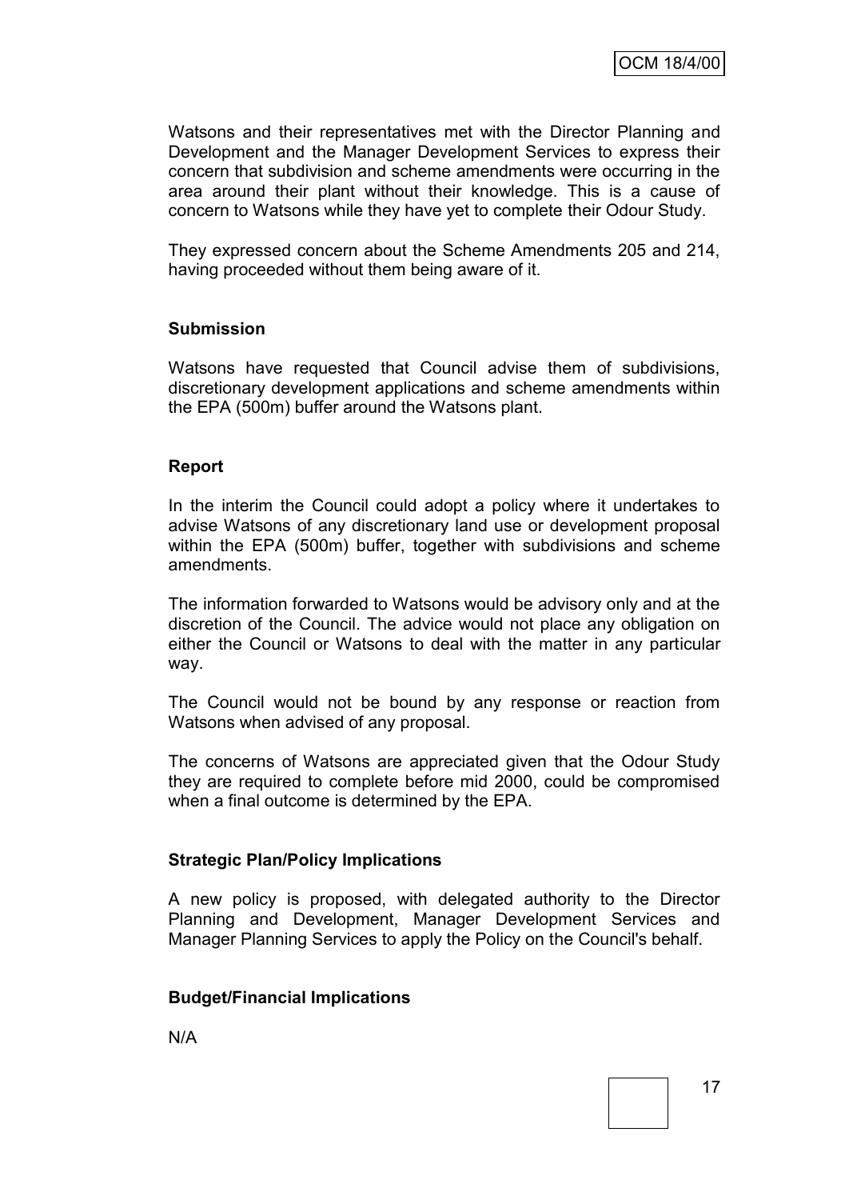Watsons and their representatives met with the Director Planning and Development and the Manager Development Services to express their concern that subdivision and scheme amendments were occurring in the area around their plant without their knowledge. This is a cause of concern to Watsons while they have yet to complete their Odour Study.

They expressed concern about the Scheme Amendments 205 and 214, having proceeded without them being aware of it.

#### **Submission**

Watsons have requested that Council advise them of subdivisions, discretionary development applications and scheme amendments within the EPA (500m) buffer around the Watsons plant.

#### **Report**

In the interim the Council could adopt a policy where it undertakes to advise Watsons of any discretionary land use or development proposal within the EPA (500m) buffer, together with subdivisions and scheme amendments.

The information forwarded to Watsons would be advisory only and at the discretion of the Council. The advice would not place any obligation on either the Council or Watsons to deal with the matter in any particular way.

The Council would not be bound by any response or reaction from Watsons when advised of any proposal.

The concerns of Watsons are appreciated given that the Odour Study they are required to complete before mid 2000, could be compromised when a final outcome is determined by the EPA.

#### **Strategic Plan/Policy Implications**

A new policy is proposed, with delegated authority to the Director Planning and Development, Manager Development Services and Manager Planning Services to apply the Policy on the Council's behalf.

#### **Budget/Financial Implications**

N/A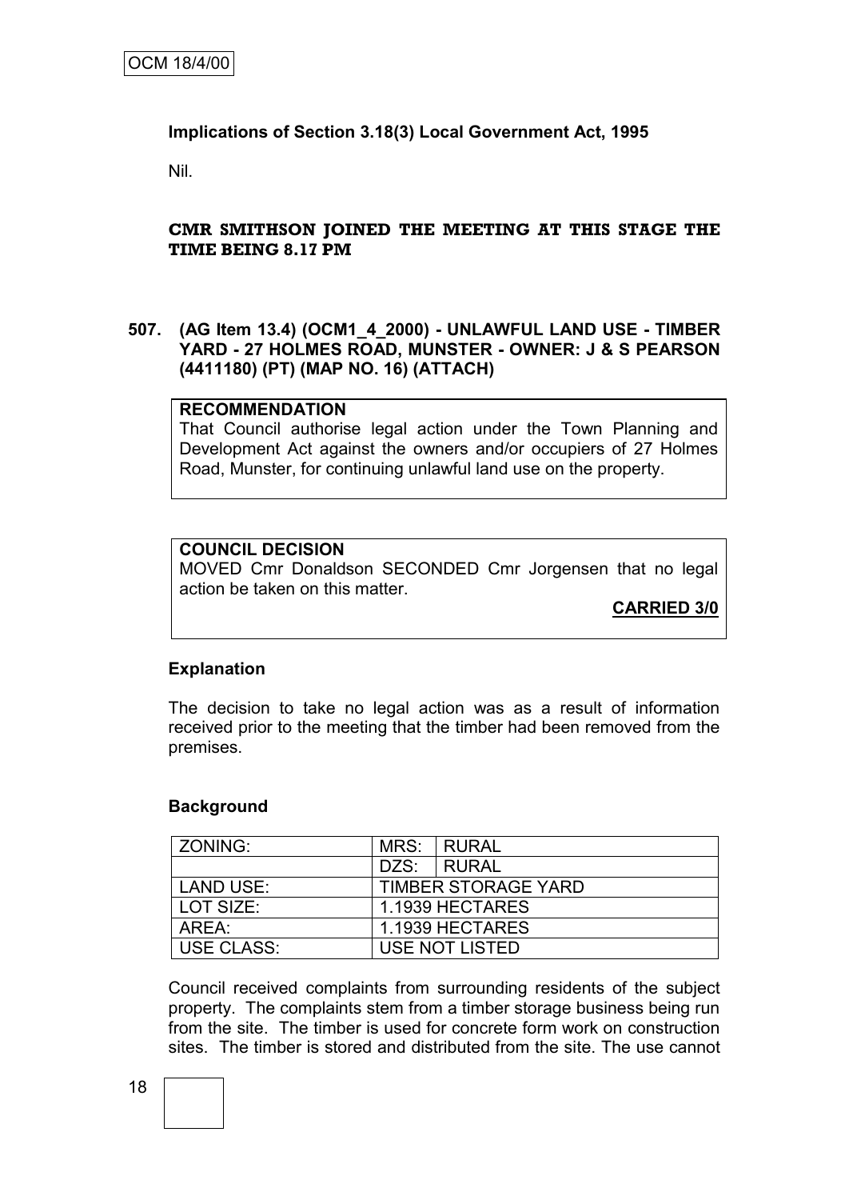# **Implications of Section 3.18(3) Local Government Act, 1995**

Nil.

#### **CMR SMITHSON JOINED THE MEETING AT THIS STAGE THE TIME BEING 8.17 PM**

**507. (AG Item 13.4) (OCM1\_4\_2000) - UNLAWFUL LAND USE - TIMBER YARD - 27 HOLMES ROAD, MUNSTER - OWNER: J & S PEARSON (4411180) (PT) (MAP NO. 16) (ATTACH)**

#### **RECOMMENDATION**

That Council authorise legal action under the Town Planning and Development Act against the owners and/or occupiers of 27 Holmes Road, Munster, for continuing unlawful land use on the property.

#### **COUNCIL DECISION**

MOVED Cmr Donaldson SECONDED Cmr Jorgensen that no legal action be taken on this matter.

**CARRIED 3/0**

#### **Explanation**

The decision to take no legal action was as a result of information received prior to the meeting that the timber had been removed from the premises.

#### **Background**

| ZONING:    |                            | MRS: RURAL   |  |
|------------|----------------------------|--------------|--|
|            | DZS:                       | <b>RURAL</b> |  |
| LAND USE:  | <b>TIMBER STORAGE YARD</b> |              |  |
| LOT SIZE:  | 1.1939 HECTARES            |              |  |
| AREA:      | 1.1939 HECTARES            |              |  |
| USE CLASS: | USE NOT LISTED             |              |  |

Council received complaints from surrounding residents of the subject property. The complaints stem from a timber storage business being run from the site. The timber is used for concrete form work on construction sites. The timber is stored and distributed from the site. The use cannot

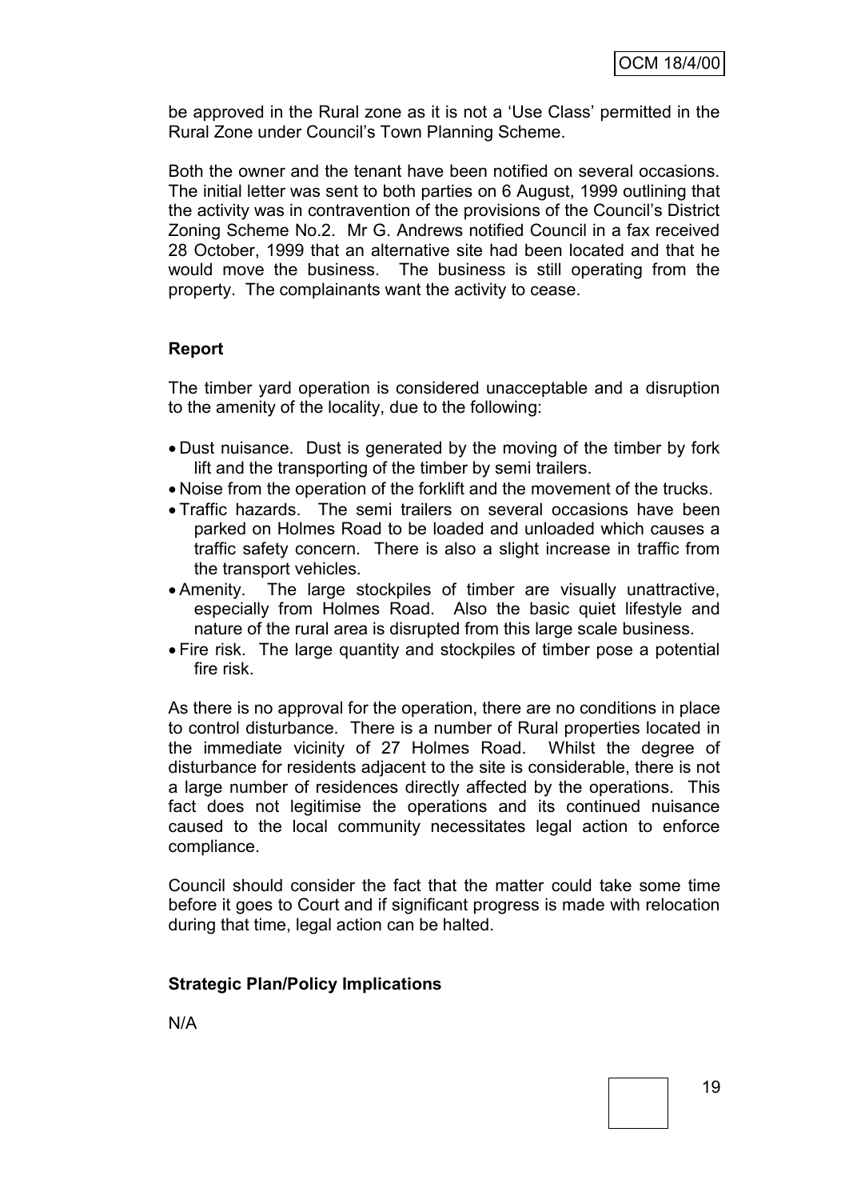be approved in the Rural zone as it is not a 'Use Class' permitted in the Rural Zone under Council's Town Planning Scheme.

Both the owner and the tenant have been notified on several occasions. The initial letter was sent to both parties on 6 August, 1999 outlining that the activity was in contravention of the provisions of the Council's District Zoning Scheme No.2. Mr G. Andrews notified Council in a fax received 28 October, 1999 that an alternative site had been located and that he would move the business. The business is still operating from the property. The complainants want the activity to cease.

# **Report**

The timber yard operation is considered unacceptable and a disruption to the amenity of the locality, due to the following:

- Dust nuisance. Dust is generated by the moving of the timber by fork lift and the transporting of the timber by semi trailers.
- Noise from the operation of the forklift and the movement of the trucks.
- Traffic hazards. The semi trailers on several occasions have been parked on Holmes Road to be loaded and unloaded which causes a traffic safety concern. There is also a slight increase in traffic from the transport vehicles.
- Amenity. The large stockpiles of timber are visually unattractive, especially from Holmes Road. Also the basic quiet lifestyle and nature of the rural area is disrupted from this large scale business.
- Fire risk. The large quantity and stockpiles of timber pose a potential fire risk.

As there is no approval for the operation, there are no conditions in place to control disturbance. There is a number of Rural properties located in the immediate vicinity of 27 Holmes Road. Whilst the degree of disturbance for residents adjacent to the site is considerable, there is not a large number of residences directly affected by the operations. This fact does not legitimise the operations and its continued nuisance caused to the local community necessitates legal action to enforce compliance.

Council should consider the fact that the matter could take some time before it goes to Court and if significant progress is made with relocation during that time, legal action can be halted.

#### **Strategic Plan/Policy Implications**

N/A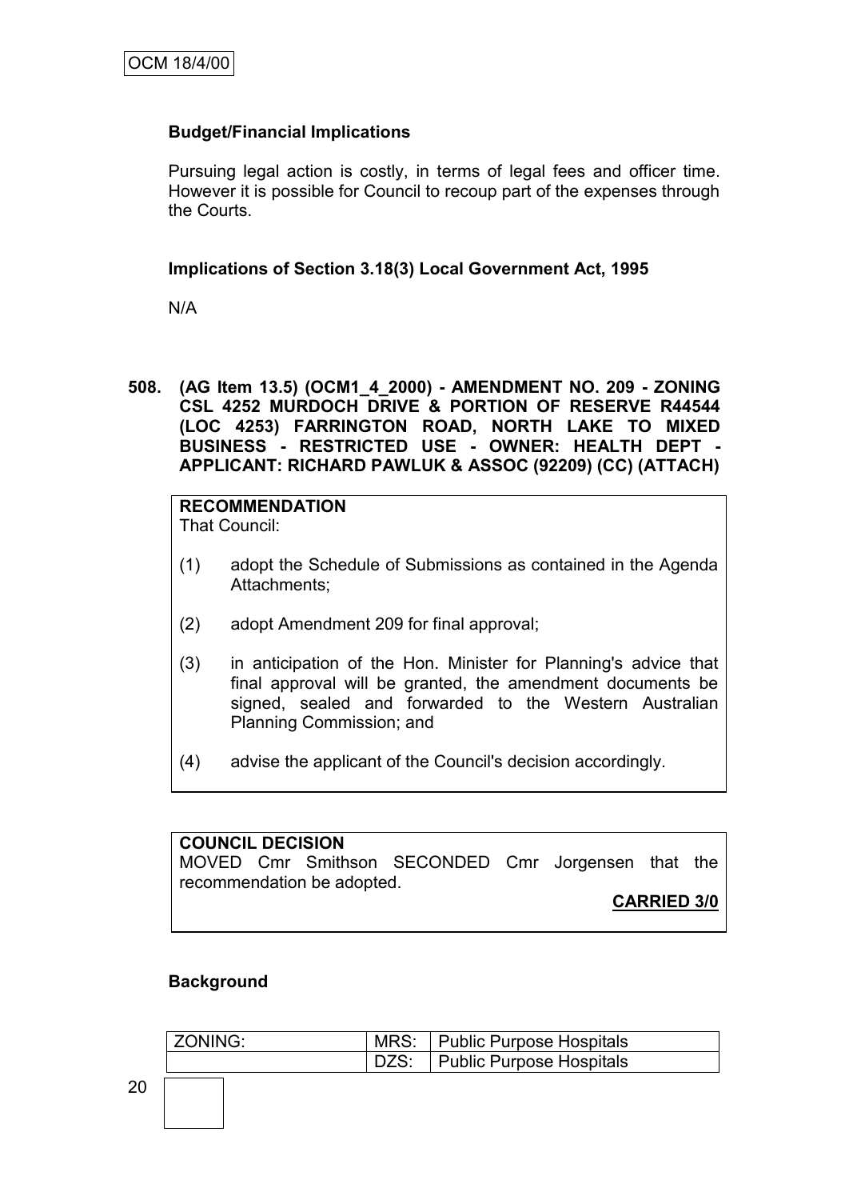# **Budget/Financial Implications**

Pursuing legal action is costly, in terms of legal fees and officer time. However it is possible for Council to recoup part of the expenses through the Courts.

### **Implications of Section 3.18(3) Local Government Act, 1995**

N/A

**508. (AG Item 13.5) (OCM1\_4\_2000) - AMENDMENT NO. 209 - ZONING CSL 4252 MURDOCH DRIVE & PORTION OF RESERVE R44544 (LOC 4253) FARRINGTON ROAD, NORTH LAKE TO MIXED BUSINESS - RESTRICTED USE - OWNER: HEALTH DEPT - APPLICANT: RICHARD PAWLUK & ASSOC (92209) (CC) (ATTACH)**

# **RECOMMENDATION**

That Council:

- (1) adopt the Schedule of Submissions as contained in the Agenda Attachments;
- (2) adopt Amendment 209 for final approval;
- (3) in anticipation of the Hon. Minister for Planning's advice that final approval will be granted, the amendment documents be signed, sealed and forwarded to the Western Australian Planning Commission; and
- (4) advise the applicant of the Council's decision accordingly.

# **COUNCIL DECISION**

MOVED Cmr Smithson SECONDED Cmr Jorgensen that the recommendation be adopted.

**CARRIED 3/0**

#### **Background**

20

| ZONING: |      | MRS:   Public Purpose Hospitals |
|---------|------|---------------------------------|
|         | DZS: | Public Purpose Hospitals        |
|         |      |                                 |
|         |      |                                 |
|         |      |                                 |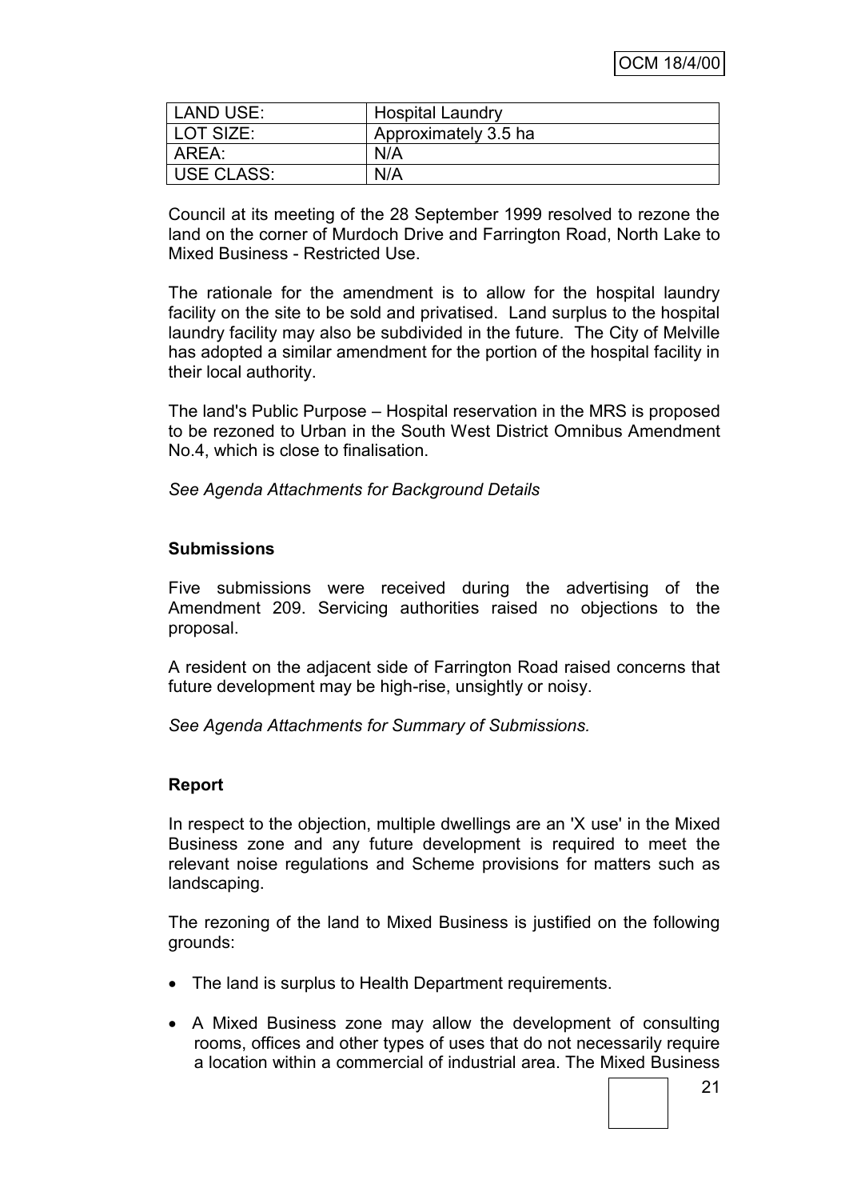| LAND USE:         | <b>Hospital Laundry</b> |
|-------------------|-------------------------|
| LOT SIZE:         | Approximately 3.5 ha    |
| AREA:             | N/A                     |
| <b>USE CLASS:</b> | N/A                     |

Council at its meeting of the 28 September 1999 resolved to rezone the land on the corner of Murdoch Drive and Farrington Road, North Lake to Mixed Business - Restricted Use.

The rationale for the amendment is to allow for the hospital laundry facility on the site to be sold and privatised. Land surplus to the hospital laundry facility may also be subdivided in the future. The City of Melville has adopted a similar amendment for the portion of the hospital facility in their local authority.

The land's Public Purpose – Hospital reservation in the MRS is proposed to be rezoned to Urban in the South West District Omnibus Amendment No.4, which is close to finalisation.

*See Agenda Attachments for Background Details*

# **Submissions**

Five submissions were received during the advertising of the Amendment 209. Servicing authorities raised no objections to the proposal.

A resident on the adjacent side of Farrington Road raised concerns that future development may be high-rise, unsightly or noisy.

*See Agenda Attachments for Summary of Submissions.*

# **Report**

In respect to the objection, multiple dwellings are an 'X use' in the Mixed Business zone and any future development is required to meet the relevant noise regulations and Scheme provisions for matters such as landscaping.

The rezoning of the land to Mixed Business is justified on the following grounds:

- The land is surplus to Health Department requirements.
- A Mixed Business zone may allow the development of consulting rooms, offices and other types of uses that do not necessarily require a location within a commercial of industrial area. The Mixed Business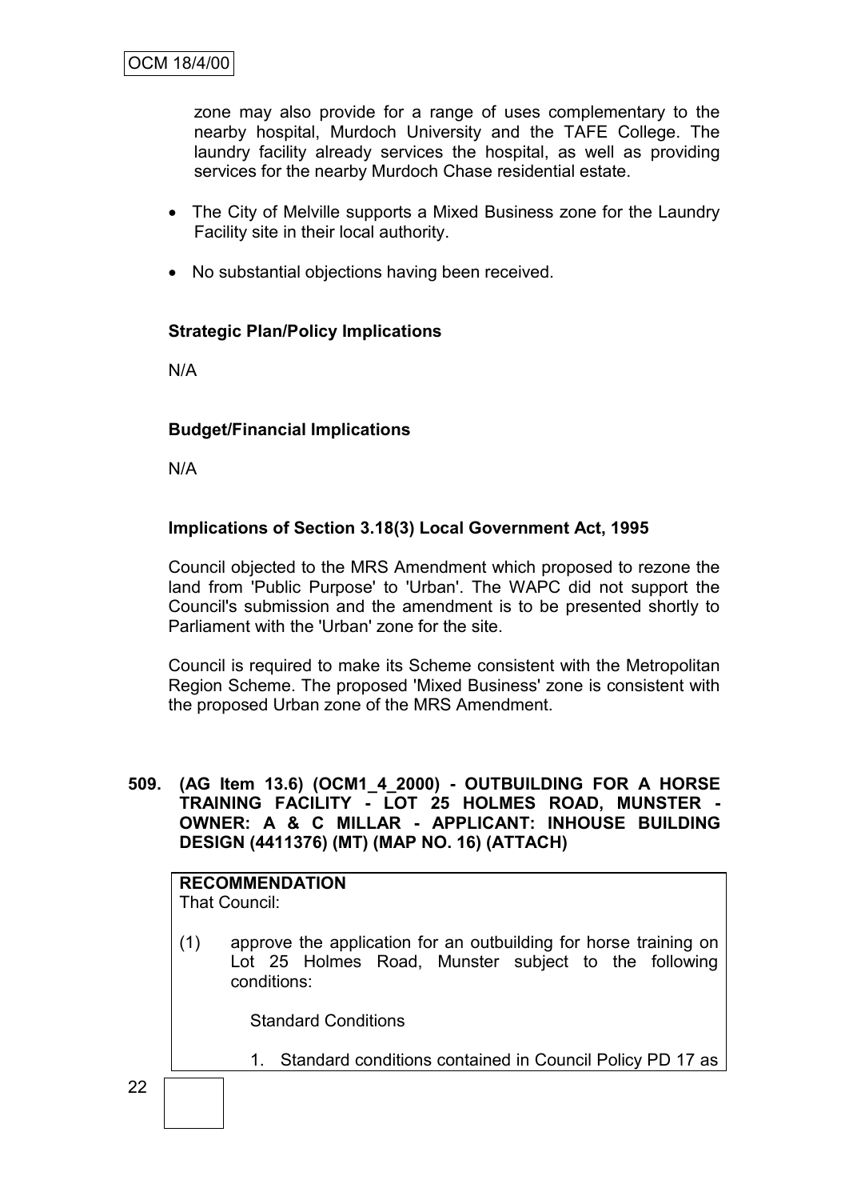zone may also provide for a range of uses complementary to the nearby hospital, Murdoch University and the TAFE College. The laundry facility already services the hospital, as well as providing services for the nearby Murdoch Chase residential estate.

- The City of Melville supports a Mixed Business zone for the Laundry Facility site in their local authority.
- No substantial objections having been received.

# **Strategic Plan/Policy Implications**

N/A

# **Budget/Financial Implications**

N/A

# **Implications of Section 3.18(3) Local Government Act, 1995**

Council objected to the MRS Amendment which proposed to rezone the land from 'Public Purpose' to 'Urban'. The WAPC did not support the Council's submission and the amendment is to be presented shortly to Parliament with the 'Urban' zone for the site.

Council is required to make its Scheme consistent with the Metropolitan Region Scheme. The proposed 'Mixed Business' zone is consistent with the proposed Urban zone of the MRS Amendment.

#### **509. (AG Item 13.6) (OCM1\_4\_2000) - OUTBUILDING FOR A HORSE TRAINING FACILITY - LOT 25 HOLMES ROAD, MUNSTER - OWNER: A & C MILLAR - APPLICANT: INHOUSE BUILDING DESIGN (4411376) (MT) (MAP NO. 16) (ATTACH)**

# **RECOMMENDATION**

That Council:

(1) approve the application for an outbuilding for horse training on Lot 25 Holmes Road, Munster subject to the following conditions:

Standard Conditions

1. Standard conditions contained in Council Policy PD 17 as

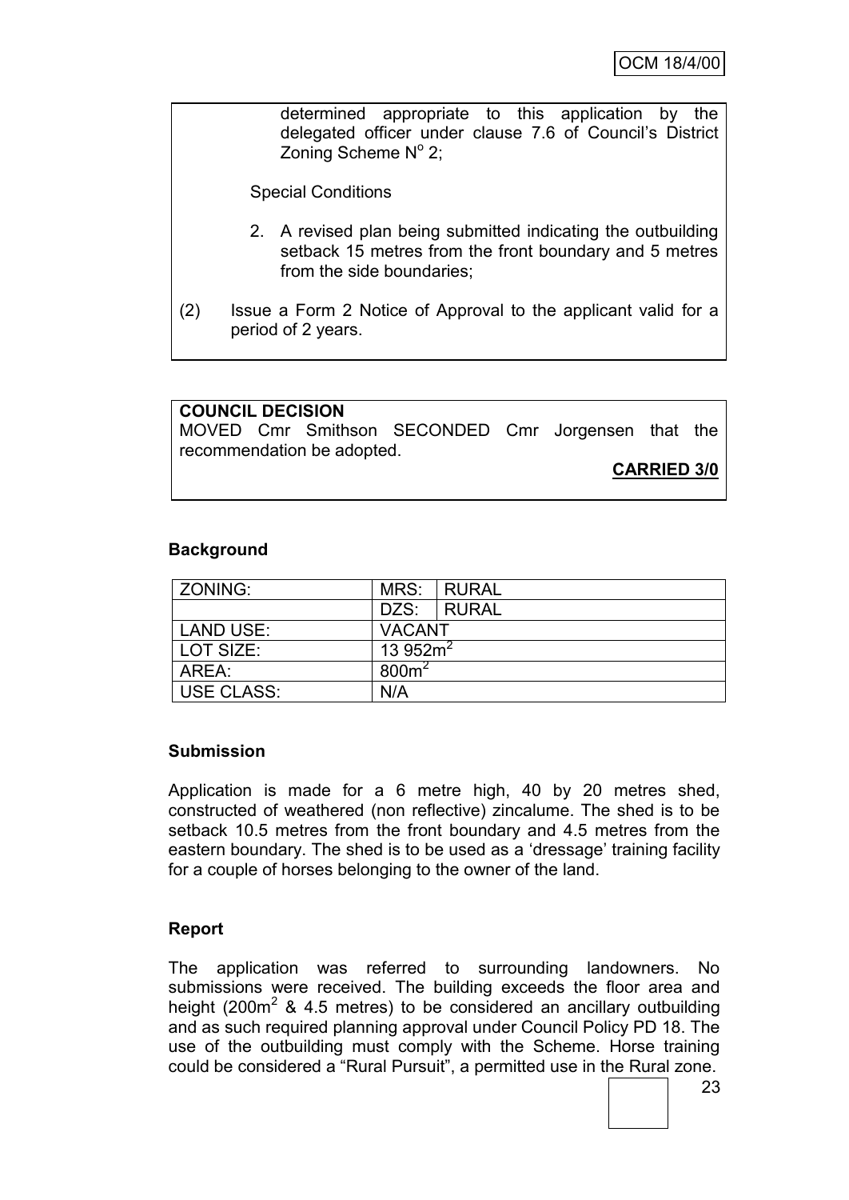determined appropriate to this application by the delegated officer under clause 7.6 of Council's District Zoning Scheme  $N^{\circ}$  2;

Special Conditions

- 2. A revised plan being submitted indicating the outbuilding setback 15 metres from the front boundary and 5 metres from the side boundaries;
- (2) Issue a Form 2 Notice of Approval to the applicant valid for a period of 2 years.

**COUNCIL DECISION** MOVED Cmr Smithson SECONDED Cmr Jorgensen that the recommendation be adopted. **CARRIED 3/0**

#### **Background**

| ZONING:                    | MRS:                    | <b>RURAL</b> |
|----------------------------|-------------------------|--------------|
|                            |                         | DZS: RURAL   |
| <b>LAND USE:</b>           | <b>VACANT</b>           |              |
| LOT SIZE:                  | 13 952 $\overline{m^2}$ |              |
| 800m <sup>2</sup><br>AREA: |                         |              |
| <b>USE CLASS:</b>          | N/A                     |              |

#### **Submission**

Application is made for a 6 metre high, 40 by 20 metres shed, constructed of weathered (non reflective) zincalume. The shed is to be setback 10.5 metres from the front boundary and 4.5 metres from the eastern boundary. The shed is to be used as a 'dressage' training facility for a couple of horses belonging to the owner of the land.

#### **Report**

The application was referred to surrounding landowners. No submissions were received. The building exceeds the floor area and height (200 $m^2$  & 4.5 metres) to be considered an ancillary outbuilding and as such required planning approval under Council Policy PD 18. The use of the outbuilding must comply with the Scheme. Horse training could be considered a "Rural Pursuit", a permitted use in the Rural zone.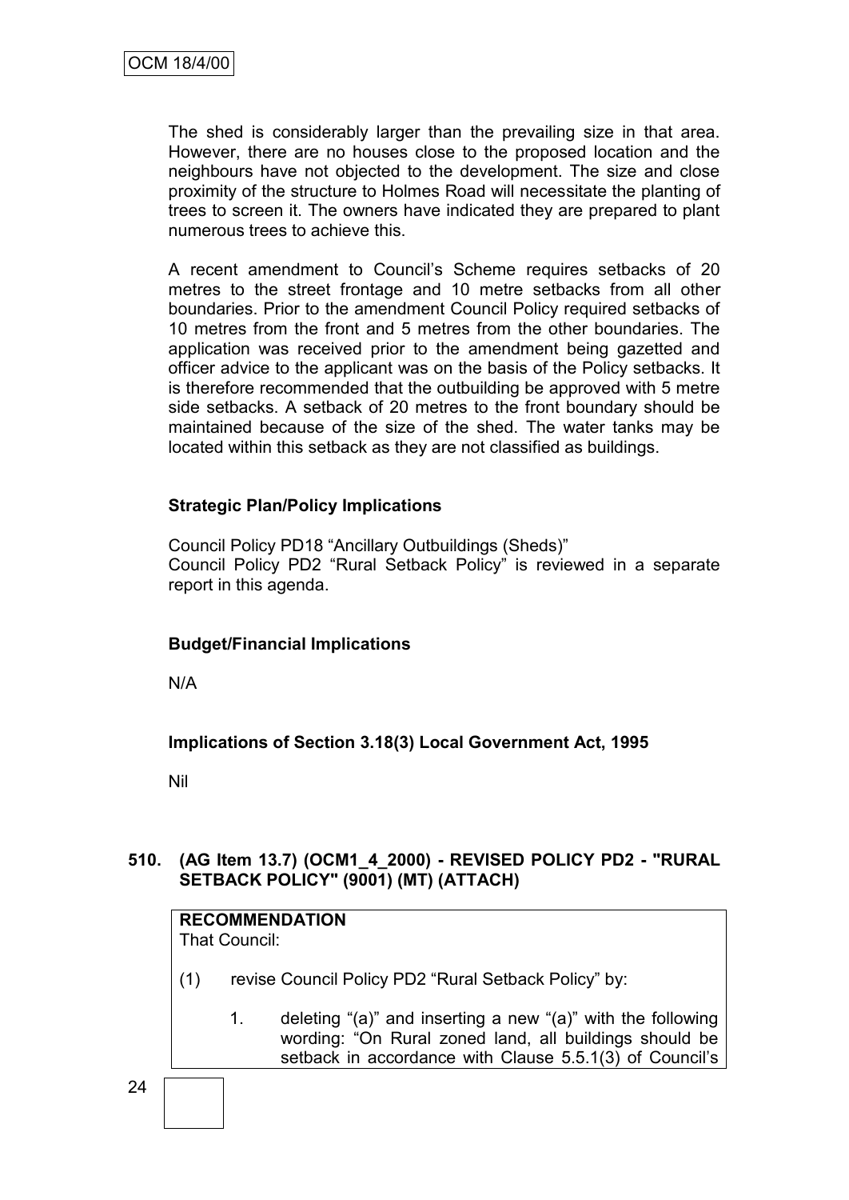The shed is considerably larger than the prevailing size in that area. However, there are no houses close to the proposed location and the neighbours have not objected to the development. The size and close proximity of the structure to Holmes Road will necessitate the planting of trees to screen it. The owners have indicated they are prepared to plant numerous trees to achieve this.

A recent amendment to Council's Scheme requires setbacks of 20 metres to the street frontage and 10 metre setbacks from all other boundaries. Prior to the amendment Council Policy required setbacks of 10 metres from the front and 5 metres from the other boundaries. The application was received prior to the amendment being gazetted and officer advice to the applicant was on the basis of the Policy setbacks. It is therefore recommended that the outbuilding be approved with 5 metre side setbacks. A setback of 20 metres to the front boundary should be maintained because of the size of the shed. The water tanks may be located within this setback as they are not classified as buildings.

# **Strategic Plan/Policy Implications**

Council Policy PD18 "Ancillary Outbuildings (Sheds)" Council Policy PD2 "Rural Setback Policy" is reviewed in a separate report in this agenda.

# **Budget/Financial Implications**

N/A

# **Implications of Section 3.18(3) Local Government Act, 1995**

Nil

24

# **510. (AG Item 13.7) (OCM1\_4\_2000) - REVISED POLICY PD2 - "RURAL SETBACK POLICY" (9001) (MT) (ATTACH)**

| <b>RECOMMENDATION</b><br>That Council: |             |                                                                                                                                                                                          |  |  |  |  |
|----------------------------------------|-------------|------------------------------------------------------------------------------------------------------------------------------------------------------------------------------------------|--|--|--|--|
| (1)                                    |             | revise Council Policy PD2 "Rural Setback Policy" by:                                                                                                                                     |  |  |  |  |
|                                        | $1_{\cdot}$ | deleting " $(a)$ " and inserting a new " $(a)$ " with the following<br>wording: "On Rural zoned land, all buildings should be<br>setback in accordance with Clause 5.5.1(3) of Council's |  |  |  |  |
|                                        |             |                                                                                                                                                                                          |  |  |  |  |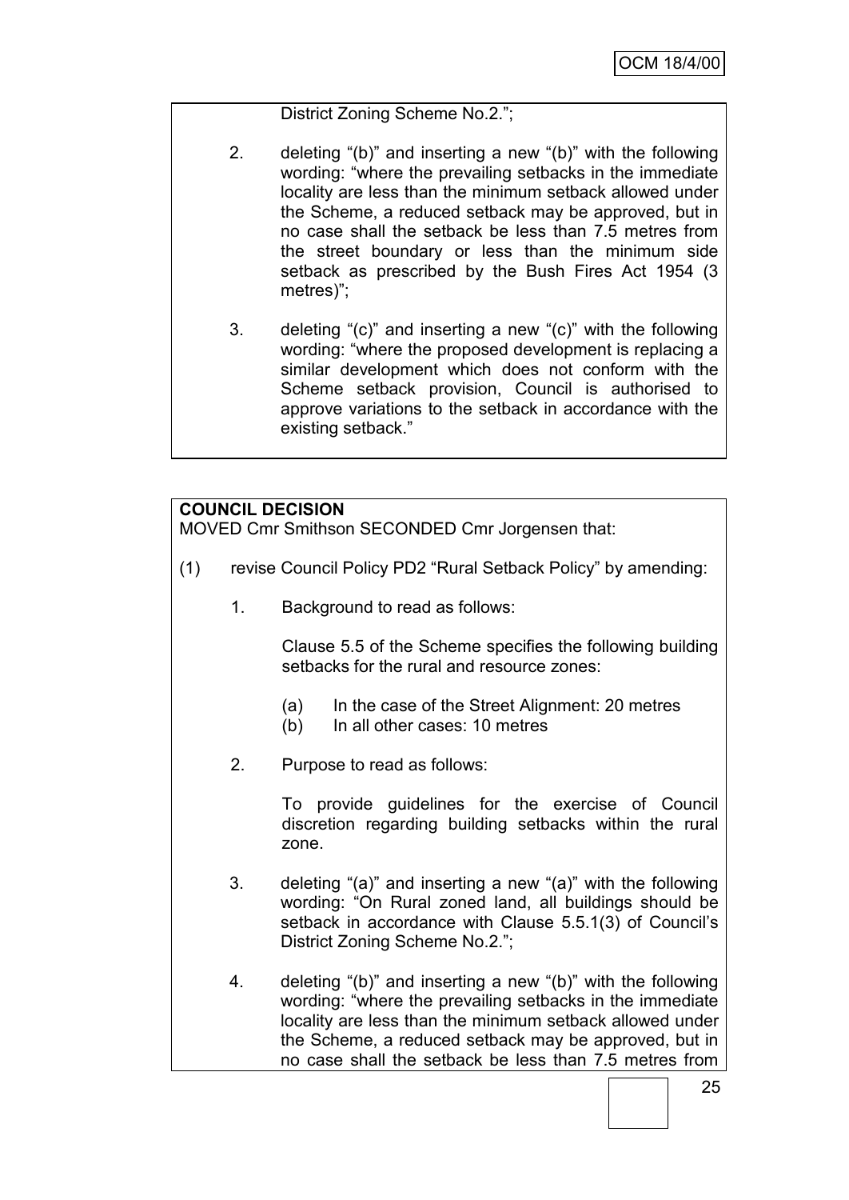# District Zoning Scheme No.2.";

- 2. deleting "(b)" and inserting a new "(b)" with the following wording: "where the prevailing setbacks in the immediate locality are less than the minimum setback allowed under the Scheme, a reduced setback may be approved, but in no case shall the setback be less than 7.5 metres from the street boundary or less than the minimum side setback as prescribed by the Bush Fires Act 1954 (3 metres)";
- 3. deleting "(c)" and inserting a new "(c)" with the following wording: "where the proposed development is replacing a similar development which does not conform with the Scheme setback provision, Council is authorised to approve variations to the setback in accordance with the existing setback."

# **COUNCIL DECISION**

MOVED Cmr Smithson SECONDED Cmr Jorgensen that:

- (1) revise Council Policy PD2 "Rural Setback Policy" by amending:
	- 1. Background to read as follows:

Clause 5.5 of the Scheme specifies the following building setbacks for the rural and resource zones:

- (a) In the case of the Street Alignment: 20 metres
- (b) In all other cases: 10 metres
- 2. Purpose to read as follows:

To provide guidelines for the exercise of Council discretion regarding building setbacks within the rural zone.

- 3. deleting "(a)" and inserting a new "(a)" with the following wording: "On Rural zoned land, all buildings should be setback in accordance with Clause 5.5.1(3) of Council's District Zoning Scheme No.2.";
- 4. deleting "(b)" and inserting a new "(b)" with the following wording: "where the prevailing setbacks in the immediate locality are less than the minimum setback allowed under the Scheme, a reduced setback may be approved, but in no case shall the setback be less than 7.5 metres from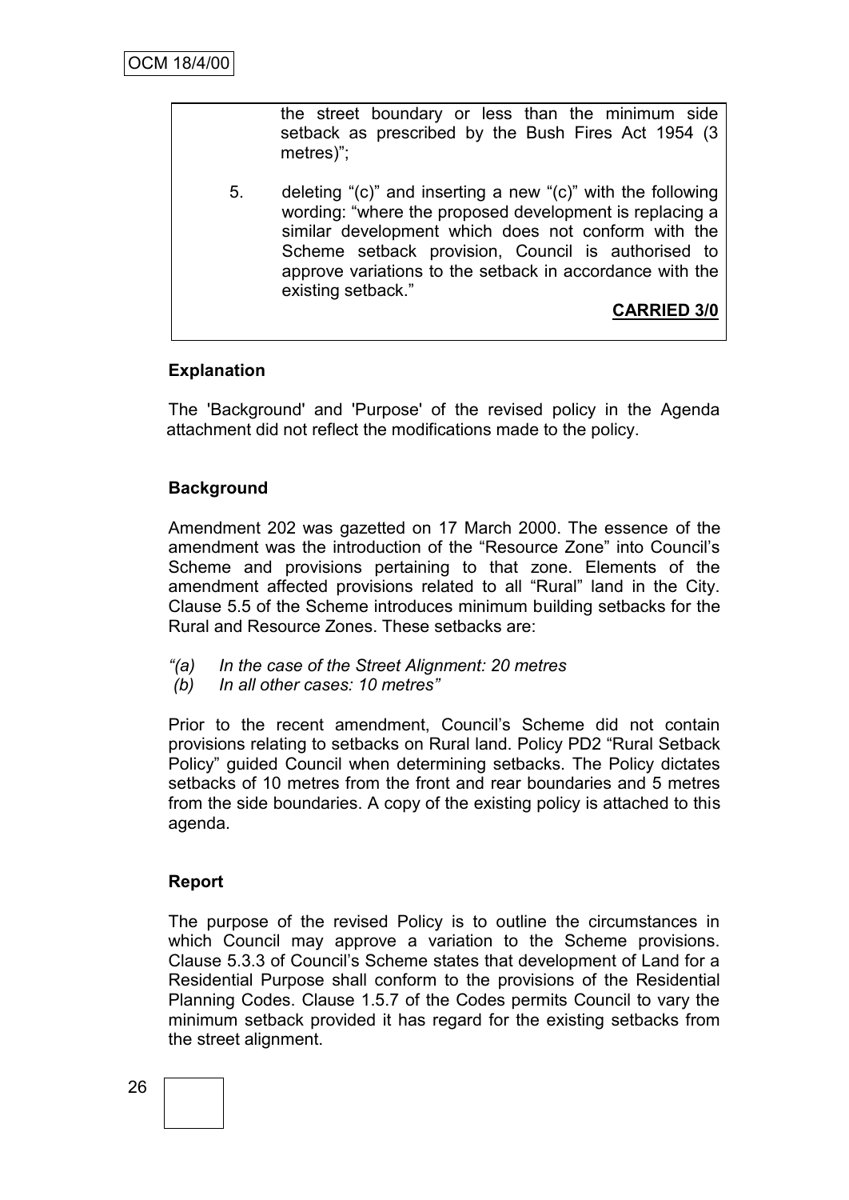the street boundary or less than the minimum side setback as prescribed by the Bush Fires Act 1954 (3 metres)";

5. deleting "(c)" and inserting a new "(c)" with the following wording: "where the proposed development is replacing a similar development which does not conform with the Scheme setback provision, Council is authorised to approve variations to the setback in accordance with the existing setback."

**CARRIED 3/0**

# **Explanation**

The 'Background' and 'Purpose' of the revised policy in the Agenda attachment did not reflect the modifications made to the policy.

#### **Background**

Amendment 202 was gazetted on 17 March 2000. The essence of the amendment was the introduction of the "Resource Zone" into Council's Scheme and provisions pertaining to that zone. Elements of the amendment affected provisions related to all "Rural" land in the City. Clause 5.5 of the Scheme introduces minimum building setbacks for the Rural and Resource Zones. These setbacks are:

- *"(a) In the case of the Street Alignment: 20 metres*
- *(b) In all other cases: 10 metres"*

Prior to the recent amendment, Council's Scheme did not contain provisions relating to setbacks on Rural land. Policy PD2 "Rural Setback Policy" guided Council when determining setbacks. The Policy dictates setbacks of 10 metres from the front and rear boundaries and 5 metres from the side boundaries. A copy of the existing policy is attached to this agenda.

#### **Report**

The purpose of the revised Policy is to outline the circumstances in which Council may approve a variation to the Scheme provisions. Clause 5.3.3 of Council's Scheme states that development of Land for a Residential Purpose shall conform to the provisions of the Residential Planning Codes. Clause 1.5.7 of the Codes permits Council to vary the minimum setback provided it has regard for the existing setbacks from the street alignment.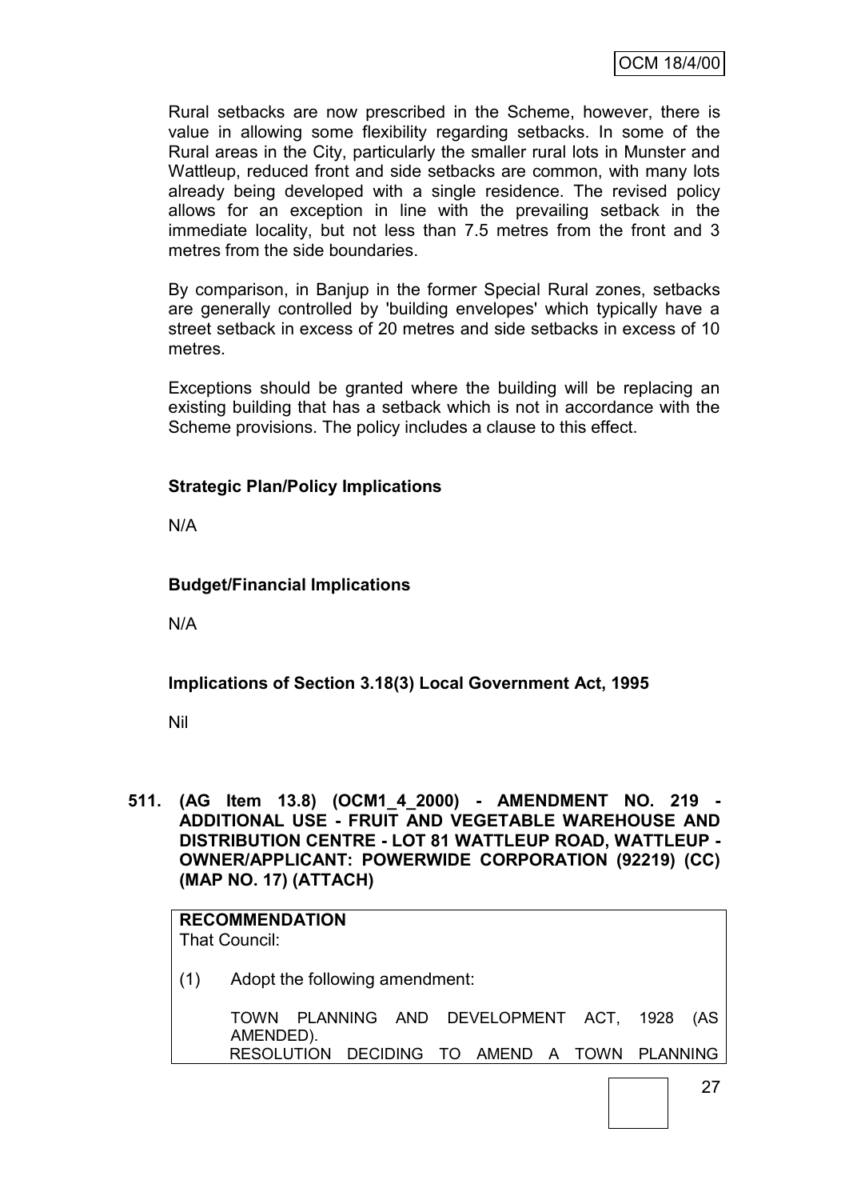Rural setbacks are now prescribed in the Scheme, however, there is value in allowing some flexibility regarding setbacks. In some of the Rural areas in the City, particularly the smaller rural lots in Munster and Wattleup, reduced front and side setbacks are common, with many lots already being developed with a single residence. The revised policy allows for an exception in line with the prevailing setback in the immediate locality, but not less than 7.5 metres from the front and 3 metres from the side boundaries.

By comparison, in Banjup in the former Special Rural zones, setbacks are generally controlled by 'building envelopes' which typically have a street setback in excess of 20 metres and side setbacks in excess of 10 metres.

Exceptions should be granted where the building will be replacing an existing building that has a setback which is not in accordance with the Scheme provisions. The policy includes a clause to this effect.

#### **Strategic Plan/Policy Implications**

N/A

#### **Budget/Financial Implications**

N/A

#### **Implications of Section 3.18(3) Local Government Act, 1995**

Nil

**511. (AG Item 13.8) (OCM1\_4\_2000) - AMENDMENT NO. 219 - ADDITIONAL USE - FRUIT AND VEGETABLE WAREHOUSE AND DISTRIBUTION CENTRE - LOT 81 WATTLEUP ROAD, WATTLEUP - OWNER/APPLICANT: POWERWIDE CORPORATION (92219) (CC) (MAP NO. 17) (ATTACH)**

# **RECOMMENDATION**

That Council:

(1) Adopt the following amendment:

TOWN PLANNING AND DEVELOPMENT ACT, 1928 (AS AMENDED). RESOLUTION DECIDING TO AMEND A TOWN PLANNING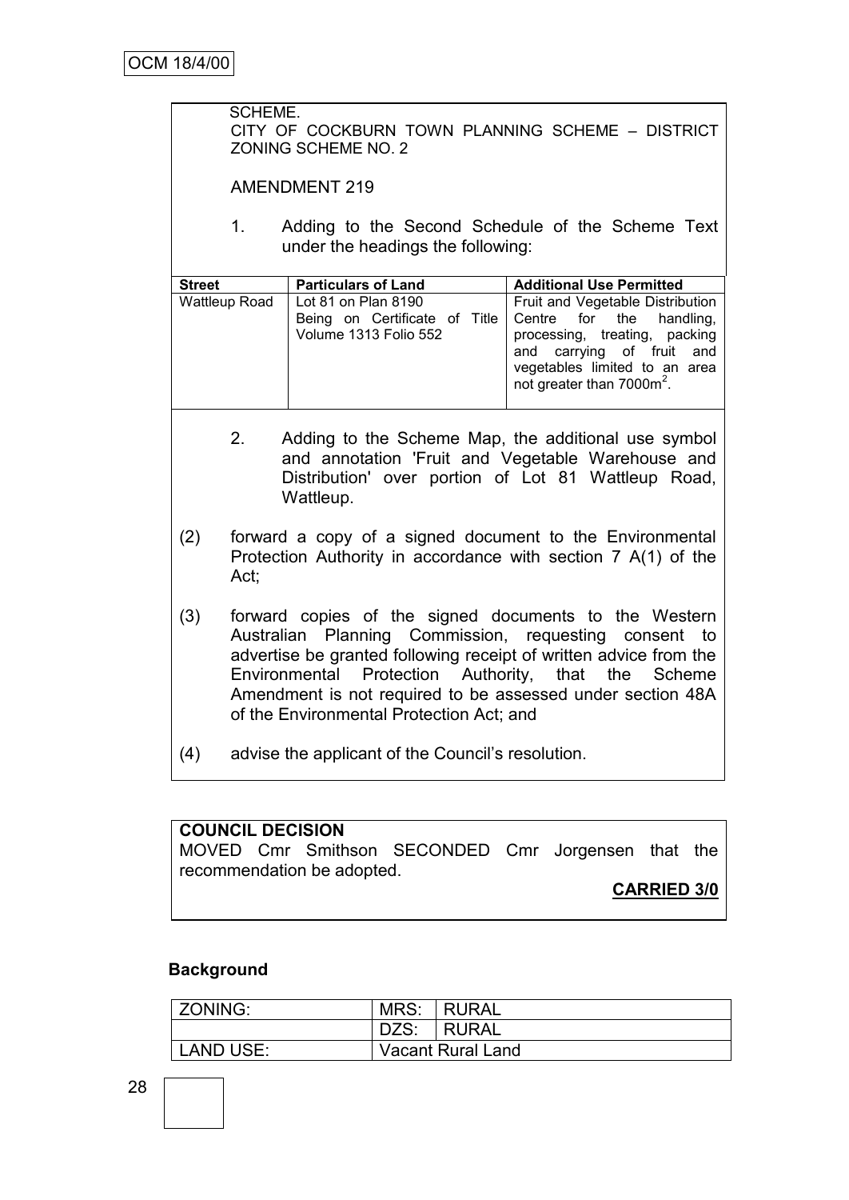|               | SCHEME.                                                                                                                                                                            | CITY OF COCKBURN TOWN PLANNING SCHEME - DISTRICT<br>ZONING SCHEME NO. 2                                                                                                                                                                                                                                                                      |                                                                                                                                                                                                                     |
|---------------|------------------------------------------------------------------------------------------------------------------------------------------------------------------------------------|----------------------------------------------------------------------------------------------------------------------------------------------------------------------------------------------------------------------------------------------------------------------------------------------------------------------------------------------|---------------------------------------------------------------------------------------------------------------------------------------------------------------------------------------------------------------------|
|               |                                                                                                                                                                                    | <b>AMENDMENT 219</b>                                                                                                                                                                                                                                                                                                                         |                                                                                                                                                                                                                     |
|               | 1.                                                                                                                                                                                 | Adding to the Second Schedule of the Scheme Text<br>under the headings the following:                                                                                                                                                                                                                                                        |                                                                                                                                                                                                                     |
| <b>Street</b> |                                                                                                                                                                                    | <b>Particulars of Land</b>                                                                                                                                                                                                                                                                                                                   | <b>Additional Use Permitted</b>                                                                                                                                                                                     |
|               | <b>Wattleup Road</b>                                                                                                                                                               | Lot 81 on Plan 8190<br>Being on Certificate of Title<br>Volume 1313 Folio 552                                                                                                                                                                                                                                                                | Fruit and Vegetable Distribution<br>Centre<br>handling,<br>for<br>the<br>processing, treating, packing<br>carrying of fruit<br>and<br>and<br>vegetables limited to an area<br>not greater than 7000m <sup>2</sup> . |
|               | 2.<br>Adding to the Scheme Map, the additional use symbol<br>and annotation 'Fruit and Vegetable Warehouse and<br>Distribution' over portion of Lot 81 Wattleup Road,<br>Wattleup. |                                                                                                                                                                                                                                                                                                                                              |                                                                                                                                                                                                                     |
| (2)           | forward a copy of a signed document to the Environmental<br>Protection Authority in accordance with section 7 A(1) of the<br>Act:                                                  |                                                                                                                                                                                                                                                                                                                                              |                                                                                                                                                                                                                     |
| (3)           |                                                                                                                                                                                    | forward copies of the signed documents to the Western<br>Australian Planning Commission, requesting consent to<br>advertise be granted following receipt of written advice from the<br>Protection Authority, that<br>Environmental<br>Amendment is not required to be assessed under section 48A<br>of the Environmental Protection Act; and | the<br>Scheme                                                                                                                                                                                                       |
| (4)           |                                                                                                                                                                                    | advise the applicant of the Council's resolution.                                                                                                                                                                                                                                                                                            |                                                                                                                                                                                                                     |

**COUNCIL DECISION** MOVED Cmr Smithson SECONDED Cmr Jorgensen that the recommendation be adopted.

**CARRIED 3/0**

# **Background**

| <b>ZONING:</b> |      | MRS: RURAL        |
|----------------|------|-------------------|
|                | DZS: | RURAL             |
| LAND USE:      |      | Vacant Rural Land |

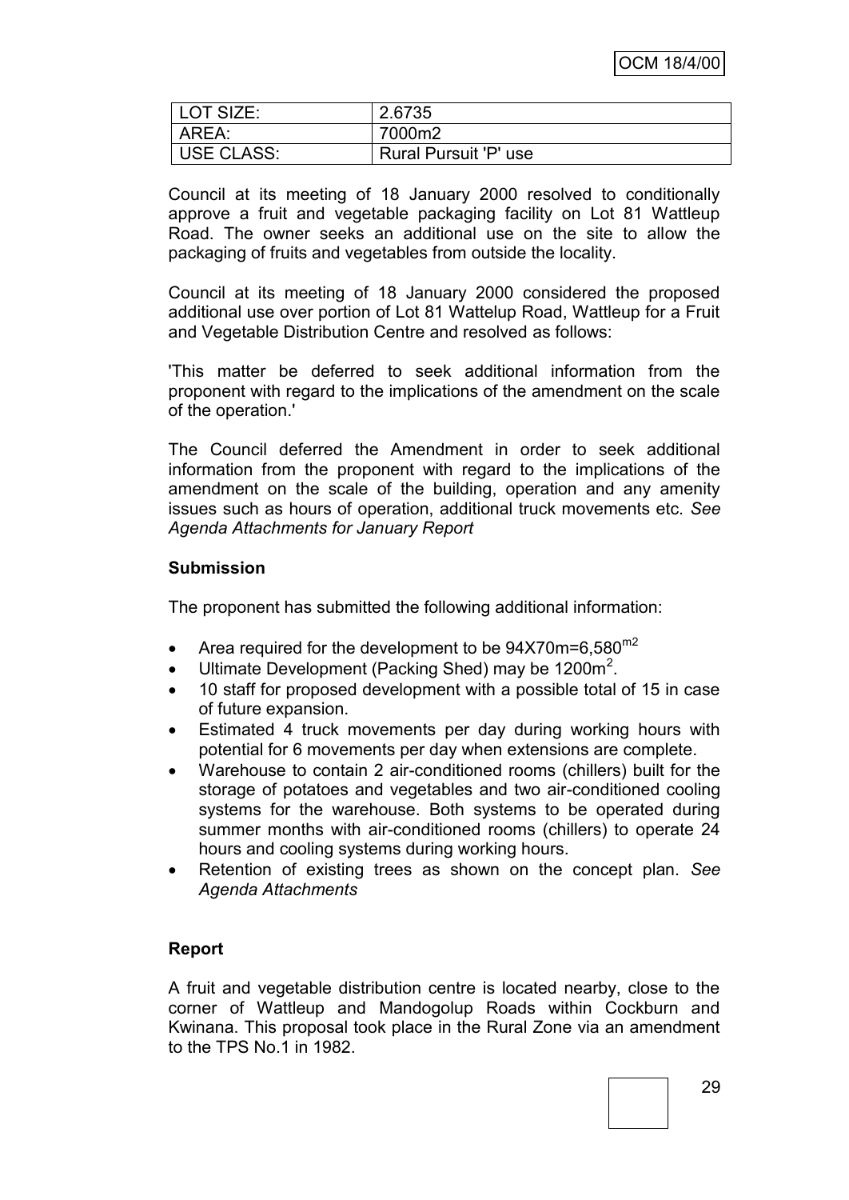| LOT SIZE:  | 2.6735                |
|------------|-----------------------|
| AREA:      | 7000m2                |
| USE CLASS: | Rural Pursuit 'P' use |

Council at its meeting of 18 January 2000 resolved to conditionally approve a fruit and vegetable packaging facility on Lot 81 Wattleup Road. The owner seeks an additional use on the site to allow the packaging of fruits and vegetables from outside the locality.

Council at its meeting of 18 January 2000 considered the proposed additional use over portion of Lot 81 Wattelup Road, Wattleup for a Fruit and Vegetable Distribution Centre and resolved as follows:

'This matter be deferred to seek additional information from the proponent with regard to the implications of the amendment on the scale of the operation.'

The Council deferred the Amendment in order to seek additional information from the proponent with regard to the implications of the amendment on the scale of the building, operation and any amenity issues such as hours of operation, additional truck movements etc. *See Agenda Attachments for January Report*

#### **Submission**

The proponent has submitted the following additional information:

- Area required for the development to be  $94X70m=6.580^{m2}$
- Ultimate Development (Packing Shed) may be 1200 $m^2$ .
- 10 staff for proposed development with a possible total of 15 in case of future expansion.
- Estimated 4 truck movements per day during working hours with potential for 6 movements per day when extensions are complete.
- Warehouse to contain 2 air-conditioned rooms (chillers) built for the storage of potatoes and vegetables and two air-conditioned cooling systems for the warehouse. Both systems to be operated during summer months with air-conditioned rooms (chillers) to operate 24 hours and cooling systems during working hours.
- Retention of existing trees as shown on the concept plan. *See Agenda Attachments*

#### **Report**

A fruit and vegetable distribution centre is located nearby, close to the corner of Wattleup and Mandogolup Roads within Cockburn and Kwinana. This proposal took place in the Rural Zone via an amendment to the TPS No.1 in 1982.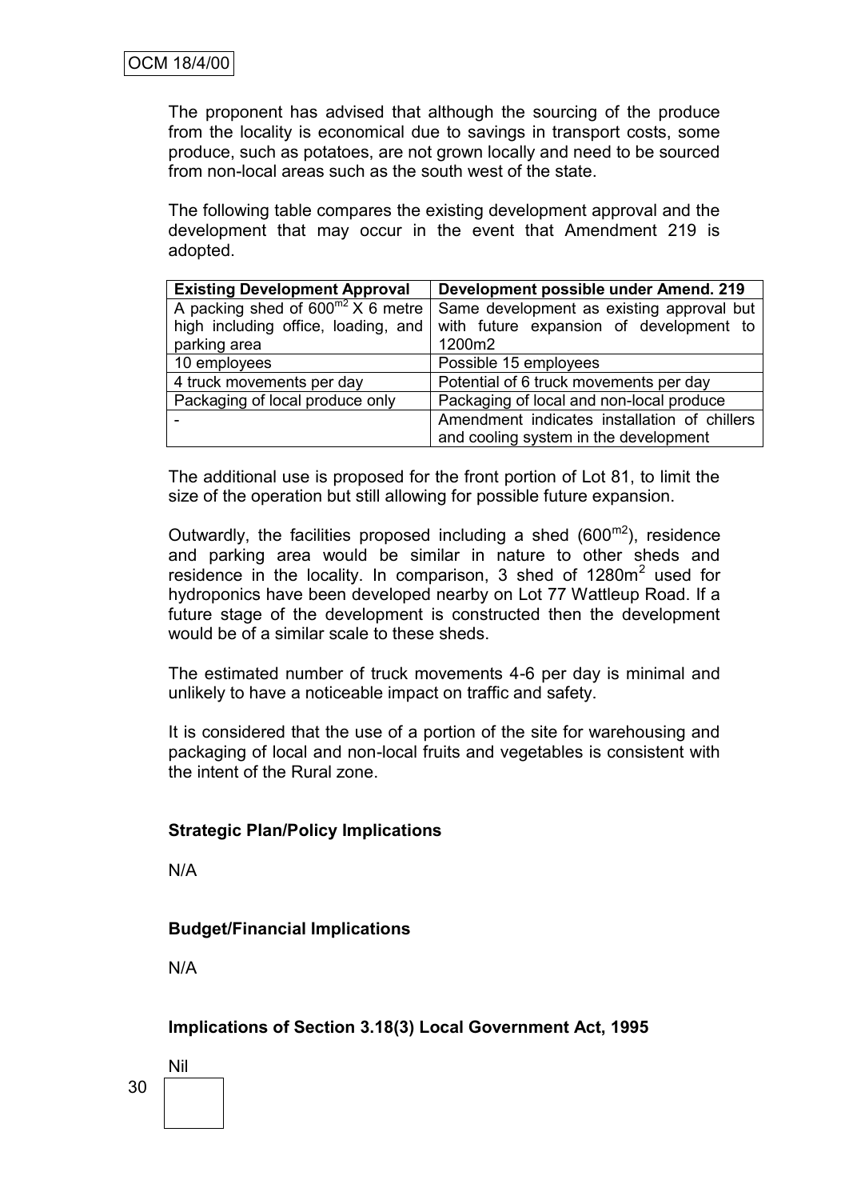The proponent has advised that although the sourcing of the produce from the locality is economical due to savings in transport costs, some produce, such as potatoes, are not grown locally and need to be sourced from non-local areas such as the south west of the state.

The following table compares the existing development approval and the development that may occur in the event that Amendment 219 is adopted.

| <b>Existing Development Approval</b>        | Development possible under Amend. 219        |
|---------------------------------------------|----------------------------------------------|
| A packing shed of $600^{m2} \times 6$ metre | Same development as existing approval but    |
| high including office, loading, and         | with future expansion of development to      |
| parking area                                | 1200m2                                       |
| 10 employees                                | Possible 15 employees                        |
| 4 truck movements per day                   | Potential of 6 truck movements per day       |
| Packaging of local produce only             | Packaging of local and non-local produce     |
|                                             | Amendment indicates installation of chillers |
|                                             | and cooling system in the development        |

The additional use is proposed for the front portion of Lot 81, to limit the size of the operation but still allowing for possible future expansion.

Outwardly, the facilities proposed including a shed  $(600^{m2})$ , residence and parking area would be similar in nature to other sheds and residence in the locality. In comparison, 3 shed of  $1280m^2$  used for hydroponics have been developed nearby on Lot 77 Wattleup Road. If a future stage of the development is constructed then the development would be of a similar scale to these sheds.

The estimated number of truck movements 4-6 per day is minimal and unlikely to have a noticeable impact on traffic and safety.

It is considered that the use of a portion of the site for warehousing and packaging of local and non-local fruits and vegetables is consistent with the intent of the Rural zone.

# **Strategic Plan/Policy Implications**

N/A

# **Budget/Financial Implications**

N/A

#### **Implications of Section 3.18(3) Local Government Act, 1995**

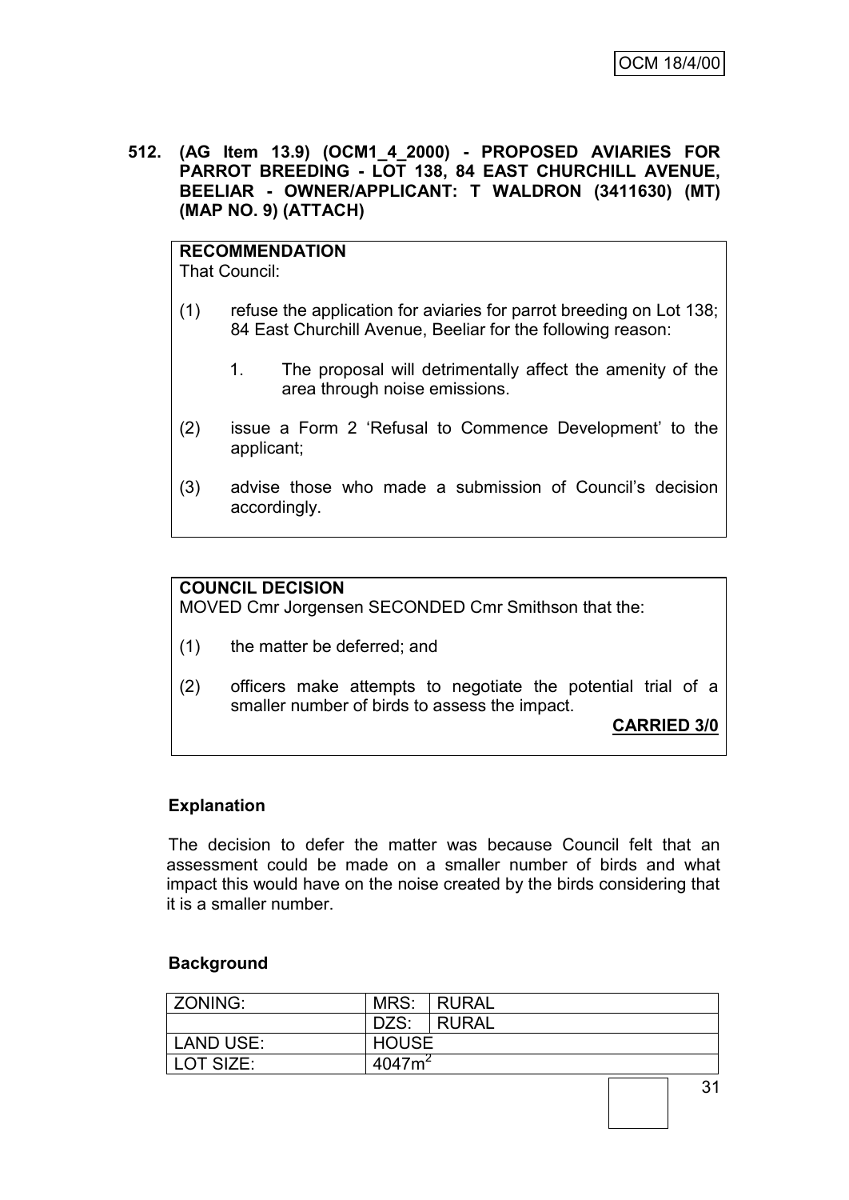**512. (AG Item 13.9) (OCM1\_4\_2000) - PROPOSED AVIARIES FOR PARROT BREEDING - LOT 138, 84 EAST CHURCHILL AVENUE, BEELIAR - OWNER/APPLICANT: T WALDRON (3411630) (MT) (MAP NO. 9) (ATTACH)**

**RECOMMENDATION** That Council:

- (1) refuse the application for aviaries for parrot breeding on Lot 138; 84 East Churchill Avenue, Beeliar for the following reason:
	- 1. The proposal will detrimentally affect the amenity of the area through noise emissions.
- (2) issue a Form 2 'Refusal to Commence Development' to the applicant;
- (3) advise those who made a submission of Council's decision accordingly.

# **COUNCIL DECISION**

MOVED Cmr Jorgensen SECONDED Cmr Smithson that the:

- (1) the matter be deferred; and
- (2) officers make attempts to negotiate the potential trial of a smaller number of birds to assess the impact.

**CARRIED 3/0**

# **Explanation**

The decision to defer the matter was because Council felt that an assessment could be made on a smaller number of birds and what impact this would have on the noise created by the birds considering that it is a smaller number.

#### **Background**

| ZONING:   | MRS:         | I RURAL      |
|-----------|--------------|--------------|
|           | DZS:         | <b>RURAL</b> |
| LAND USE: | <b>HOUSE</b> |              |
| LOT SIZE: | $4047m^2$    |              |

31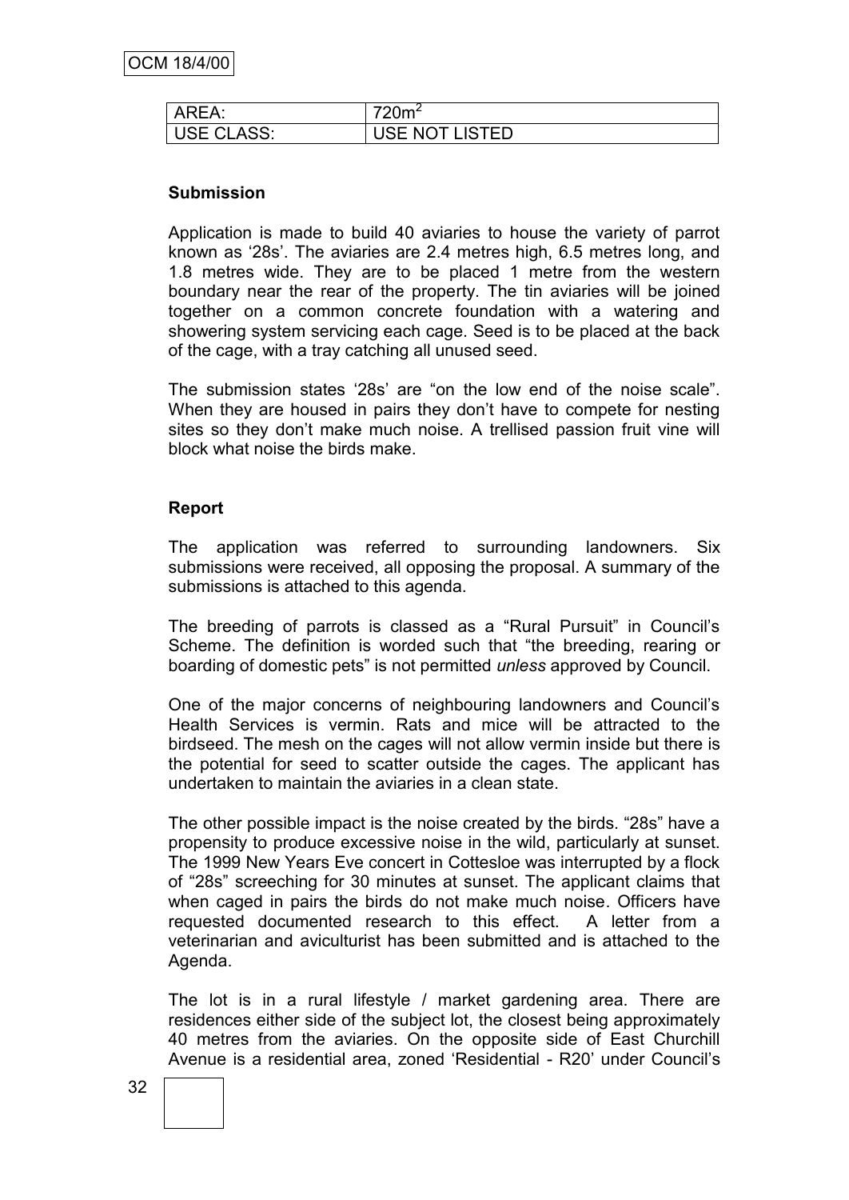| ARFA              | 720m <sup>2</sup> |
|-------------------|-------------------|
| <b>USE CLASS:</b> | USE NOT LISTED    |

#### **Submission**

Application is made to build 40 aviaries to house the variety of parrot known as '28s'. The aviaries are 2.4 metres high, 6.5 metres long, and 1.8 metres wide. They are to be placed 1 metre from the western boundary near the rear of the property. The tin aviaries will be joined together on a common concrete foundation with a watering and showering system servicing each cage. Seed is to be placed at the back of the cage, with a tray catching all unused seed.

The submission states '28s' are "on the low end of the noise scale". When they are housed in pairs they don't have to compete for nesting sites so they don't make much noise. A trellised passion fruit vine will block what noise the birds make.

#### **Report**

The application was referred to surrounding landowners. Six submissions were received, all opposing the proposal. A summary of the submissions is attached to this agenda.

The breeding of parrots is classed as a "Rural Pursuit" in Council's Scheme. The definition is worded such that "the breeding, rearing or boarding of domestic pets" is not permitted *unless* approved by Council.

One of the major concerns of neighbouring landowners and Council's Health Services is vermin. Rats and mice will be attracted to the birdseed. The mesh on the cages will not allow vermin inside but there is the potential for seed to scatter outside the cages. The applicant has undertaken to maintain the aviaries in a clean state.

The other possible impact is the noise created by the birds. "28s" have a propensity to produce excessive noise in the wild, particularly at sunset. The 1999 New Years Eve concert in Cottesloe was interrupted by a flock of "28s" screeching for 30 minutes at sunset. The applicant claims that when caged in pairs the birds do not make much noise. Officers have requested documented research to this effect. A letter from a veterinarian and aviculturist has been submitted and is attached to the Agenda.

The lot is in a rural lifestyle / market gardening area. There are residences either side of the subject lot, the closest being approximately 40 metres from the aviaries. On the opposite side of East Churchill Avenue is a residential area, zoned 'Residential - R20' under Council's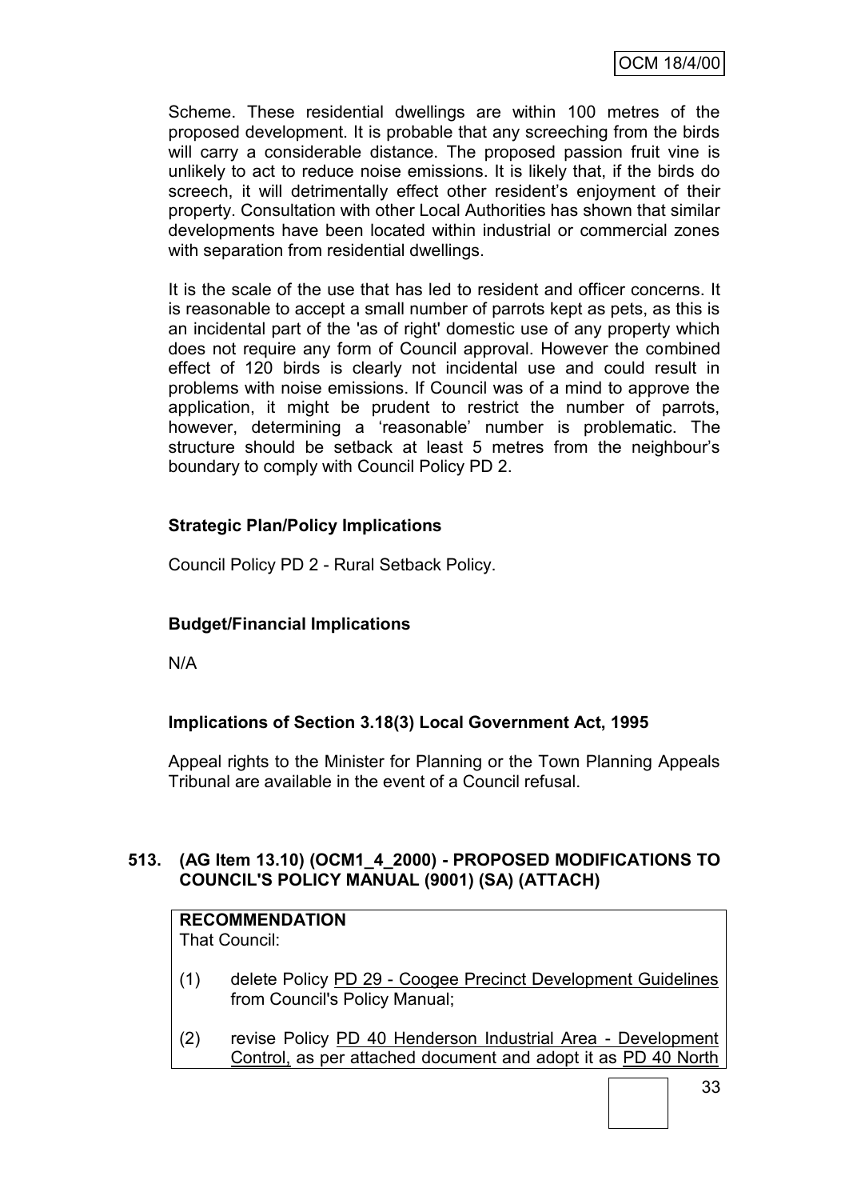Scheme. These residential dwellings are within 100 metres of the proposed development. It is probable that any screeching from the birds will carry a considerable distance. The proposed passion fruit vine is unlikely to act to reduce noise emissions. It is likely that, if the birds do screech, it will detrimentally effect other resident's enjoyment of their property. Consultation with other Local Authorities has shown that similar developments have been located within industrial or commercial zones with separation from residential dwellings.

It is the scale of the use that has led to resident and officer concerns. It is reasonable to accept a small number of parrots kept as pets, as this is an incidental part of the 'as of right' domestic use of any property which does not require any form of Council approval. However the combined effect of 120 birds is clearly not incidental use and could result in problems with noise emissions. If Council was of a mind to approve the application, it might be prudent to restrict the number of parrots, however, determining a 'reasonable' number is problematic. The structure should be setback at least 5 metres from the neighbour's boundary to comply with Council Policy PD 2.

# **Strategic Plan/Policy Implications**

Council Policy PD 2 - Rural Setback Policy.

# **Budget/Financial Implications**

N/A

# **Implications of Section 3.18(3) Local Government Act, 1995**

Appeal rights to the Minister for Planning or the Town Planning Appeals Tribunal are available in the event of a Council refusal.

## **513. (AG Item 13.10) (OCM1\_4\_2000) - PROPOSED MODIFICATIONS TO COUNCIL'S POLICY MANUAL (9001) (SA) (ATTACH)**

# **RECOMMENDATION**

That Council:

- (1) delete Policy PD 29 Coogee Precinct Development Guidelines from Council's Policy Manual;
- (2) revise Policy PD 40 Henderson Industrial Area Development Control, as per attached document and adopt it as PD 40 North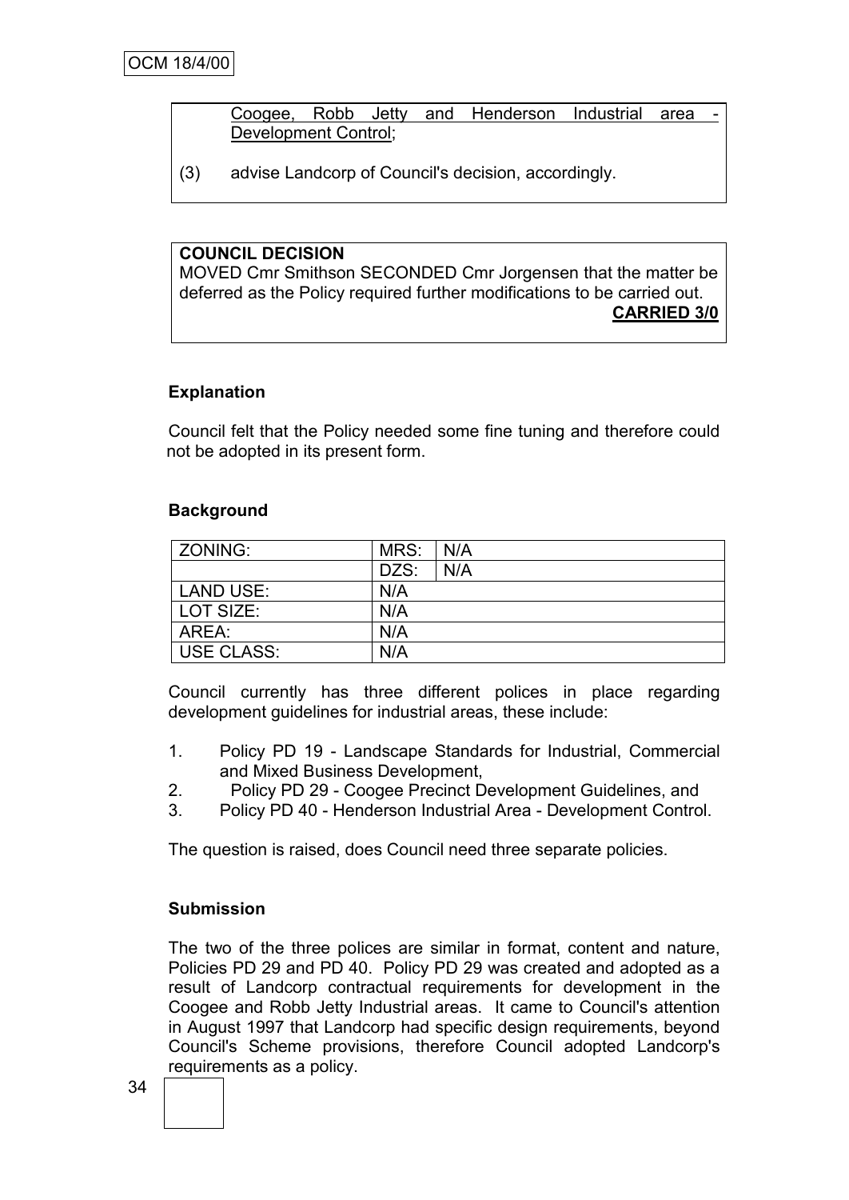Coogee, Robb Jetty and Henderson Industrial area Development Control;

(3) advise Landcorp of Council's decision, accordingly.

## **COUNCIL DECISION**

MOVED Cmr Smithson SECONDED Cmr Jorgensen that the matter be deferred as the Policy required further modifications to be carried out. **CARRIED 3/0**

## **Explanation**

Council felt that the Policy needed some fine tuning and therefore could not be adopted in its present form.

## **Background**

| <b>ZONING:</b>   | MRS: | N/A |
|------------------|------|-----|
|                  | DZS: | N/A |
| <b>LAND USE:</b> | N/A  |     |
| LOT SIZE:        | N/A  |     |
| AREA:            | N/A  |     |
| USE CLASS:       | N/A  |     |

Council currently has three different polices in place regarding development guidelines for industrial areas, these include:

- 1. Policy PD 19 Landscape Standards for Industrial, Commercial and Mixed Business Development,
- 2. Policy PD 29 Coogee Precinct Development Guidelines, and
- 3. Policy PD 40 Henderson Industrial Area Development Control.

The question is raised, does Council need three separate policies.

## **Submission**

The two of the three polices are similar in format, content and nature, Policies PD 29 and PD 40. Policy PD 29 was created and adopted as a result of Landcorp contractual requirements for development in the Coogee and Robb Jetty Industrial areas. It came to Council's attention in August 1997 that Landcorp had specific design requirements, beyond Council's Scheme provisions, therefore Council adopted Landcorp's requirements as a policy.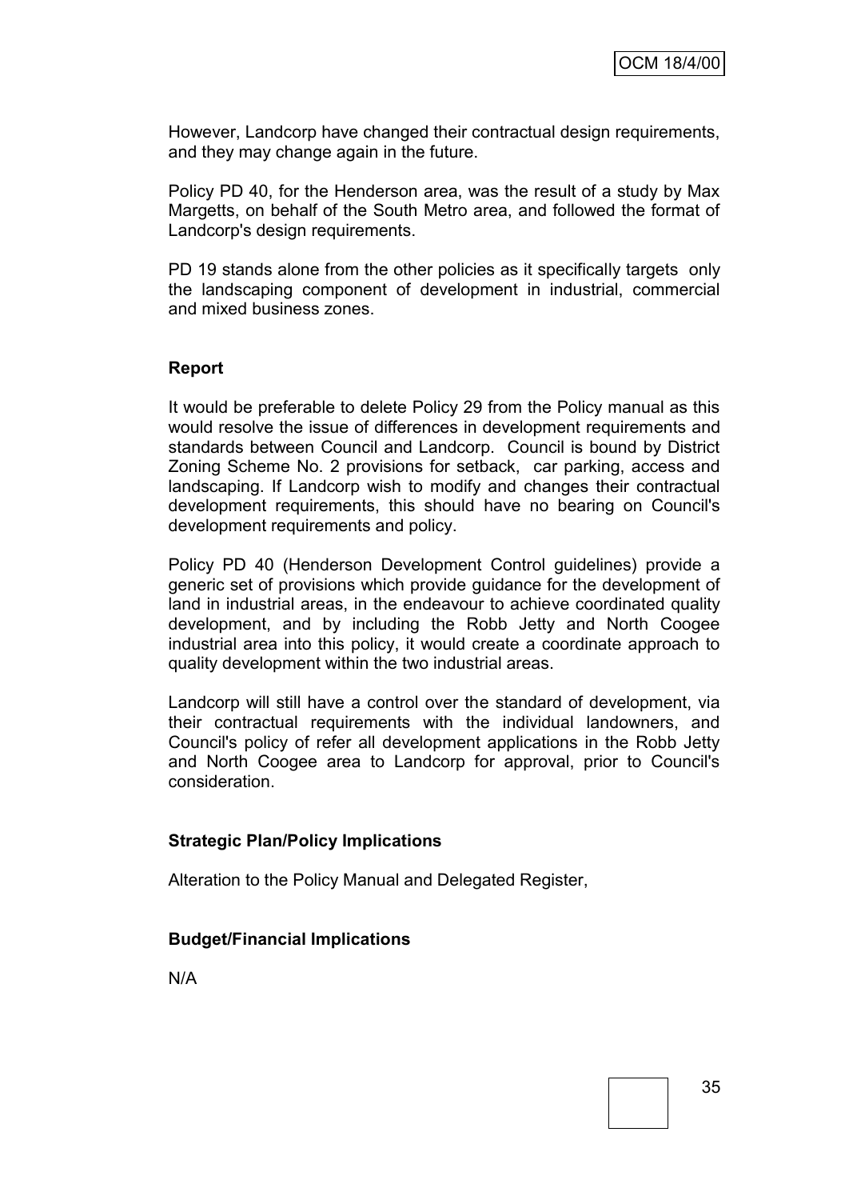However, Landcorp have changed their contractual design requirements, and they may change again in the future.

Policy PD 40, for the Henderson area, was the result of a study by Max Margetts, on behalf of the South Metro area, and followed the format of Landcorp's design requirements.

PD 19 stands alone from the other policies as it specifically targets only the landscaping component of development in industrial, commercial and mixed business zones.

## **Report**

It would be preferable to delete Policy 29 from the Policy manual as this would resolve the issue of differences in development requirements and standards between Council and Landcorp. Council is bound by District Zoning Scheme No. 2 provisions for setback, car parking, access and landscaping. If Landcorp wish to modify and changes their contractual development requirements, this should have no bearing on Council's development requirements and policy.

Policy PD 40 (Henderson Development Control guidelines) provide a generic set of provisions which provide guidance for the development of land in industrial areas, in the endeavour to achieve coordinated quality development, and by including the Robb Jetty and North Coogee industrial area into this policy, it would create a coordinate approach to quality development within the two industrial areas.

Landcorp will still have a control over the standard of development, via their contractual requirements with the individual landowners, and Council's policy of refer all development applications in the Robb Jetty and North Coogee area to Landcorp for approval, prior to Council's consideration.

#### **Strategic Plan/Policy Implications**

Alteration to the Policy Manual and Delegated Register,

## **Budget/Financial Implications**

N/A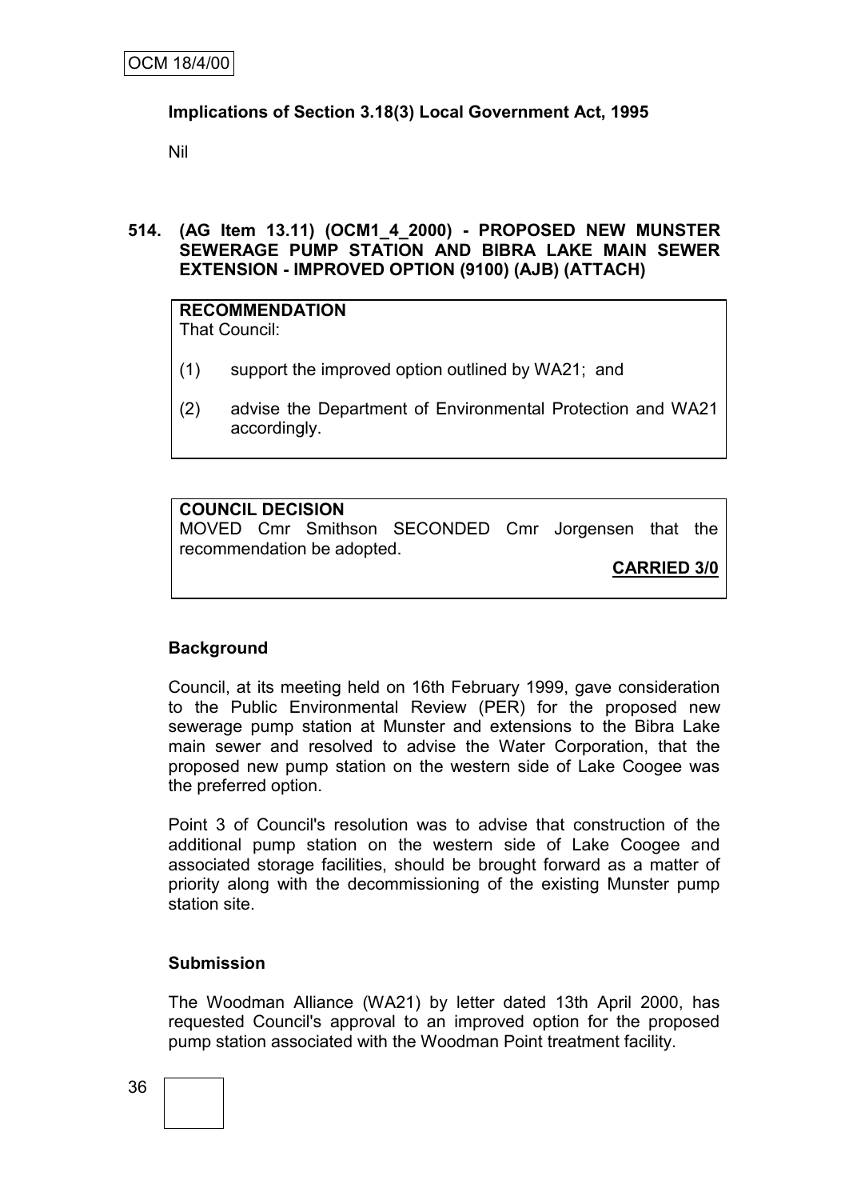## **Implications of Section 3.18(3) Local Government Act, 1995**

Nil

**514. (AG Item 13.11) (OCM1\_4\_2000) - PROPOSED NEW MUNSTER SEWERAGE PUMP STATION AND BIBRA LAKE MAIN SEWER EXTENSION - IMPROVED OPTION (9100) (AJB) (ATTACH)**

#### **RECOMMENDATION** That Council:

- (1) support the improved option outlined by WA21; and
- (2) advise the Department of Environmental Protection and WA21 accordingly.

## **COUNCIL DECISION**

MOVED Cmr Smithson SECONDED Cmr Jorgensen that the recommendation be adopted.

**CARRIED 3/0**

# **Background**

Council, at its meeting held on 16th February 1999, gave consideration to the Public Environmental Review (PER) for the proposed new sewerage pump station at Munster and extensions to the Bibra Lake main sewer and resolved to advise the Water Corporation, that the proposed new pump station on the western side of Lake Coogee was the preferred option.

Point 3 of Council's resolution was to advise that construction of the additional pump station on the western side of Lake Coogee and associated storage facilities, should be brought forward as a matter of priority along with the decommissioning of the existing Munster pump station site.

## **Submission**

The Woodman Alliance (WA21) by letter dated 13th April 2000, has requested Council's approval to an improved option for the proposed pump station associated with the Woodman Point treatment facility.

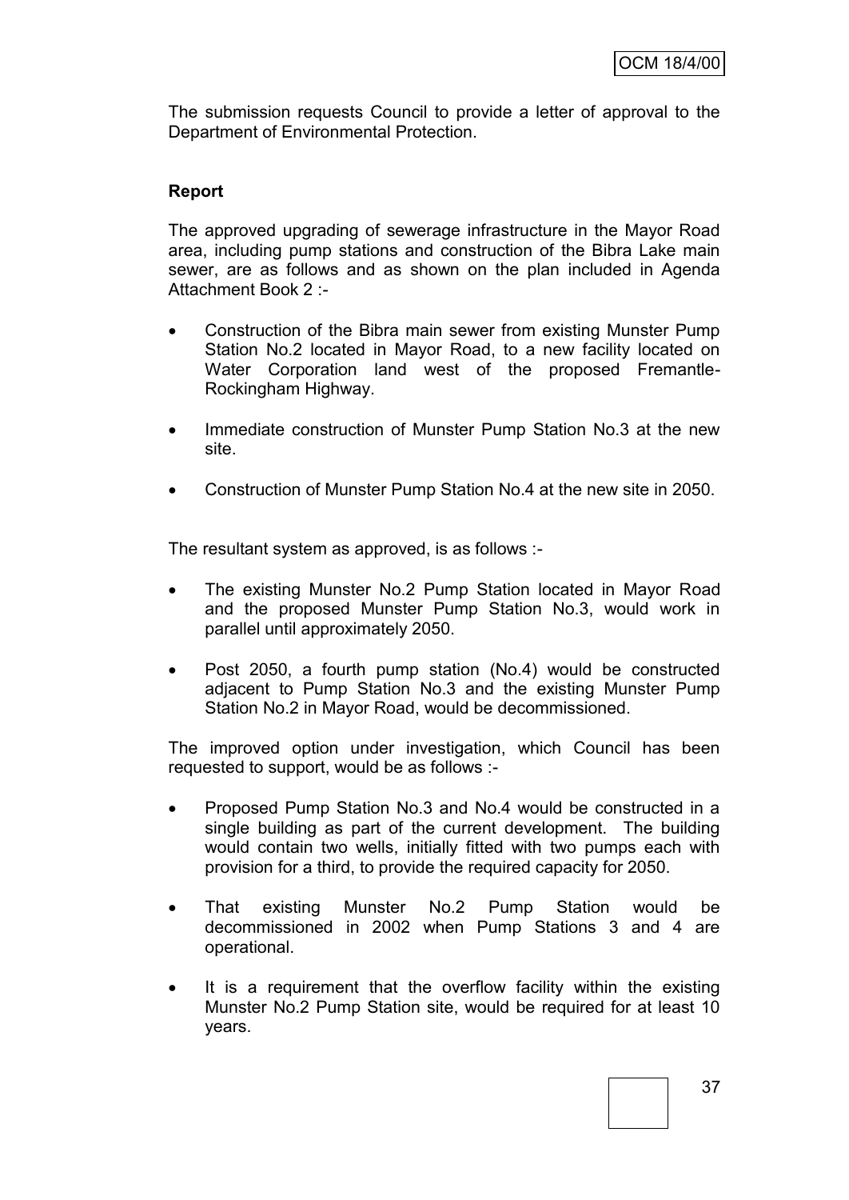The submission requests Council to provide a letter of approval to the Department of Environmental Protection.

## **Report**

The approved upgrading of sewerage infrastructure in the Mayor Road area, including pump stations and construction of the Bibra Lake main sewer, are as follows and as shown on the plan included in Agenda Attachment Book 2 :-

- Construction of the Bibra main sewer from existing Munster Pump Station No.2 located in Mayor Road, to a new facility located on Water Corporation land west of the proposed Fremantle-Rockingham Highway.
- Immediate construction of Munster Pump Station No.3 at the new site.
- Construction of Munster Pump Station No.4 at the new site in 2050.

The resultant system as approved, is as follows :-

- The existing Munster No.2 Pump Station located in Mayor Road and the proposed Munster Pump Station No.3, would work in parallel until approximately 2050.
- Post 2050, a fourth pump station (No.4) would be constructed adjacent to Pump Station No.3 and the existing Munster Pump Station No.2 in Mayor Road, would be decommissioned.

The improved option under investigation, which Council has been requested to support, would be as follows :-

- Proposed Pump Station No.3 and No.4 would be constructed in a single building as part of the current development. The building would contain two wells, initially fitted with two pumps each with provision for a third, to provide the required capacity for 2050.
- That existing Munster No.2 Pump Station would be decommissioned in 2002 when Pump Stations 3 and 4 are operational.
- It is a requirement that the overflow facility within the existing Munster No.2 Pump Station site, would be required for at least 10 years.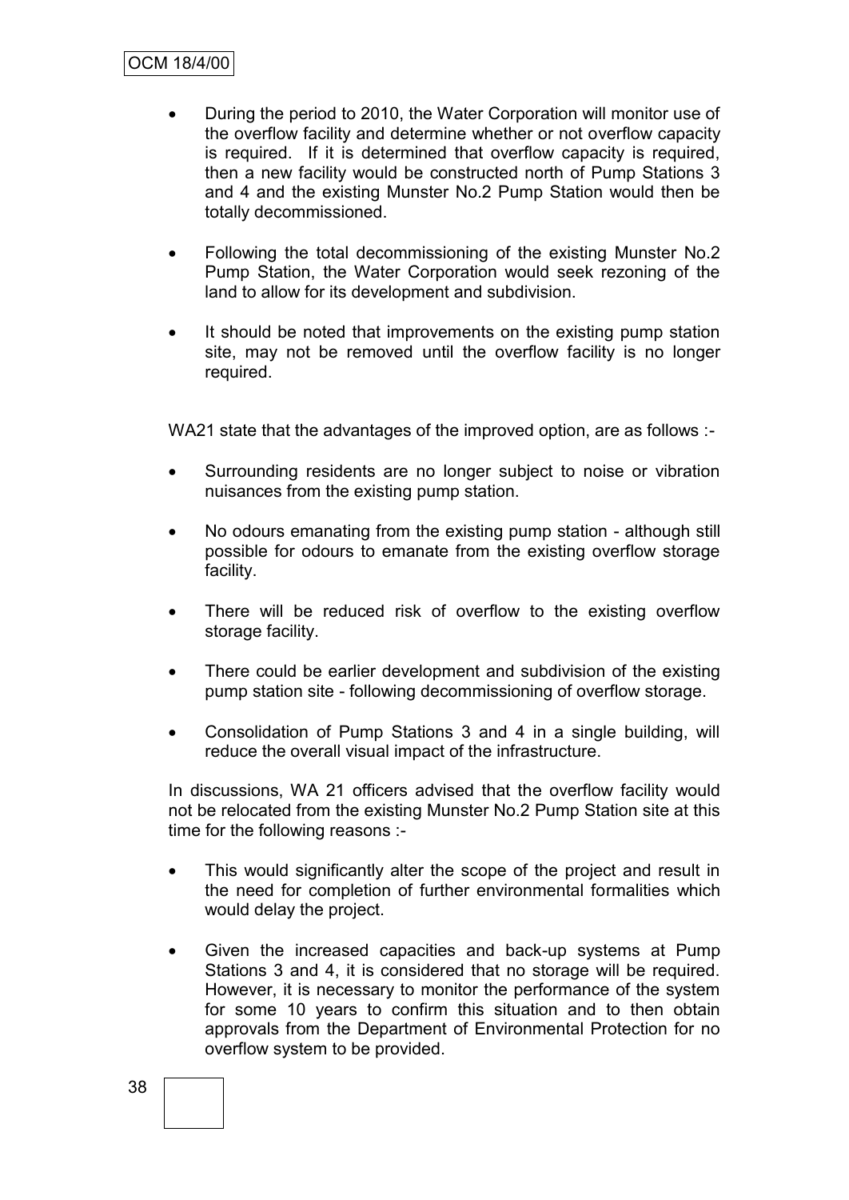- During the period to 2010, the Water Corporation will monitor use of the overflow facility and determine whether or not overflow capacity is required. If it is determined that overflow capacity is required, then a new facility would be constructed north of Pump Stations 3 and 4 and the existing Munster No.2 Pump Station would then be totally decommissioned.
- Following the total decommissioning of the existing Munster No.2 Pump Station, the Water Corporation would seek rezoning of the land to allow for its development and subdivision.
- It should be noted that improvements on the existing pump station site, may not be removed until the overflow facility is no longer required.

WA21 state that the advantages of the improved option, are as follows :-

- Surrounding residents are no longer subject to noise or vibration nuisances from the existing pump station.
- No odours emanating from the existing pump station although still possible for odours to emanate from the existing overflow storage facility.
- There will be reduced risk of overflow to the existing overflow storage facility.
- There could be earlier development and subdivision of the existing pump station site - following decommissioning of overflow storage.
- Consolidation of Pump Stations 3 and 4 in a single building, will reduce the overall visual impact of the infrastructure.

In discussions, WA 21 officers advised that the overflow facility would not be relocated from the existing Munster No.2 Pump Station site at this time for the following reasons :-

- This would significantly alter the scope of the project and result in the need for completion of further environmental formalities which would delay the project.
- Given the increased capacities and back-up systems at Pump Stations 3 and 4, it is considered that no storage will be required. However, it is necessary to monitor the performance of the system for some 10 years to confirm this situation and to then obtain approvals from the Department of Environmental Protection for no overflow system to be provided.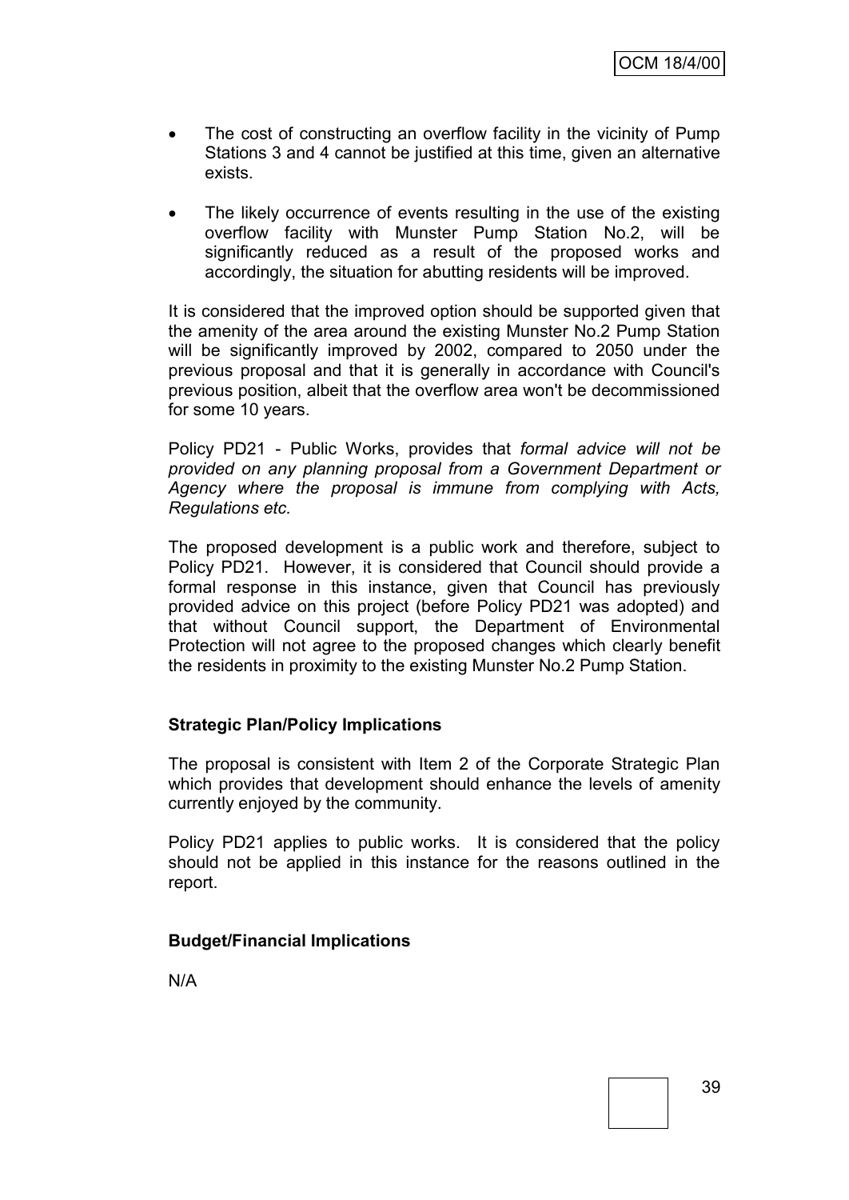- The cost of constructing an overflow facility in the vicinity of Pump Stations 3 and 4 cannot be justified at this time, given an alternative exists.
- The likely occurrence of events resulting in the use of the existing overflow facility with Munster Pump Station No.2, will be significantly reduced as a result of the proposed works and accordingly, the situation for abutting residents will be improved.

It is considered that the improved option should be supported given that the amenity of the area around the existing Munster No.2 Pump Station will be significantly improved by 2002, compared to 2050 under the previous proposal and that it is generally in accordance with Council's previous position, albeit that the overflow area won't be decommissioned for some 10 years.

Policy PD21 - Public Works, provides that *formal advice will not be provided on any planning proposal from a Government Department or Agency where the proposal is immune from complying with Acts, Regulations etc.*

The proposed development is a public work and therefore, subject to Policy PD21. However, it is considered that Council should provide a formal response in this instance, given that Council has previously provided advice on this project (before Policy PD21 was adopted) and that without Council support, the Department of Environmental Protection will not agree to the proposed changes which clearly benefit the residents in proximity to the existing Munster No.2 Pump Station.

## **Strategic Plan/Policy Implications**

The proposal is consistent with Item 2 of the Corporate Strategic Plan which provides that development should enhance the levels of amenity currently enjoyed by the community.

Policy PD21 applies to public works. It is considered that the policy should not be applied in this instance for the reasons outlined in the report.

# **Budget/Financial Implications**

N/A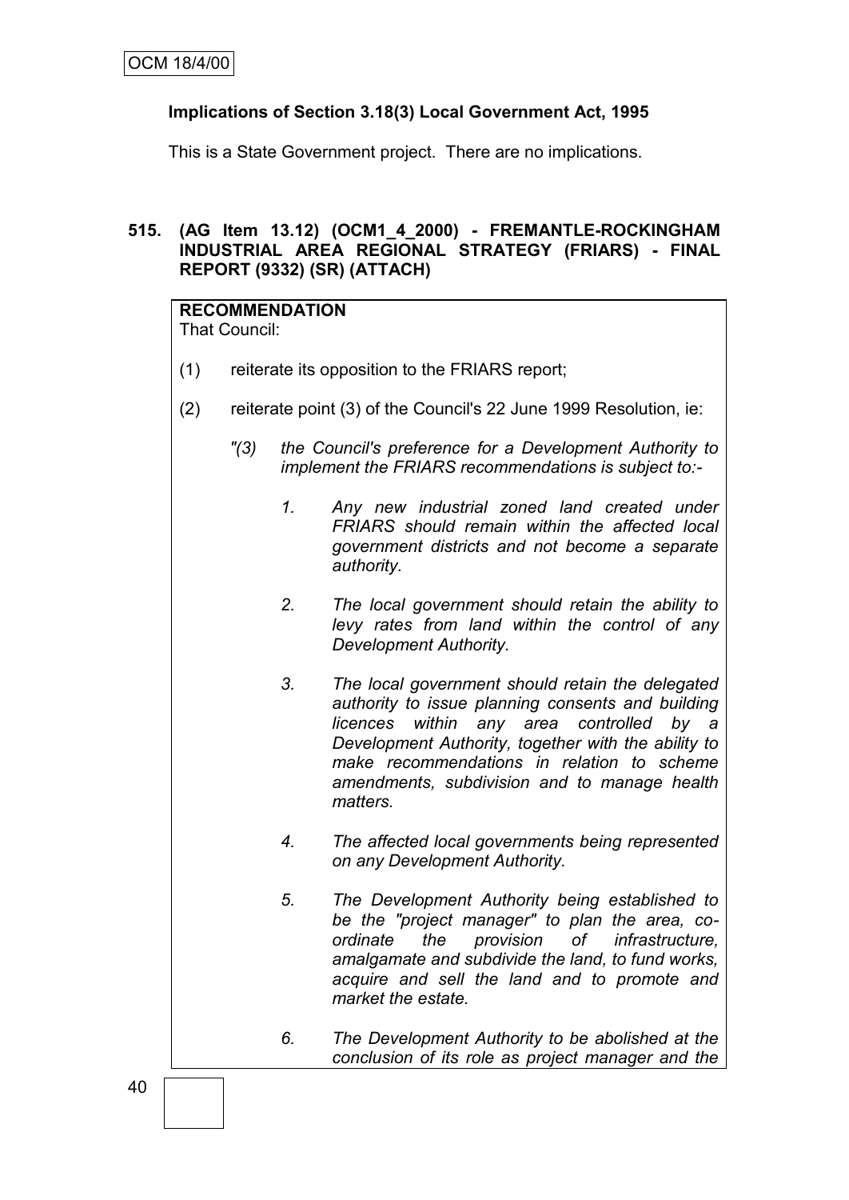## **Implications of Section 3.18(3) Local Government Act, 1995**

This is a State Government project. There are no implications.

## **515. (AG Item 13.12) (OCM1\_4\_2000) - FREMANTLE-ROCKINGHAM INDUSTRIAL AREA REGIONAL STRATEGY (FRIARS) - FINAL REPORT (9332) (SR) (ATTACH)**

#### **RECOMMENDATION** That Council:

- (1) reiterate its opposition to the FRIARS report;
- (2) reiterate point (3) of the Council's 22 June 1999 Resolution, ie:
	- *"(3) the Council's preference for a Development Authority to implement the FRIARS recommendations is subject to:-*
		- *1. Any new industrial zoned land created under FRIARS should remain within the affected local government districts and not become a separate authority.*
		- *2. The local government should retain the ability to levy rates from land within the control of any Development Authority.*
		- *3. The local government should retain the delegated authority to issue planning consents and building licences within any area controlled by a Development Authority, together with the ability to make recommendations in relation to scheme amendments, subdivision and to manage health matters.*
		- *4. The affected local governments being represented on any Development Authority.*
		- *5. The Development Authority being established to be the "project manager" to plan the area, coordinate the provision of infrastructure, amalgamate and subdivide the land, to fund works, acquire and sell the land and to promote and market the estate.*
		- *6. The Development Authority to be abolished at the conclusion of its role as project manager and the*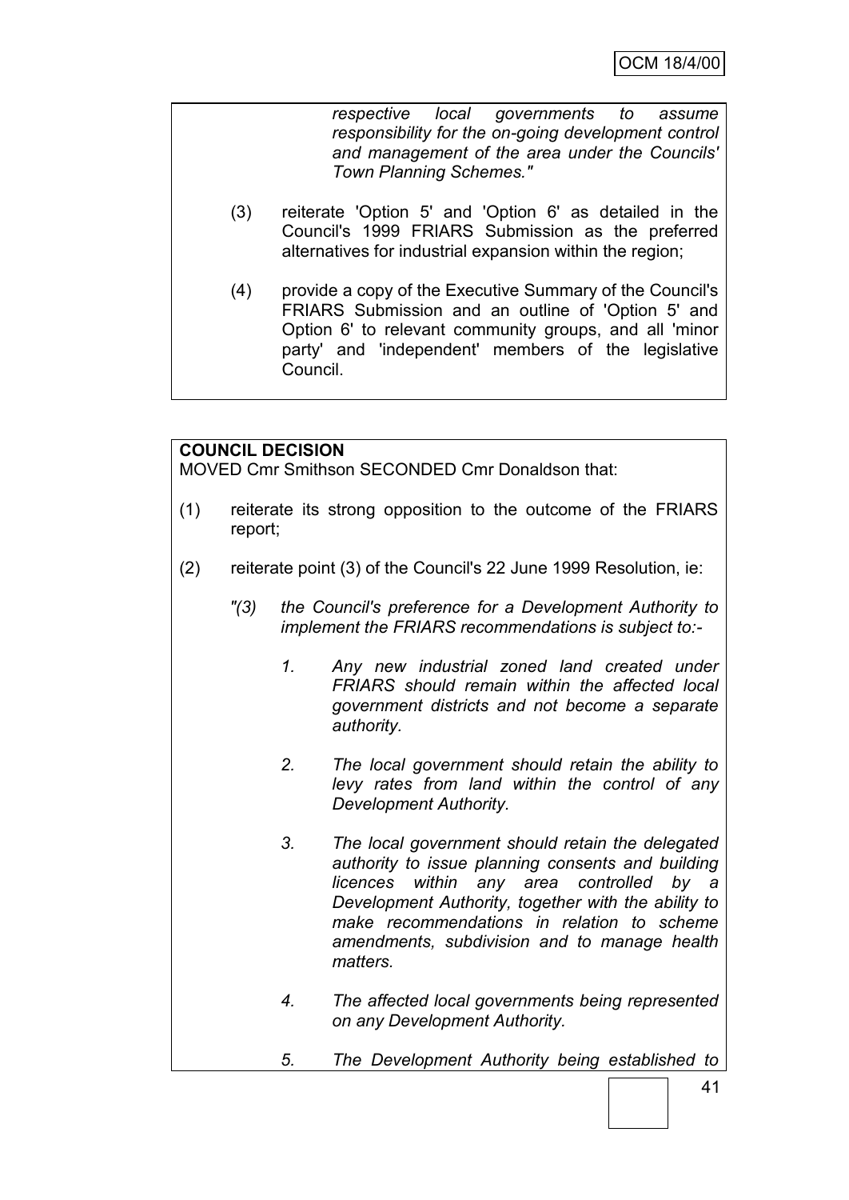*respective local governments to assume responsibility for the on-going development control and management of the area under the Councils' Town Planning Schemes."*

- (3) reiterate 'Option 5' and 'Option 6' as detailed in the Council's 1999 FRIARS Submission as the preferred alternatives for industrial expansion within the region;
- (4) provide a copy of the Executive Summary of the Council's FRIARS Submission and an outline of 'Option 5' and Option 6' to relevant community groups, and all 'minor party' and 'independent' members of the legislative Council.

## **COUNCIL DECISION**

MOVED Cmr Smithson SECONDED Cmr Donaldson that:

- (1) reiterate its strong opposition to the outcome of the FRIARS report;
- (2) reiterate point (3) of the Council's 22 June 1999 Resolution, ie:
	- *"(3) the Council's preference for a Development Authority to implement the FRIARS recommendations is subject to:-*
		- *1. Any new industrial zoned land created under FRIARS should remain within the affected local government districts and not become a separate authority.*
		- *2. The local government should retain the ability to levy rates from land within the control of any Development Authority.*
		- *3. The local government should retain the delegated authority to issue planning consents and building licences within any area controlled by a Development Authority, together with the ability to make recommendations in relation to scheme amendments, subdivision and to manage health matters.*
		- *4. The affected local governments being represented on any Development Authority.*
		- *5. The Development Authority being established to*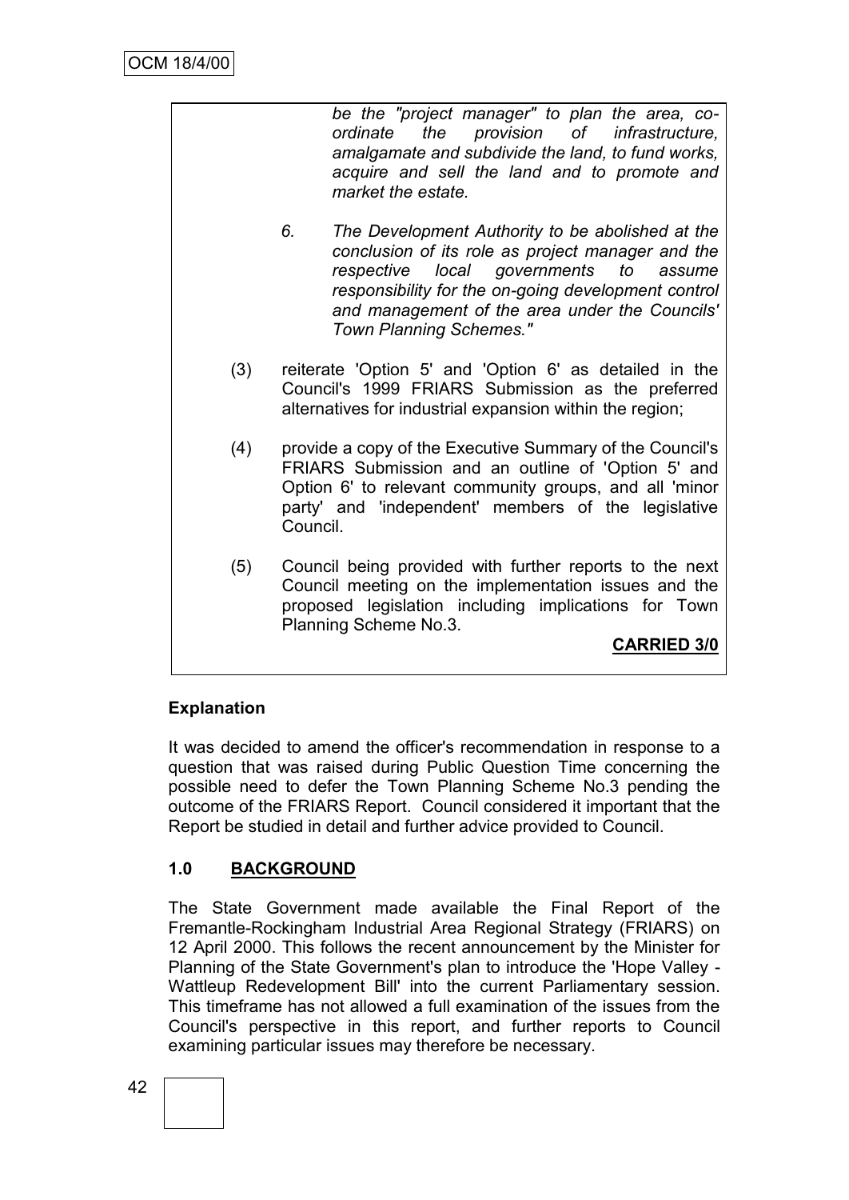*be the "project manager" to plan the area, coordinate the provision of infrastructure, amalgamate and subdivide the land, to fund works, acquire and sell the land and to promote and market the estate.*

- *6. The Development Authority to be abolished at the conclusion of its role as project manager and the respective local governments to assume responsibility for the on-going development control and management of the area under the Councils' Town Planning Schemes."*
- (3) reiterate 'Option 5' and 'Option 6' as detailed in the Council's 1999 FRIARS Submission as the preferred alternatives for industrial expansion within the region;
- (4) provide a copy of the Executive Summary of the Council's FRIARS Submission and an outline of 'Option 5' and Option 6' to relevant community groups, and all 'minor party' and 'independent' members of the legislative Council.
- (5) Council being provided with further reports to the next Council meeting on the implementation issues and the proposed legislation including implications for Town Planning Scheme No.3.

**CARRIED 3/0**

# **Explanation**

It was decided to amend the officer's recommendation in response to a question that was raised during Public Question Time concerning the possible need to defer the Town Planning Scheme No.3 pending the outcome of the FRIARS Report. Council considered it important that the Report be studied in detail and further advice provided to Council.

# **1.0 BACKGROUND**

The State Government made available the Final Report of the Fremantle-Rockingham Industrial Area Regional Strategy (FRIARS) on 12 April 2000. This follows the recent announcement by the Minister for Planning of the State Government's plan to introduce the 'Hope Valley - Wattleup Redevelopment Bill' into the current Parliamentary session. This timeframe has not allowed a full examination of the issues from the Council's perspective in this report, and further reports to Council examining particular issues may therefore be necessary.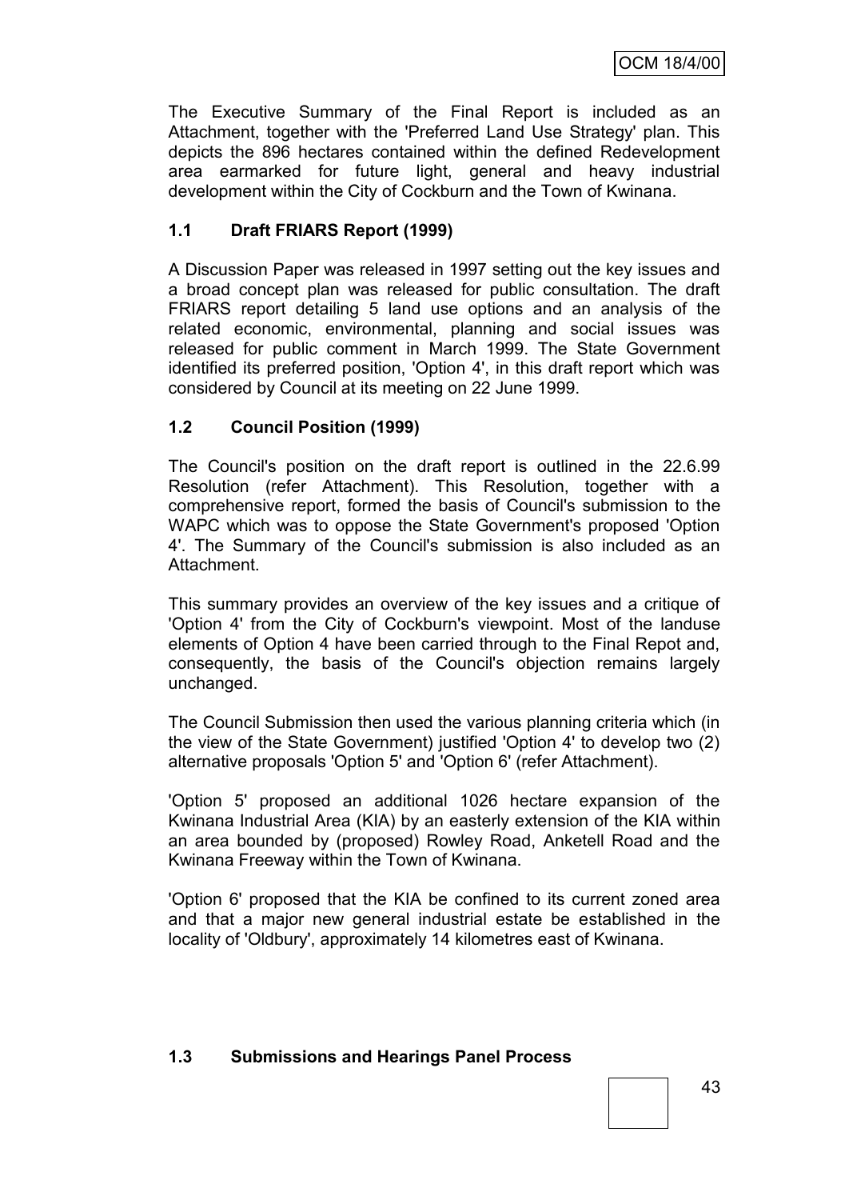The Executive Summary of the Final Report is included as an Attachment, together with the 'Preferred Land Use Strategy' plan. This depicts the 896 hectares contained within the defined Redevelopment area earmarked for future light, general and heavy industrial development within the City of Cockburn and the Town of Kwinana.

# **1.1 Draft FRIARS Report (1999)**

A Discussion Paper was released in 1997 setting out the key issues and a broad concept plan was released for public consultation. The draft FRIARS report detailing 5 land use options and an analysis of the related economic, environmental, planning and social issues was released for public comment in March 1999. The State Government identified its preferred position, 'Option 4', in this draft report which was considered by Council at its meeting on 22 June 1999.

## **1.2 Council Position (1999)**

The Council's position on the draft report is outlined in the 22.6.99 Resolution (refer Attachment). This Resolution, together with a comprehensive report, formed the basis of Council's submission to the WAPC which was to oppose the State Government's proposed 'Option 4'. The Summary of the Council's submission is also included as an **Attachment** 

This summary provides an overview of the key issues and a critique of 'Option 4' from the City of Cockburn's viewpoint. Most of the landuse elements of Option 4 have been carried through to the Final Repot and, consequently, the basis of the Council's objection remains largely unchanged.

The Council Submission then used the various planning criteria which (in the view of the State Government) justified 'Option 4' to develop two (2) alternative proposals 'Option 5' and 'Option 6' (refer Attachment).

'Option 5' proposed an additional 1026 hectare expansion of the Kwinana Industrial Area (KIA) by an easterly extension of the KIA within an area bounded by (proposed) Rowley Road, Anketell Road and the Kwinana Freeway within the Town of Kwinana.

'Option 6' proposed that the KIA be confined to its current zoned area and that a major new general industrial estate be established in the locality of 'Oldbury', approximately 14 kilometres east of Kwinana.

# **1.3 Submissions and Hearings Panel Process**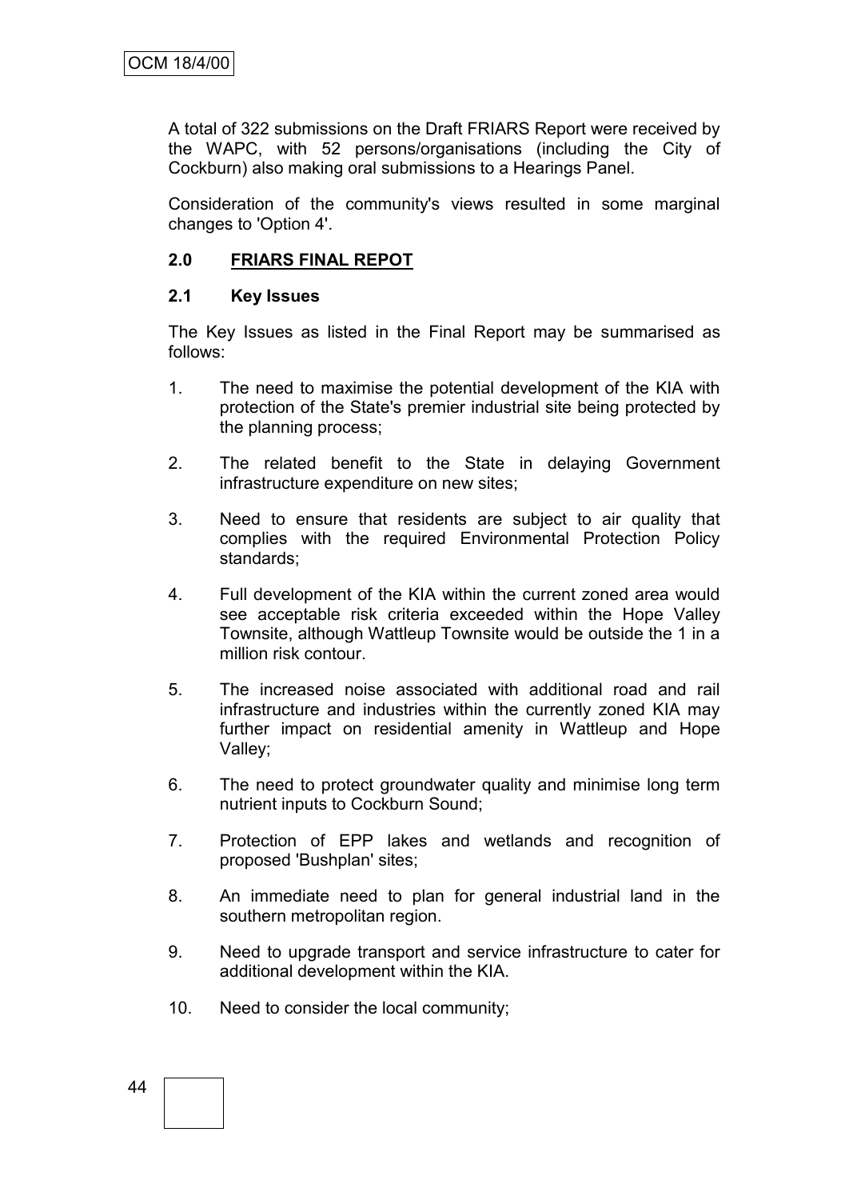A total of 322 submissions on the Draft FRIARS Report were received by the WAPC, with 52 persons/organisations (including the City of Cockburn) also making oral submissions to a Hearings Panel.

Consideration of the community's views resulted in some marginal changes to 'Option 4'.

## **2.0 FRIARS FINAL REPOT**

#### **2.1 Key Issues**

The Key Issues as listed in the Final Report may be summarised as follows:

- 1. The need to maximise the potential development of the KIA with protection of the State's premier industrial site being protected by the planning process;
- 2. The related benefit to the State in delaying Government infrastructure expenditure on new sites;
- 3. Need to ensure that residents are subject to air quality that complies with the required Environmental Protection Policy standards;
- 4. Full development of the KIA within the current zoned area would see acceptable risk criteria exceeded within the Hope Valley Townsite, although Wattleup Townsite would be outside the 1 in a million risk contour.
- 5. The increased noise associated with additional road and rail infrastructure and industries within the currently zoned KIA may further impact on residential amenity in Wattleup and Hope Valley;
- 6. The need to protect groundwater quality and minimise long term nutrient inputs to Cockburn Sound;
- 7. Protection of EPP lakes and wetlands and recognition of proposed 'Bushplan' sites;
- 8. An immediate need to plan for general industrial land in the southern metropolitan region.
- 9. Need to upgrade transport and service infrastructure to cater for additional development within the KIA.
- 10. Need to consider the local community;

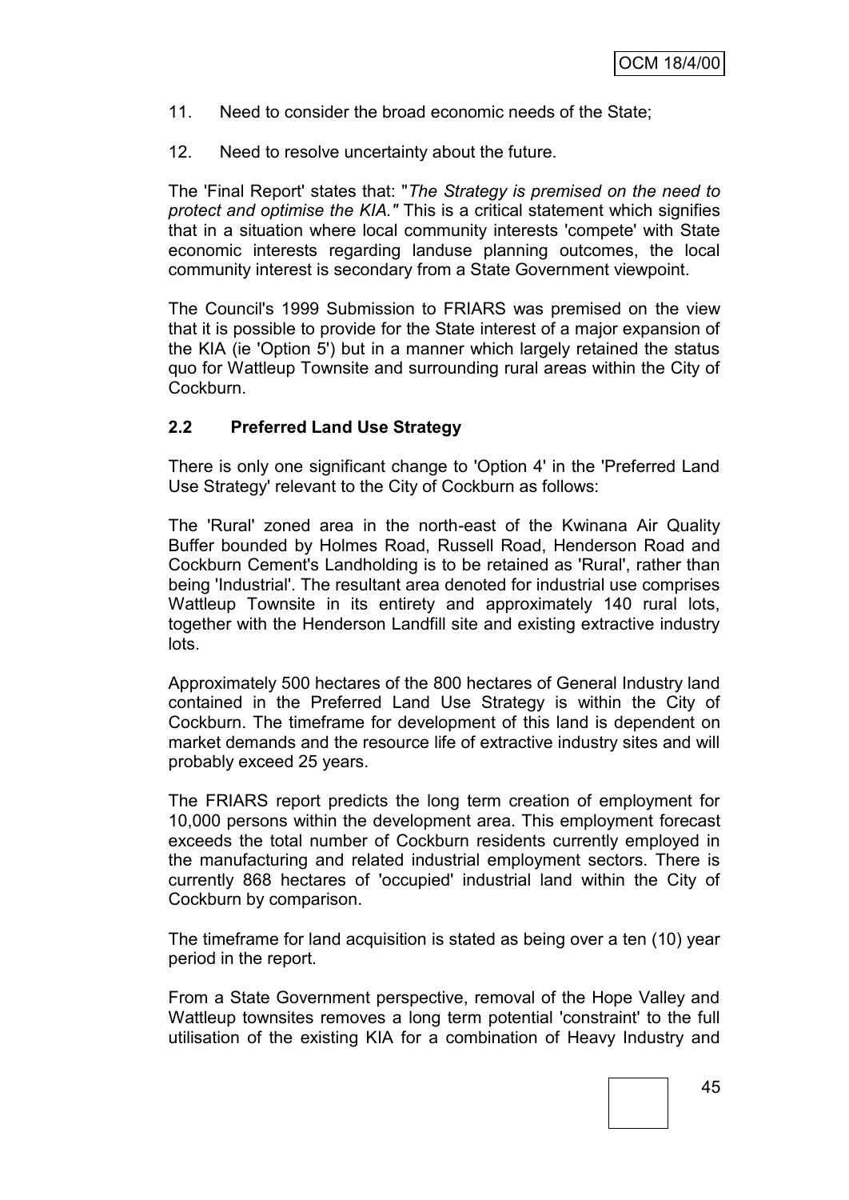- 11. Need to consider the broad economic needs of the State;
- 12. Need to resolve uncertainty about the future.

The 'Final Report' states that: "*The Strategy is premised on the need to protect and optimise the KIA."* This is a critical statement which signifies that in a situation where local community interests 'compete' with State economic interests regarding landuse planning outcomes, the local community interest is secondary from a State Government viewpoint.

The Council's 1999 Submission to FRIARS was premised on the view that it is possible to provide for the State interest of a major expansion of the KIA (ie 'Option 5') but in a manner which largely retained the status quo for Wattleup Townsite and surrounding rural areas within the City of Cockburn.

## **2.2 Preferred Land Use Strategy**

There is only one significant change to 'Option 4' in the 'Preferred Land Use Strategy' relevant to the City of Cockburn as follows:

The 'Rural' zoned area in the north-east of the Kwinana Air Quality Buffer bounded by Holmes Road, Russell Road, Henderson Road and Cockburn Cement's Landholding is to be retained as 'Rural', rather than being 'Industrial'. The resultant area denoted for industrial use comprises Wattleup Townsite in its entirety and approximately 140 rural lots, together with the Henderson Landfill site and existing extractive industry lots.

Approximately 500 hectares of the 800 hectares of General Industry land contained in the Preferred Land Use Strategy is within the City of Cockburn. The timeframe for development of this land is dependent on market demands and the resource life of extractive industry sites and will probably exceed 25 years.

The FRIARS report predicts the long term creation of employment for 10,000 persons within the development area. This employment forecast exceeds the total number of Cockburn residents currently employed in the manufacturing and related industrial employment sectors. There is currently 868 hectares of 'occupied' industrial land within the City of Cockburn by comparison.

The timeframe for land acquisition is stated as being over a ten (10) year period in the report.

From a State Government perspective, removal of the Hope Valley and Wattleup townsites removes a long term potential 'constraint' to the full utilisation of the existing KIA for a combination of Heavy Industry and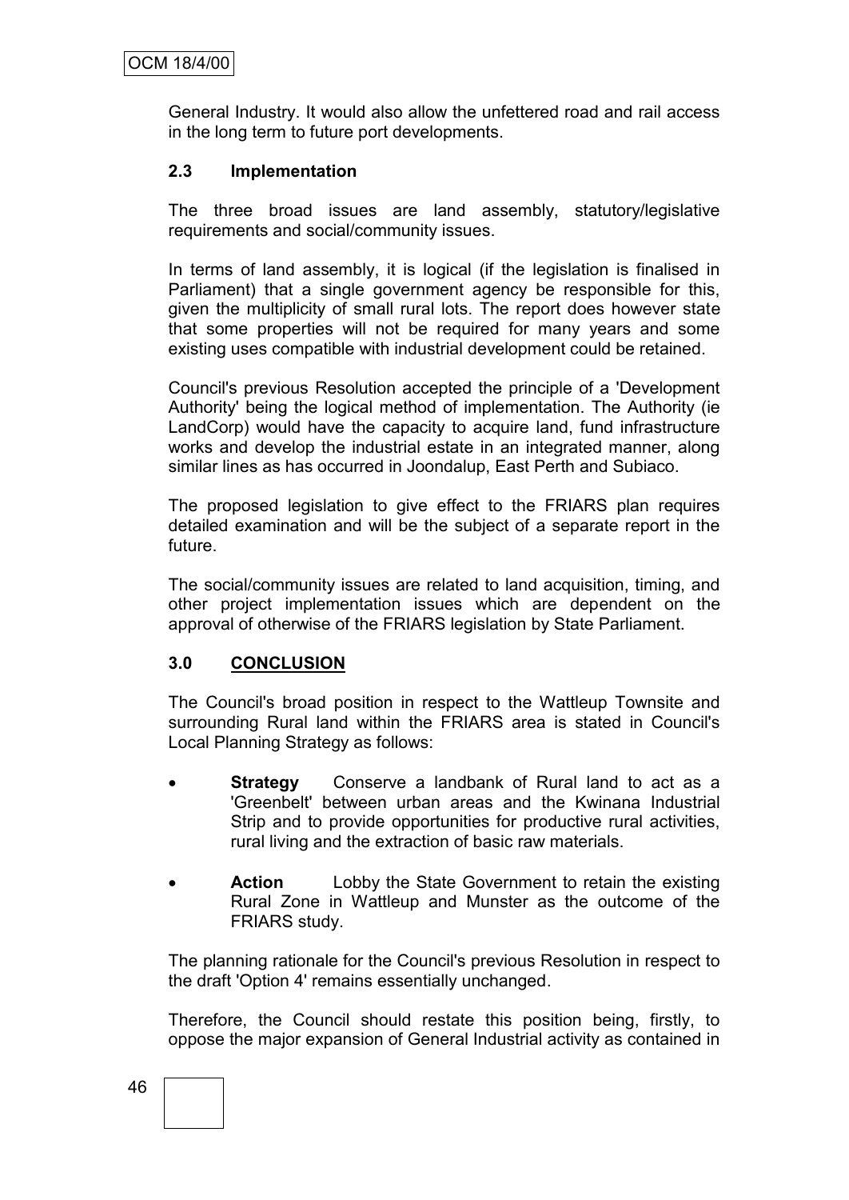General Industry. It would also allow the unfettered road and rail access in the long term to future port developments.

# **2.3 Implementation**

The three broad issues are land assembly, statutory/legislative requirements and social/community issues.

In terms of land assembly, it is logical (if the legislation is finalised in Parliament) that a single government agency be responsible for this, given the multiplicity of small rural lots. The report does however state that some properties will not be required for many years and some existing uses compatible with industrial development could be retained.

Council's previous Resolution accepted the principle of a 'Development Authority' being the logical method of implementation. The Authority (ie LandCorp) would have the capacity to acquire land, fund infrastructure works and develop the industrial estate in an integrated manner, along similar lines as has occurred in Joondalup, East Perth and Subiaco.

The proposed legislation to give effect to the FRIARS plan requires detailed examination and will be the subject of a separate report in the future.

The social/community issues are related to land acquisition, timing, and other project implementation issues which are dependent on the approval of otherwise of the FRIARS legislation by State Parliament.

## **3.0 CONCLUSION**

The Council's broad position in respect to the Wattleup Townsite and surrounding Rural land within the FRIARS area is stated in Council's Local Planning Strategy as follows:

- **Strategy** Conserve a landbank of Rural land to act as a 'Greenbelt' between urban areas and the Kwinana Industrial Strip and to provide opportunities for productive rural activities, rural living and the extraction of basic raw materials.
- **Action** Lobby the State Government to retain the existing Rural Zone in Wattleup and Munster as the outcome of the FRIARS study.

The planning rationale for the Council's previous Resolution in respect to the draft 'Option 4' remains essentially unchanged.

Therefore, the Council should restate this position being, firstly, to oppose the major expansion of General Industrial activity as contained in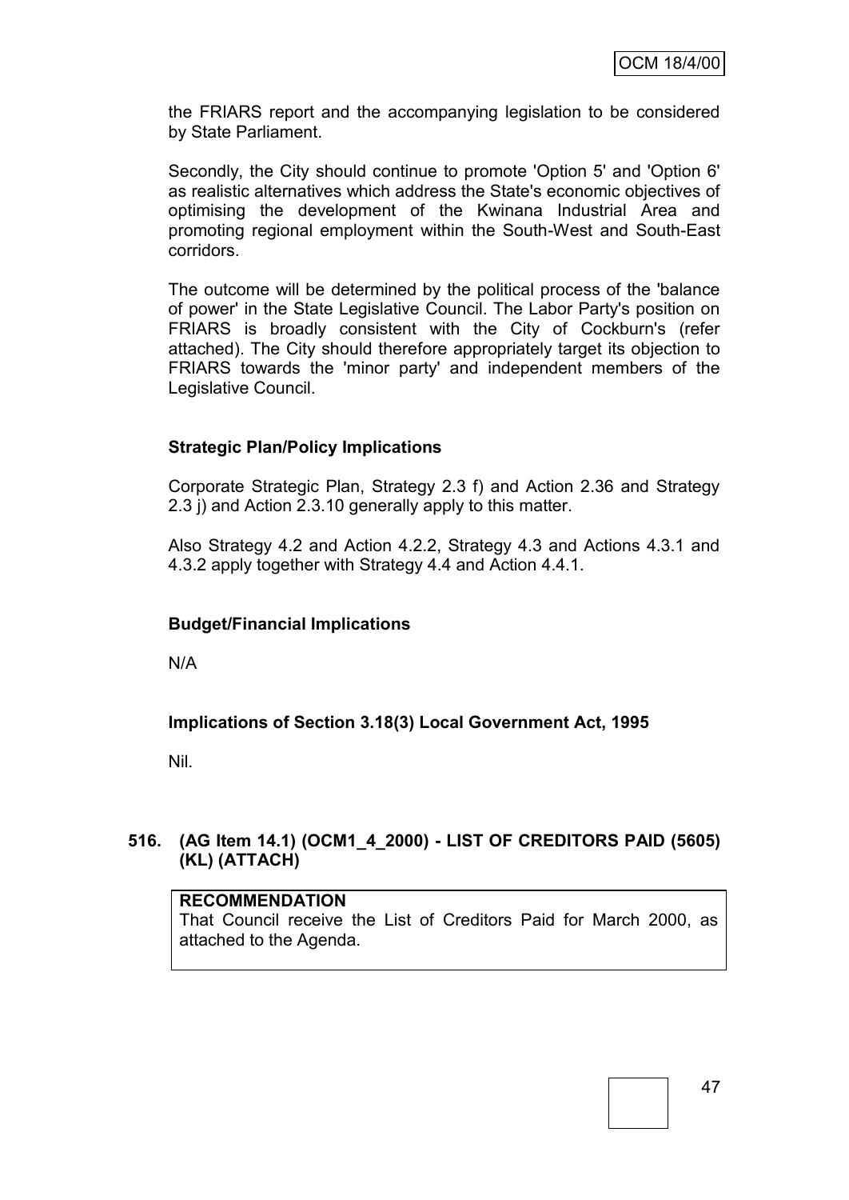the FRIARS report and the accompanying legislation to be considered by State Parliament.

Secondly, the City should continue to promote 'Option 5' and 'Option 6' as realistic alternatives which address the State's economic objectives of optimising the development of the Kwinana Industrial Area and promoting regional employment within the South-West and South-East corridors.

The outcome will be determined by the political process of the 'balance of power' in the State Legislative Council. The Labor Party's position on FRIARS is broadly consistent with the City of Cockburn's (refer attached). The City should therefore appropriately target its objection to FRIARS towards the 'minor party' and independent members of the Legislative Council.

## **Strategic Plan/Policy Implications**

Corporate Strategic Plan, Strategy 2.3 f) and Action 2.36 and Strategy 2.3 j) and Action 2.3.10 generally apply to this matter.

Also Strategy 4.2 and Action 4.2.2, Strategy 4.3 and Actions 4.3.1 and 4.3.2 apply together with Strategy 4.4 and Action 4.4.1.

## **Budget/Financial Implications**

N/A

# **Implications of Section 3.18(3) Local Government Act, 1995**

Nil.

# **516. (AG Item 14.1) (OCM1\_4\_2000) - LIST OF CREDITORS PAID (5605) (KL) (ATTACH)**

#### **RECOMMENDATION**

That Council receive the List of Creditors Paid for March 2000, as attached to the Agenda.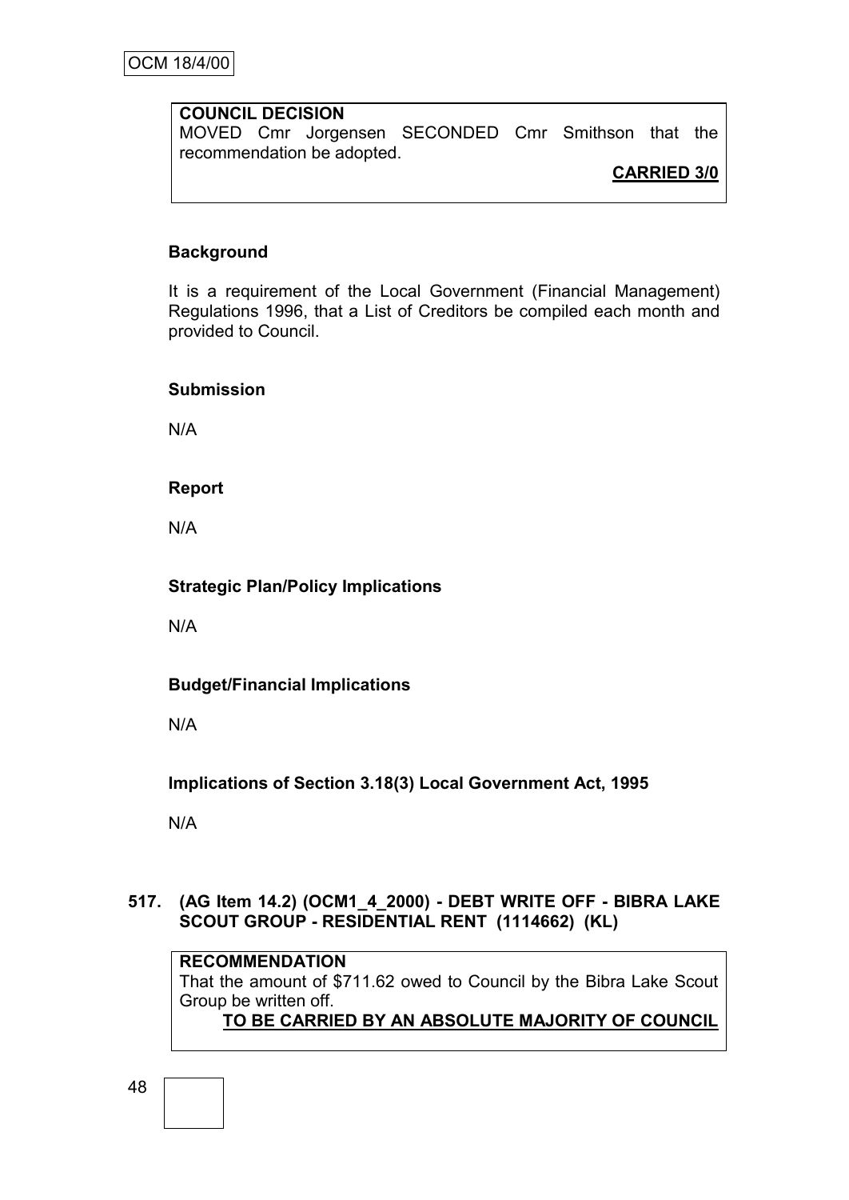# **COUNCIL DECISION**

MOVED Cmr Jorgensen SECONDED Cmr Smithson that the recommendation be adopted.

# **CARRIED 3/0**

# **Background**

It is a requirement of the Local Government (Financial Management) Regulations 1996, that a List of Creditors be compiled each month and provided to Council.

## **Submission**

N/A

## **Report**

N/A

## **Strategic Plan/Policy Implications**

N/A

**Budget/Financial Implications**

N/A

**Implications of Section 3.18(3) Local Government Act, 1995**

N/A

# **517. (AG Item 14.2) (OCM1\_4\_2000) - DEBT WRITE OFF - BIBRA LAKE SCOUT GROUP - RESIDENTIAL RENT (1114662) (KL)**

# **RECOMMENDATION**

That the amount of \$711.62 owed to Council by the Bibra Lake Scout Group be written off.

**TO BE CARRIED BY AN ABSOLUTE MAJORITY OF COUNCIL**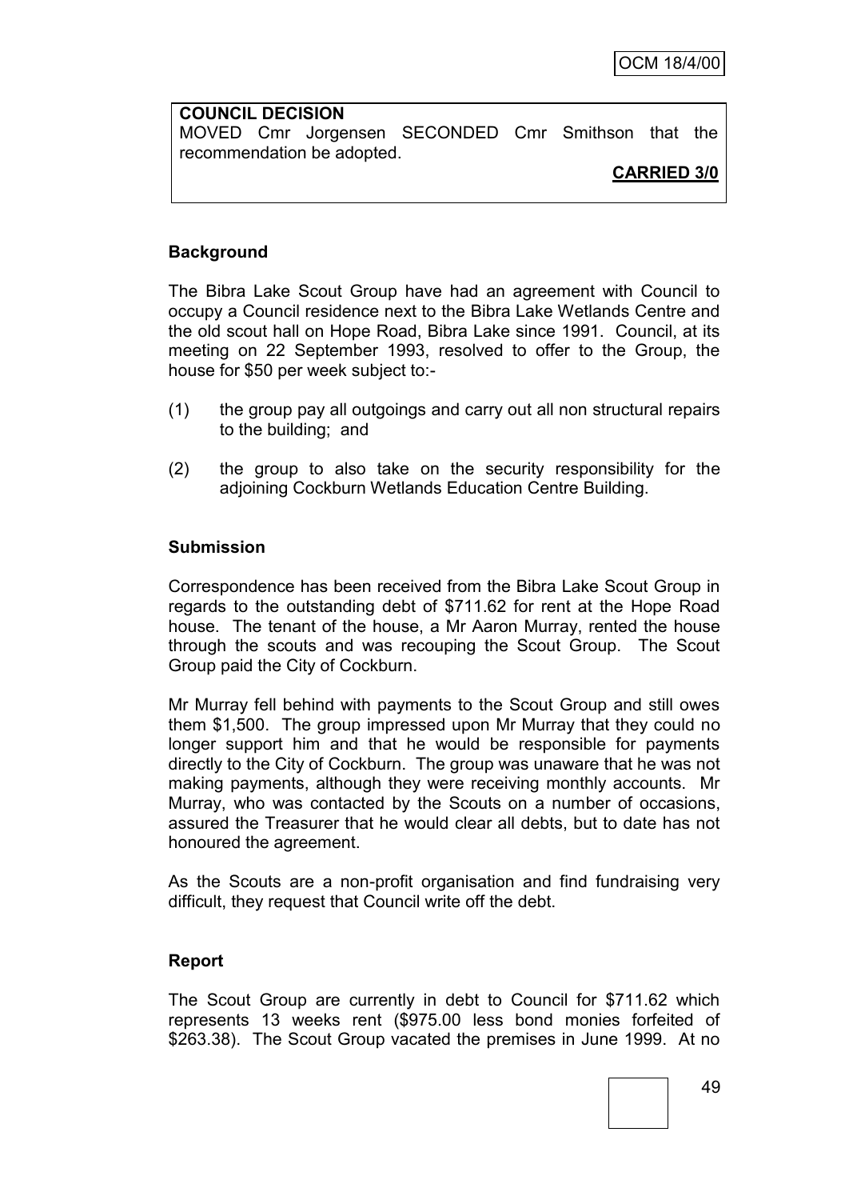**COUNCIL DECISION** MOVED Cmr Jorgensen SECONDED Cmr Smithson that the recommendation be adopted.

## **CARRIED 3/0**

## **Background**

The Bibra Lake Scout Group have had an agreement with Council to occupy a Council residence next to the Bibra Lake Wetlands Centre and the old scout hall on Hope Road, Bibra Lake since 1991. Council, at its meeting on 22 September 1993, resolved to offer to the Group, the house for \$50 per week subject to:-

- (1) the group pay all outgoings and carry out all non structural repairs to the building; and
- (2) the group to also take on the security responsibility for the adjoining Cockburn Wetlands Education Centre Building.

## **Submission**

Correspondence has been received from the Bibra Lake Scout Group in regards to the outstanding debt of \$711.62 for rent at the Hope Road house. The tenant of the house, a Mr Aaron Murray, rented the house through the scouts and was recouping the Scout Group. The Scout Group paid the City of Cockburn.

Mr Murray fell behind with payments to the Scout Group and still owes them \$1,500. The group impressed upon Mr Murray that they could no longer support him and that he would be responsible for payments directly to the City of Cockburn. The group was unaware that he was not making payments, although they were receiving monthly accounts. Mr Murray, who was contacted by the Scouts on a number of occasions, assured the Treasurer that he would clear all debts, but to date has not honoured the agreement.

As the Scouts are a non-profit organisation and find fundraising very difficult, they request that Council write off the debt.

#### **Report**

The Scout Group are currently in debt to Council for \$711.62 which represents 13 weeks rent (\$975.00 less bond monies forfeited of \$263.38). The Scout Group vacated the premises in June 1999. At no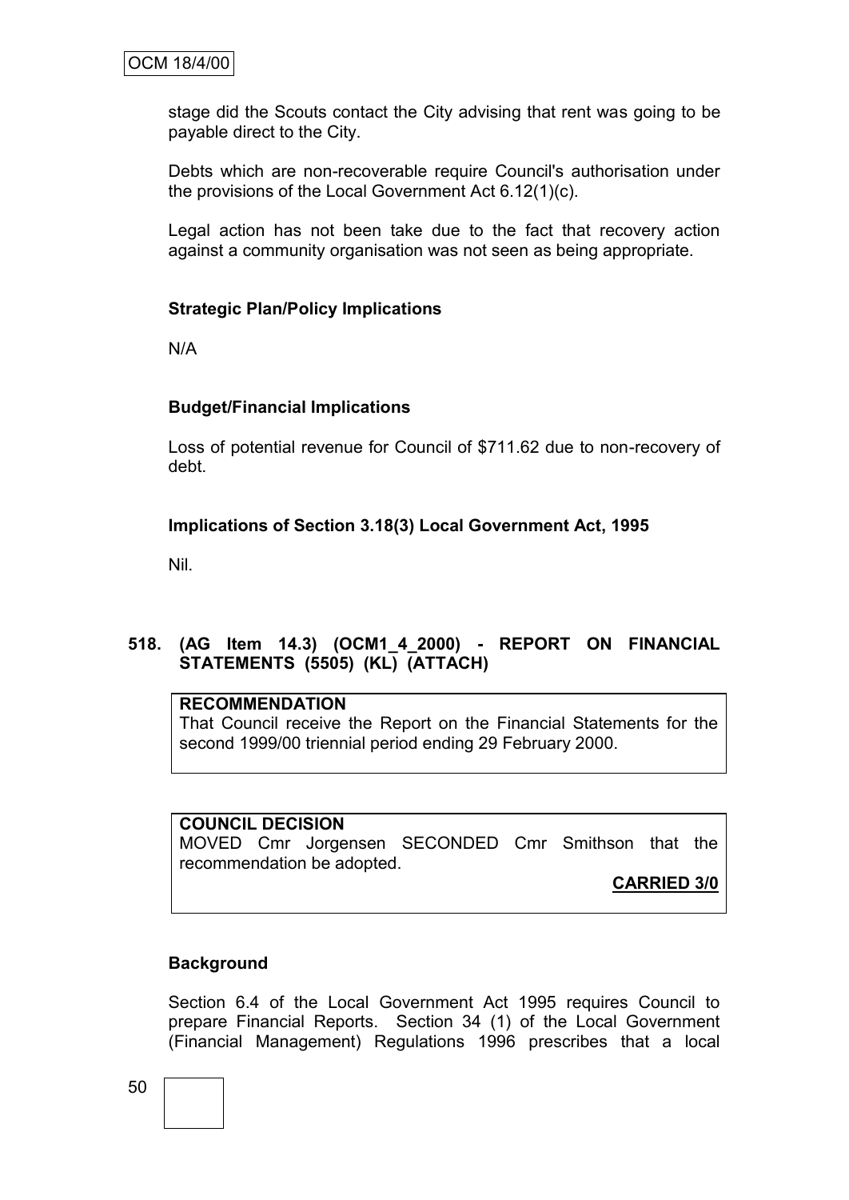stage did the Scouts contact the City advising that rent was going to be payable direct to the City.

Debts which are non-recoverable require Council's authorisation under the provisions of the Local Government Act 6.12(1)(c).

Legal action has not been take due to the fact that recovery action against a community organisation was not seen as being appropriate.

## **Strategic Plan/Policy Implications**

N/A

## **Budget/Financial Implications**

Loss of potential revenue for Council of \$711.62 due to non-recovery of debt.

## **Implications of Section 3.18(3) Local Government Act, 1995**

Nil.

# **518. (AG Item 14.3) (OCM1\_4\_2000) - REPORT ON FINANCIAL STATEMENTS (5505) (KL) (ATTACH)**

#### **RECOMMENDATION**

That Council receive the Report on the Financial Statements for the second 1999/00 triennial period ending 29 February 2000.

## **COUNCIL DECISION**

MOVED Cmr Jorgensen SECONDED Cmr Smithson that the recommendation be adopted.

**CARRIED 3/0**

## **Background**

Section 6.4 of the Local Government Act 1995 requires Council to prepare Financial Reports. Section 34 (1) of the Local Government (Financial Management) Regulations 1996 prescribes that a local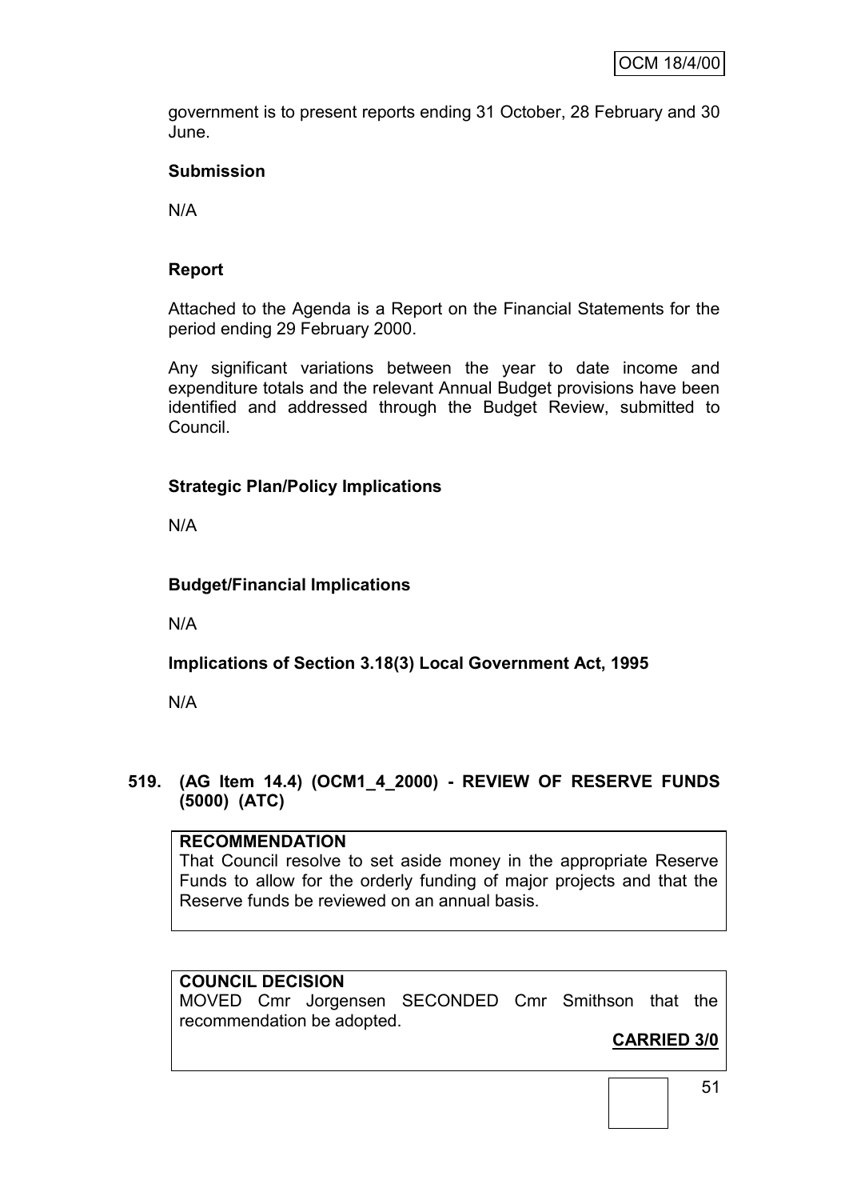government is to present reports ending 31 October, 28 February and 30 June.

## **Submission**

N/A

# **Report**

Attached to the Agenda is a Report on the Financial Statements for the period ending 29 February 2000.

Any significant variations between the year to date income and expenditure totals and the relevant Annual Budget provisions have been identified and addressed through the Budget Review, submitted to Council.

# **Strategic Plan/Policy Implications**

N/A

## **Budget/Financial Implications**

N/A

# **Implications of Section 3.18(3) Local Government Act, 1995**

N/A

## **519. (AG Item 14.4) (OCM1\_4\_2000) - REVIEW OF RESERVE FUNDS (5000) (ATC)**

## **RECOMMENDATION**

That Council resolve to set aside money in the appropriate Reserve Funds to allow for the orderly funding of major projects and that the Reserve funds be reviewed on an annual basis.

# **COUNCIL DECISION**

MOVED Cmr Jorgensen SECONDED Cmr Smithson that the recommendation be adopted.

**CARRIED 3/0**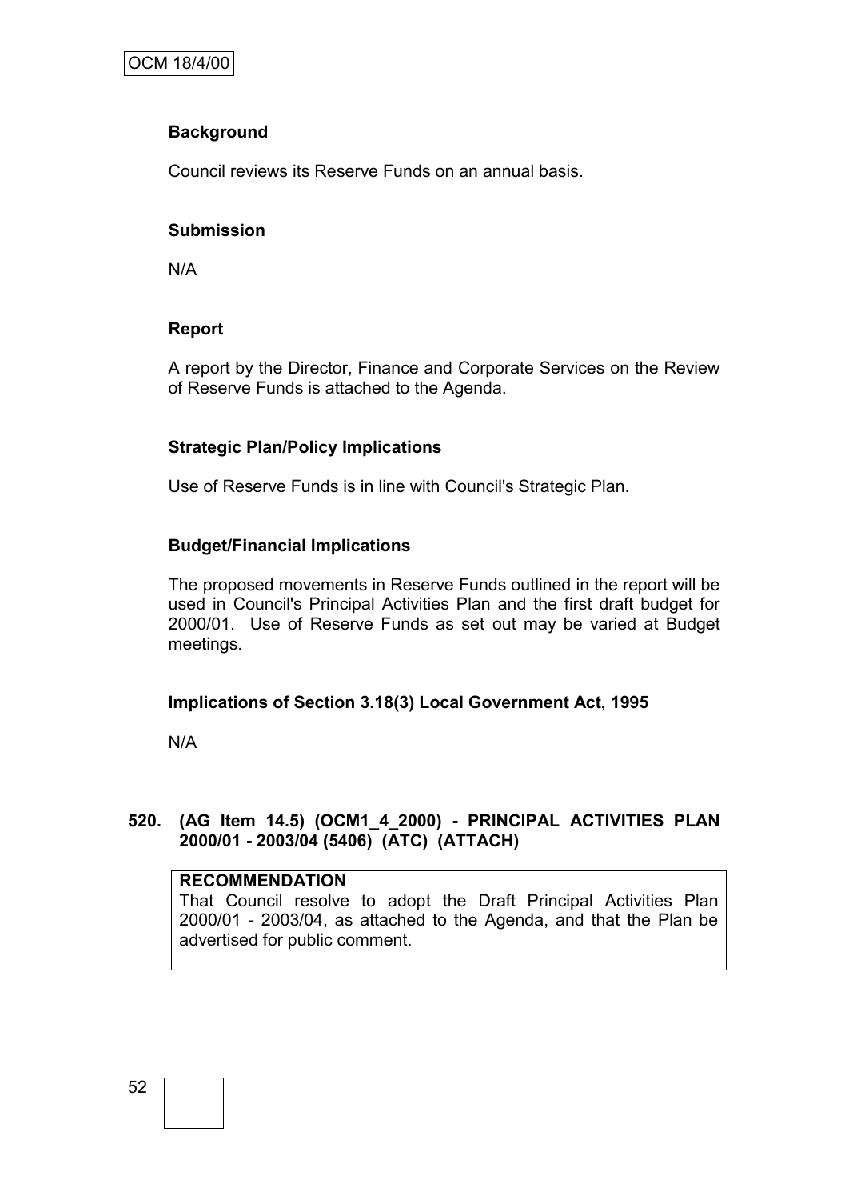# **Background**

Council reviews its Reserve Funds on an annual basis.

## **Submission**

N/A

## **Report**

A report by the Director, Finance and Corporate Services on the Review of Reserve Funds is attached to the Agenda.

## **Strategic Plan/Policy Implications**

Use of Reserve Funds is in line with Council's Strategic Plan.

## **Budget/Financial Implications**

The proposed movements in Reserve Funds outlined in the report will be used in Council's Principal Activities Plan and the first draft budget for 2000/01. Use of Reserve Funds as set out may be varied at Budget meetings.

## **Implications of Section 3.18(3) Local Government Act, 1995**

N/A

## **520. (AG Item 14.5) (OCM1\_4\_2000) - PRINCIPAL ACTIVITIES PLAN 2000/01 - 2003/04 (5406) (ATC) (ATTACH)**

## **RECOMMENDATION**

That Council resolve to adopt the Draft Principal Activities Plan 2000/01 - 2003/04, as attached to the Agenda, and that the Plan be advertised for public comment.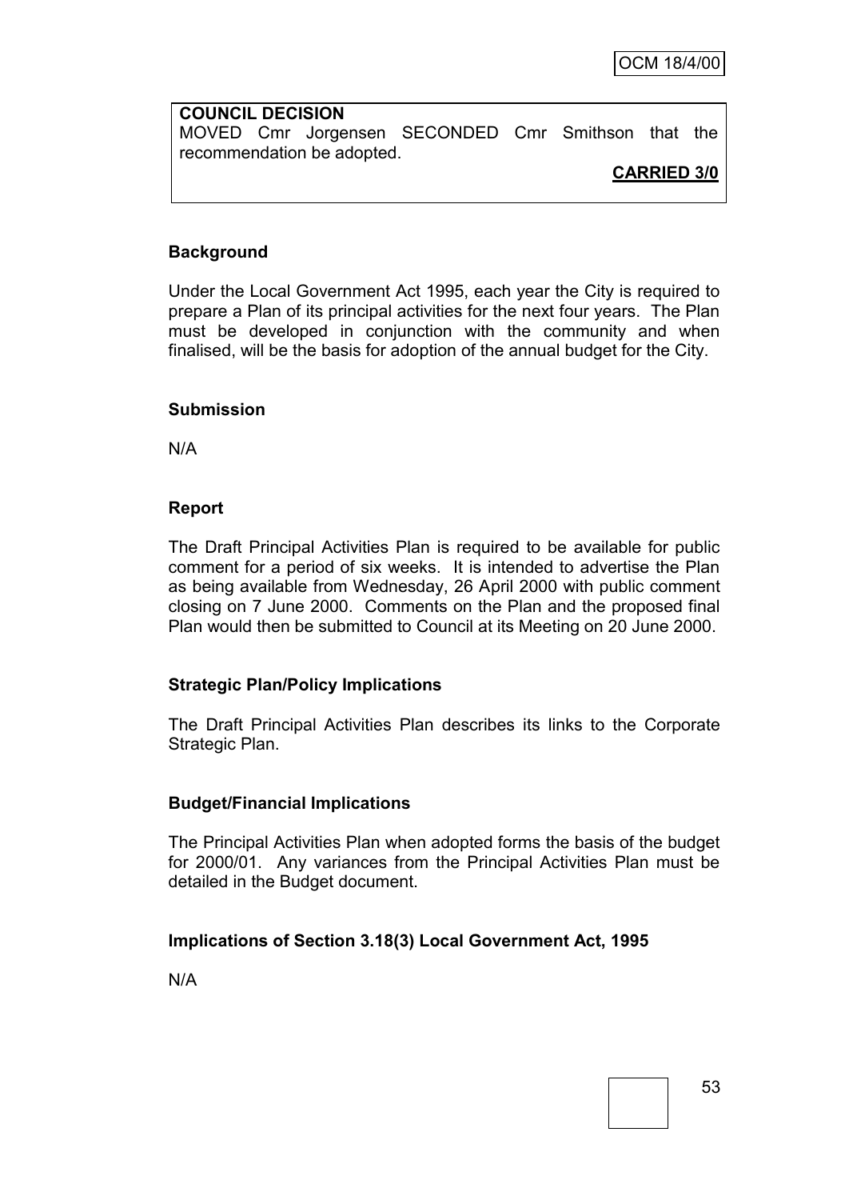**COUNCIL DECISION** MOVED Cmr Jorgensen SECONDED Cmr Smithson that the recommendation be adopted.

## **CARRIED 3/0**

# **Background**

Under the Local Government Act 1995, each year the City is required to prepare a Plan of its principal activities for the next four years. The Plan must be developed in conjunction with the community and when finalised, will be the basis for adoption of the annual budget for the City.

#### **Submission**

N/A

#### **Report**

The Draft Principal Activities Plan is required to be available for public comment for a period of six weeks. It is intended to advertise the Plan as being available from Wednesday, 26 April 2000 with public comment closing on 7 June 2000. Comments on the Plan and the proposed final Plan would then be submitted to Council at its Meeting on 20 June 2000.

## **Strategic Plan/Policy Implications**

The Draft Principal Activities Plan describes its links to the Corporate Strategic Plan.

#### **Budget/Financial Implications**

The Principal Activities Plan when adopted forms the basis of the budget for 2000/01. Any variances from the Principal Activities Plan must be detailed in the Budget document.

## **Implications of Section 3.18(3) Local Government Act, 1995**

N/A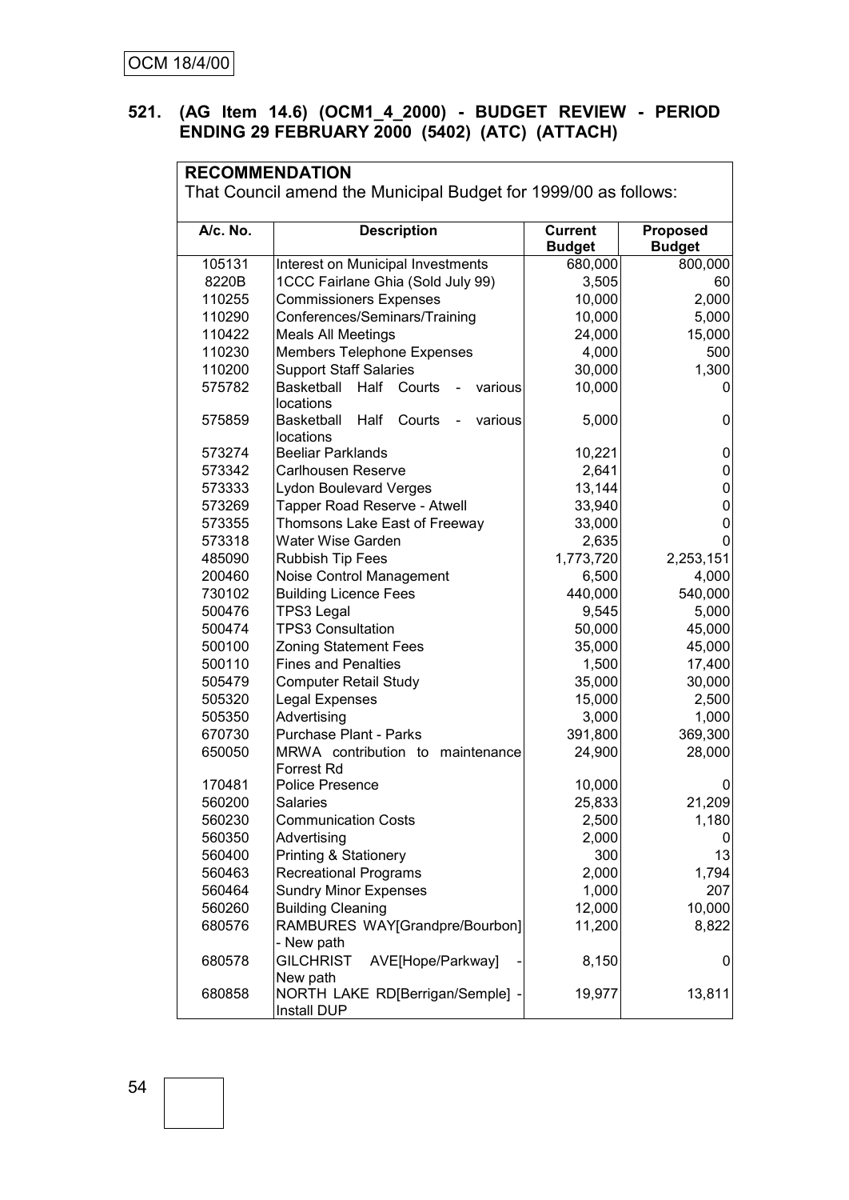## **521. (AG Item 14.6) (OCM1\_4\_2000) - BUDGET REVIEW - PERIOD ENDING 29 FEBRUARY 2000 (5402) (ATC) (ATTACH)**

| <b>RECOMMENDATION</b>                                           |                                                                                  |                                 |                                  |
|-----------------------------------------------------------------|----------------------------------------------------------------------------------|---------------------------------|----------------------------------|
| That Council amend the Municipal Budget for 1999/00 as follows: |                                                                                  |                                 |                                  |
| A/c. No.                                                        | <b>Description</b>                                                               | <b>Current</b><br><b>Budget</b> | <b>Proposed</b><br><b>Budget</b> |
| 105131                                                          | Interest on Municipal Investments                                                | 680,000                         | 800,000                          |
| 8220B                                                           | 1CCC Fairlane Ghia (Sold July 99)                                                | 3,505                           | 60                               |
| 110255                                                          | <b>Commissioners Expenses</b>                                                    | 10,000                          | 2,000                            |
| 110290                                                          | Conferences/Seminars/Training                                                    | 10,000                          | 5,000                            |
| 110422                                                          | <b>Meals All Meetings</b>                                                        | 24,000                          | 15,000                           |
| 110230                                                          | <b>Members Telephone Expenses</b>                                                | 4,000                           | 500                              |
| 110200                                                          | <b>Support Staff Salaries</b>                                                    | 30,000                          | 1,300                            |
| 575782                                                          | Basketball<br>Courts<br>Half<br>various<br>$\overline{\phantom{0}}$<br>locations | 10,000                          | 0                                |
| 575859                                                          | Basketball<br>Half<br>Courts<br>various<br>locations                             | 5,000                           | 0                                |
| 573274                                                          | <b>Beeliar Parklands</b>                                                         | 10,221                          | 0                                |
| 573342                                                          | <b>Carlhousen Reserve</b>                                                        | 2,641                           | $\pmb{0}$                        |
| 573333                                                          | <b>Lydon Boulevard Verges</b>                                                    | 13,144                          | 0                                |
| 573269                                                          | Tapper Road Reserve - Atwell                                                     | 33,940                          | 0                                |
| 573355                                                          | Thomsons Lake East of Freeway                                                    | 33,000                          | 0                                |
| 573318                                                          | <b>Water Wise Garden</b>                                                         | 2,635                           | $\mathbf 0$                      |
| 485090                                                          | <b>Rubbish Tip Fees</b>                                                          | 1,773,720                       | 2,253,151                        |
| 200460                                                          | Noise Control Management                                                         | 6,500                           | 4,000                            |
| 730102                                                          | <b>Building Licence Fees</b>                                                     | 440,000                         | 540,000                          |
| 500476                                                          | TPS3 Legal                                                                       | 9,545                           | 5,000                            |
| 500474                                                          | <b>TPS3 Consultation</b>                                                         | 50,000                          | 45,000                           |
| 500100                                                          | <b>Zoning Statement Fees</b>                                                     | 35,000                          | 45,000                           |
| 500110                                                          | <b>Fines and Penalties</b>                                                       | 1,500                           | 17,400                           |
| 505479                                                          | <b>Computer Retail Study</b>                                                     | 35,000                          | 30,000                           |
| 505320                                                          | Legal Expenses                                                                   | 15,000                          | 2,500                            |
| 505350                                                          | Advertising                                                                      | 3,000                           | 1,000                            |
| 670730                                                          | <b>Purchase Plant - Parks</b>                                                    | 391,800                         | 369,300                          |
| 650050                                                          | MRWA contribution to maintenance<br>Forrest Rd                                   | 24,900                          | 28,000                           |
| 170481                                                          | <b>Police Presence</b>                                                           | 10,000                          | 0                                |
| 560200                                                          | <b>Salaries</b>                                                                  | 25,833                          | 21,209                           |
| 560230                                                          | <b>Communication Costs</b>                                                       | 2,500                           | 1,180                            |
| 560350                                                          | Advertising                                                                      | 2,000                           | U                                |
| 560400                                                          | Printing & Stationery                                                            | 300                             | 13                               |
| 560463                                                          | Recreational Programs                                                            | 2,000                           | 1,794                            |
| 560464                                                          | <b>Sundry Minor Expenses</b>                                                     | 1,000                           | 207                              |
| 560260                                                          | <b>Building Cleaning</b>                                                         | 12,000                          | 10,000                           |
| 680576                                                          | RAMBURES WAY[Grandpre/Bourbon]<br>- New path                                     | 11,200                          | 8,822                            |
| 680578                                                          | <b>GILCHRIST</b><br>AVE[Hope/Parkway]<br>New path                                | 8,150                           | 0                                |
| 680858                                                          | NORTH LAKE RD[Berrigan/Semple]<br>Install DUP                                    | 19,977                          | 13,811                           |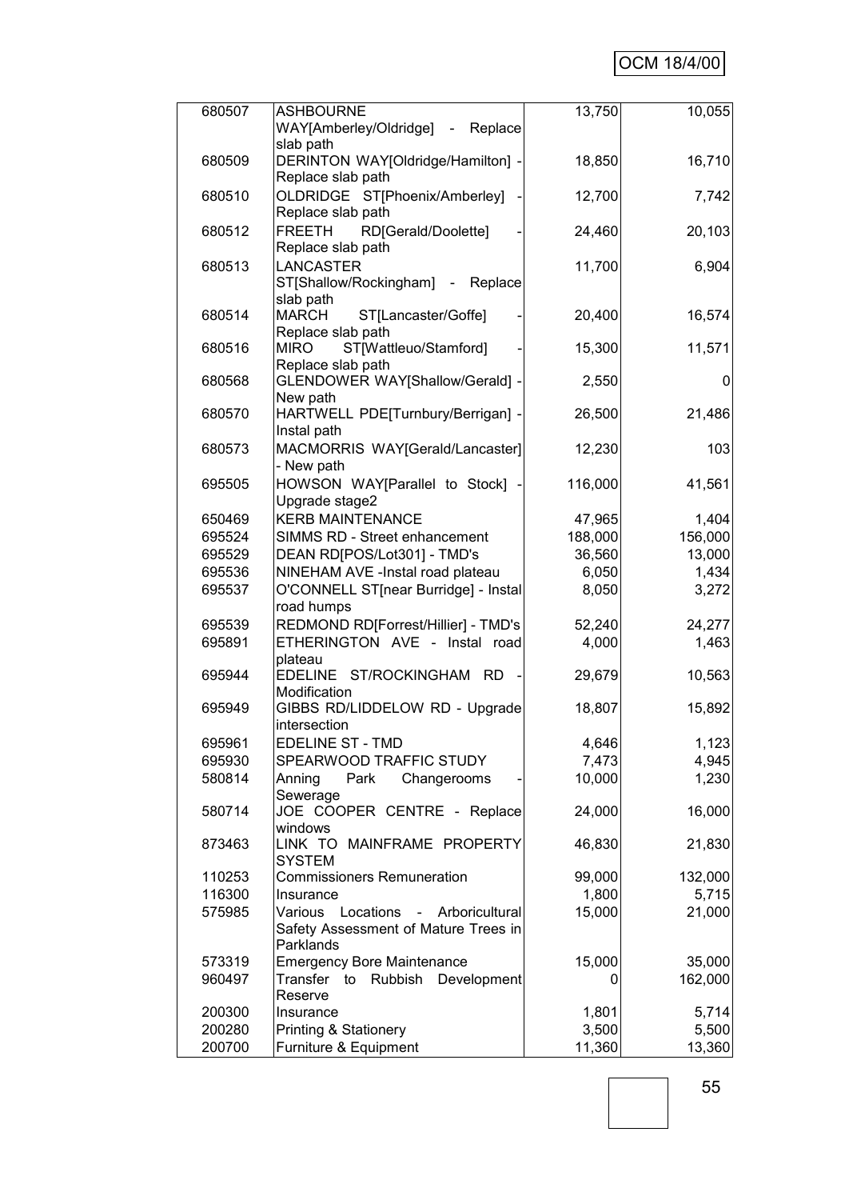| WAY[Amberley/Oldridge] -<br>Replace<br>slab path<br>DERINTON WAY[Oldridge/Hamilton] -<br>680509<br>18,850<br>16,710<br>Replace slab path<br>OLDRIDGE ST[Phoenix/Amberley]<br>680510<br>12,700<br>7,742<br>Replace slab path<br><b>FREETH</b><br>RD[Gerald/Doolette]<br>680512<br>24,460<br>20,103<br>Replace slab path<br><b>LANCASTER</b><br>11,700<br>6,904<br>680513<br>ST[Shallow/Rockingham] -<br>Replace<br>slab path<br>680514<br><b>MARCH</b><br>ST[Lancaster/Goffe]<br>20,400<br>16,574<br>Replace slab path<br>ST[Wattleuo/Stamford]<br>680516<br><b>MIRO</b><br>15,300<br>11,571<br>Replace slab path<br>GLENDOWER WAY[Shallow/Gerald] -<br>680568<br>2,550<br>0<br>New path<br>HARTWELL PDE[Turnbury/Berrigan] -<br>680570<br>26,500<br>21,486<br>Instal path<br>MACMORRIS WAY[Gerald/Lancaster]<br>12,230<br>103<br>680573<br>- New path<br>HOWSON WAY[Parallel to Stock]<br>116,000<br>41,561<br>695505<br>Upgrade stage2<br><b>KERB MAINTENANCE</b><br>47,965<br>1,404<br>650469<br>156,000<br>695524<br>SIMMS RD - Street enhancement<br>188,000<br>695529<br>DEAN RD[POS/Lot301] - TMD's<br>36,560<br>13,000<br>NINEHAM AVE -Instal road plateau<br>695536<br>6,050<br>1,434<br>O'CONNELL ST[near Burridge] - Instal<br>695537<br>8,050<br>3,272<br>road humps<br>REDMOND RD[Forrest/Hillier] - TMD's<br>695539<br>52,240<br>24,277<br>ETHERINGTON AVE - Instal road<br>695891<br>4,000<br>1,463<br>plateau<br>EDELINE ST/ROCKINGHAM<br>695944<br>-RD<br>29,679<br>10,563<br>Modification<br>695949<br>GIBBS RD/LIDDELOW RD - Upgrade<br>18,807<br>15,892<br>intersection<br>695961<br><b>EDELINE ST - TMD</b><br>4,646<br>1,123<br>SPEARWOOD TRAFFIC STUDY<br>4,945<br>695930<br>7,473<br>1,230<br>580814<br>Anning<br>Park<br>10,000<br>Changerooms<br>Sewerage<br>JOE COOPER CENTRE - Replace<br>24,000<br>580714<br>16,000<br>windows<br>LINK TO MAINFRAME PROPERTY<br>46,830<br>21,830<br>873463<br><b>SYSTEM</b><br><b>Commissioners Remuneration</b><br>99,000<br>132,000<br>110253<br>1,800<br>116300<br>5,715<br>Insurance<br>Various<br>15,000<br>575985<br>Locations<br>- Arboricultural<br>21,000<br>Safety Assessment of Mature Trees in<br>Parklands<br><b>Emergency Bore Maintenance</b><br>15,000<br>35,000<br>573319<br>162,000<br>960497<br>Transfer<br>to<br>Rubbish<br>Development<br>0<br>Reserve<br>1,801<br>200300<br>5,714<br>Insurance<br>3,500<br>200280<br><b>Printing &amp; Stationery</b><br>5,500<br>200700<br>Furniture & Equipment<br>11,360<br>13,360 | 680507 | <b>ASHBOURNE</b> | 13,750 | $\overline{10,055}$ |
|---------------------------------------------------------------------------------------------------------------------------------------------------------------------------------------------------------------------------------------------------------------------------------------------------------------------------------------------------------------------------------------------------------------------------------------------------------------------------------------------------------------------------------------------------------------------------------------------------------------------------------------------------------------------------------------------------------------------------------------------------------------------------------------------------------------------------------------------------------------------------------------------------------------------------------------------------------------------------------------------------------------------------------------------------------------------------------------------------------------------------------------------------------------------------------------------------------------------------------------------------------------------------------------------------------------------------------------------------------------------------------------------------------------------------------------------------------------------------------------------------------------------------------------------------------------------------------------------------------------------------------------------------------------------------------------------------------------------------------------------------------------------------------------------------------------------------------------------------------------------------------------------------------------------------------------------------------------------------------------------------------------------------------------------------------------------------------------------------------------------------------------------------------------------------------------------------------------------------------------------------------------------------------------------------------------------------------------------------------------------------------------------------------------------------------------------------------------------------------------------------------|--------|------------------|--------|---------------------|
|                                                                                                                                                                                                                                                                                                                                                                                                                                                                                                                                                                                                                                                                                                                                                                                                                                                                                                                                                                                                                                                                                                                                                                                                                                                                                                                                                                                                                                                                                                                                                                                                                                                                                                                                                                                                                                                                                                                                                                                                                                                                                                                                                                                                                                                                                                                                                                                                                                                                                                         |        |                  |        |                     |
|                                                                                                                                                                                                                                                                                                                                                                                                                                                                                                                                                                                                                                                                                                                                                                                                                                                                                                                                                                                                                                                                                                                                                                                                                                                                                                                                                                                                                                                                                                                                                                                                                                                                                                                                                                                                                                                                                                                                                                                                                                                                                                                                                                                                                                                                                                                                                                                                                                                                                                         |        |                  |        |                     |
|                                                                                                                                                                                                                                                                                                                                                                                                                                                                                                                                                                                                                                                                                                                                                                                                                                                                                                                                                                                                                                                                                                                                                                                                                                                                                                                                                                                                                                                                                                                                                                                                                                                                                                                                                                                                                                                                                                                                                                                                                                                                                                                                                                                                                                                                                                                                                                                                                                                                                                         |        |                  |        |                     |
|                                                                                                                                                                                                                                                                                                                                                                                                                                                                                                                                                                                                                                                                                                                                                                                                                                                                                                                                                                                                                                                                                                                                                                                                                                                                                                                                                                                                                                                                                                                                                                                                                                                                                                                                                                                                                                                                                                                                                                                                                                                                                                                                                                                                                                                                                                                                                                                                                                                                                                         |        |                  |        |                     |
|                                                                                                                                                                                                                                                                                                                                                                                                                                                                                                                                                                                                                                                                                                                                                                                                                                                                                                                                                                                                                                                                                                                                                                                                                                                                                                                                                                                                                                                                                                                                                                                                                                                                                                                                                                                                                                                                                                                                                                                                                                                                                                                                                                                                                                                                                                                                                                                                                                                                                                         |        |                  |        |                     |
|                                                                                                                                                                                                                                                                                                                                                                                                                                                                                                                                                                                                                                                                                                                                                                                                                                                                                                                                                                                                                                                                                                                                                                                                                                                                                                                                                                                                                                                                                                                                                                                                                                                                                                                                                                                                                                                                                                                                                                                                                                                                                                                                                                                                                                                                                                                                                                                                                                                                                                         |        |                  |        |                     |
|                                                                                                                                                                                                                                                                                                                                                                                                                                                                                                                                                                                                                                                                                                                                                                                                                                                                                                                                                                                                                                                                                                                                                                                                                                                                                                                                                                                                                                                                                                                                                                                                                                                                                                                                                                                                                                                                                                                                                                                                                                                                                                                                                                                                                                                                                                                                                                                                                                                                                                         |        |                  |        |                     |
|                                                                                                                                                                                                                                                                                                                                                                                                                                                                                                                                                                                                                                                                                                                                                                                                                                                                                                                                                                                                                                                                                                                                                                                                                                                                                                                                                                                                                                                                                                                                                                                                                                                                                                                                                                                                                                                                                                                                                                                                                                                                                                                                                                                                                                                                                                                                                                                                                                                                                                         |        |                  |        |                     |
|                                                                                                                                                                                                                                                                                                                                                                                                                                                                                                                                                                                                                                                                                                                                                                                                                                                                                                                                                                                                                                                                                                                                                                                                                                                                                                                                                                                                                                                                                                                                                                                                                                                                                                                                                                                                                                                                                                                                                                                                                                                                                                                                                                                                                                                                                                                                                                                                                                                                                                         |        |                  |        |                     |
|                                                                                                                                                                                                                                                                                                                                                                                                                                                                                                                                                                                                                                                                                                                                                                                                                                                                                                                                                                                                                                                                                                                                                                                                                                                                                                                                                                                                                                                                                                                                                                                                                                                                                                                                                                                                                                                                                                                                                                                                                                                                                                                                                                                                                                                                                                                                                                                                                                                                                                         |        |                  |        |                     |
|                                                                                                                                                                                                                                                                                                                                                                                                                                                                                                                                                                                                                                                                                                                                                                                                                                                                                                                                                                                                                                                                                                                                                                                                                                                                                                                                                                                                                                                                                                                                                                                                                                                                                                                                                                                                                                                                                                                                                                                                                                                                                                                                                                                                                                                                                                                                                                                                                                                                                                         |        |                  |        |                     |
|                                                                                                                                                                                                                                                                                                                                                                                                                                                                                                                                                                                                                                                                                                                                                                                                                                                                                                                                                                                                                                                                                                                                                                                                                                                                                                                                                                                                                                                                                                                                                                                                                                                                                                                                                                                                                                                                                                                                                                                                                                                                                                                                                                                                                                                                                                                                                                                                                                                                                                         |        |                  |        |                     |
|                                                                                                                                                                                                                                                                                                                                                                                                                                                                                                                                                                                                                                                                                                                                                                                                                                                                                                                                                                                                                                                                                                                                                                                                                                                                                                                                                                                                                                                                                                                                                                                                                                                                                                                                                                                                                                                                                                                                                                                                                                                                                                                                                                                                                                                                                                                                                                                                                                                                                                         |        |                  |        |                     |
|                                                                                                                                                                                                                                                                                                                                                                                                                                                                                                                                                                                                                                                                                                                                                                                                                                                                                                                                                                                                                                                                                                                                                                                                                                                                                                                                                                                                                                                                                                                                                                                                                                                                                                                                                                                                                                                                                                                                                                                                                                                                                                                                                                                                                                                                                                                                                                                                                                                                                                         |        |                  |        |                     |
|                                                                                                                                                                                                                                                                                                                                                                                                                                                                                                                                                                                                                                                                                                                                                                                                                                                                                                                                                                                                                                                                                                                                                                                                                                                                                                                                                                                                                                                                                                                                                                                                                                                                                                                                                                                                                                                                                                                                                                                                                                                                                                                                                                                                                                                                                                                                                                                                                                                                                                         |        |                  |        |                     |
|                                                                                                                                                                                                                                                                                                                                                                                                                                                                                                                                                                                                                                                                                                                                                                                                                                                                                                                                                                                                                                                                                                                                                                                                                                                                                                                                                                                                                                                                                                                                                                                                                                                                                                                                                                                                                                                                                                                                                                                                                                                                                                                                                                                                                                                                                                                                                                                                                                                                                                         |        |                  |        |                     |
|                                                                                                                                                                                                                                                                                                                                                                                                                                                                                                                                                                                                                                                                                                                                                                                                                                                                                                                                                                                                                                                                                                                                                                                                                                                                                                                                                                                                                                                                                                                                                                                                                                                                                                                                                                                                                                                                                                                                                                                                                                                                                                                                                                                                                                                                                                                                                                                                                                                                                                         |        |                  |        |                     |
|                                                                                                                                                                                                                                                                                                                                                                                                                                                                                                                                                                                                                                                                                                                                                                                                                                                                                                                                                                                                                                                                                                                                                                                                                                                                                                                                                                                                                                                                                                                                                                                                                                                                                                                                                                                                                                                                                                                                                                                                                                                                                                                                                                                                                                                                                                                                                                                                                                                                                                         |        |                  |        |                     |
|                                                                                                                                                                                                                                                                                                                                                                                                                                                                                                                                                                                                                                                                                                                                                                                                                                                                                                                                                                                                                                                                                                                                                                                                                                                                                                                                                                                                                                                                                                                                                                                                                                                                                                                                                                                                                                                                                                                                                                                                                                                                                                                                                                                                                                                                                                                                                                                                                                                                                                         |        |                  |        |                     |
|                                                                                                                                                                                                                                                                                                                                                                                                                                                                                                                                                                                                                                                                                                                                                                                                                                                                                                                                                                                                                                                                                                                                                                                                                                                                                                                                                                                                                                                                                                                                                                                                                                                                                                                                                                                                                                                                                                                                                                                                                                                                                                                                                                                                                                                                                                                                                                                                                                                                                                         |        |                  |        |                     |
|                                                                                                                                                                                                                                                                                                                                                                                                                                                                                                                                                                                                                                                                                                                                                                                                                                                                                                                                                                                                                                                                                                                                                                                                                                                                                                                                                                                                                                                                                                                                                                                                                                                                                                                                                                                                                                                                                                                                                                                                                                                                                                                                                                                                                                                                                                                                                                                                                                                                                                         |        |                  |        |                     |
|                                                                                                                                                                                                                                                                                                                                                                                                                                                                                                                                                                                                                                                                                                                                                                                                                                                                                                                                                                                                                                                                                                                                                                                                                                                                                                                                                                                                                                                                                                                                                                                                                                                                                                                                                                                                                                                                                                                                                                                                                                                                                                                                                                                                                                                                                                                                                                                                                                                                                                         |        |                  |        |                     |
|                                                                                                                                                                                                                                                                                                                                                                                                                                                                                                                                                                                                                                                                                                                                                                                                                                                                                                                                                                                                                                                                                                                                                                                                                                                                                                                                                                                                                                                                                                                                                                                                                                                                                                                                                                                                                                                                                                                                                                                                                                                                                                                                                                                                                                                                                                                                                                                                                                                                                                         |        |                  |        |                     |
|                                                                                                                                                                                                                                                                                                                                                                                                                                                                                                                                                                                                                                                                                                                                                                                                                                                                                                                                                                                                                                                                                                                                                                                                                                                                                                                                                                                                                                                                                                                                                                                                                                                                                                                                                                                                                                                                                                                                                                                                                                                                                                                                                                                                                                                                                                                                                                                                                                                                                                         |        |                  |        |                     |
|                                                                                                                                                                                                                                                                                                                                                                                                                                                                                                                                                                                                                                                                                                                                                                                                                                                                                                                                                                                                                                                                                                                                                                                                                                                                                                                                                                                                                                                                                                                                                                                                                                                                                                                                                                                                                                                                                                                                                                                                                                                                                                                                                                                                                                                                                                                                                                                                                                                                                                         |        |                  |        |                     |
|                                                                                                                                                                                                                                                                                                                                                                                                                                                                                                                                                                                                                                                                                                                                                                                                                                                                                                                                                                                                                                                                                                                                                                                                                                                                                                                                                                                                                                                                                                                                                                                                                                                                                                                                                                                                                                                                                                                                                                                                                                                                                                                                                                                                                                                                                                                                                                                                                                                                                                         |        |                  |        |                     |
|                                                                                                                                                                                                                                                                                                                                                                                                                                                                                                                                                                                                                                                                                                                                                                                                                                                                                                                                                                                                                                                                                                                                                                                                                                                                                                                                                                                                                                                                                                                                                                                                                                                                                                                                                                                                                                                                                                                                                                                                                                                                                                                                                                                                                                                                                                                                                                                                                                                                                                         |        |                  |        |                     |
|                                                                                                                                                                                                                                                                                                                                                                                                                                                                                                                                                                                                                                                                                                                                                                                                                                                                                                                                                                                                                                                                                                                                                                                                                                                                                                                                                                                                                                                                                                                                                                                                                                                                                                                                                                                                                                                                                                                                                                                                                                                                                                                                                                                                                                                                                                                                                                                                                                                                                                         |        |                  |        |                     |
|                                                                                                                                                                                                                                                                                                                                                                                                                                                                                                                                                                                                                                                                                                                                                                                                                                                                                                                                                                                                                                                                                                                                                                                                                                                                                                                                                                                                                                                                                                                                                                                                                                                                                                                                                                                                                                                                                                                                                                                                                                                                                                                                                                                                                                                                                                                                                                                                                                                                                                         |        |                  |        |                     |
|                                                                                                                                                                                                                                                                                                                                                                                                                                                                                                                                                                                                                                                                                                                                                                                                                                                                                                                                                                                                                                                                                                                                                                                                                                                                                                                                                                                                                                                                                                                                                                                                                                                                                                                                                                                                                                                                                                                                                                                                                                                                                                                                                                                                                                                                                                                                                                                                                                                                                                         |        |                  |        |                     |
|                                                                                                                                                                                                                                                                                                                                                                                                                                                                                                                                                                                                                                                                                                                                                                                                                                                                                                                                                                                                                                                                                                                                                                                                                                                                                                                                                                                                                                                                                                                                                                                                                                                                                                                                                                                                                                                                                                                                                                                                                                                                                                                                                                                                                                                                                                                                                                                                                                                                                                         |        |                  |        |                     |
|                                                                                                                                                                                                                                                                                                                                                                                                                                                                                                                                                                                                                                                                                                                                                                                                                                                                                                                                                                                                                                                                                                                                                                                                                                                                                                                                                                                                                                                                                                                                                                                                                                                                                                                                                                                                                                                                                                                                                                                                                                                                                                                                                                                                                                                                                                                                                                                                                                                                                                         |        |                  |        |                     |
|                                                                                                                                                                                                                                                                                                                                                                                                                                                                                                                                                                                                                                                                                                                                                                                                                                                                                                                                                                                                                                                                                                                                                                                                                                                                                                                                                                                                                                                                                                                                                                                                                                                                                                                                                                                                                                                                                                                                                                                                                                                                                                                                                                                                                                                                                                                                                                                                                                                                                                         |        |                  |        |                     |
|                                                                                                                                                                                                                                                                                                                                                                                                                                                                                                                                                                                                                                                                                                                                                                                                                                                                                                                                                                                                                                                                                                                                                                                                                                                                                                                                                                                                                                                                                                                                                                                                                                                                                                                                                                                                                                                                                                                                                                                                                                                                                                                                                                                                                                                                                                                                                                                                                                                                                                         |        |                  |        |                     |
|                                                                                                                                                                                                                                                                                                                                                                                                                                                                                                                                                                                                                                                                                                                                                                                                                                                                                                                                                                                                                                                                                                                                                                                                                                                                                                                                                                                                                                                                                                                                                                                                                                                                                                                                                                                                                                                                                                                                                                                                                                                                                                                                                                                                                                                                                                                                                                                                                                                                                                         |        |                  |        |                     |
|                                                                                                                                                                                                                                                                                                                                                                                                                                                                                                                                                                                                                                                                                                                                                                                                                                                                                                                                                                                                                                                                                                                                                                                                                                                                                                                                                                                                                                                                                                                                                                                                                                                                                                                                                                                                                                                                                                                                                                                                                                                                                                                                                                                                                                                                                                                                                                                                                                                                                                         |        |                  |        |                     |
|                                                                                                                                                                                                                                                                                                                                                                                                                                                                                                                                                                                                                                                                                                                                                                                                                                                                                                                                                                                                                                                                                                                                                                                                                                                                                                                                                                                                                                                                                                                                                                                                                                                                                                                                                                                                                                                                                                                                                                                                                                                                                                                                                                                                                                                                                                                                                                                                                                                                                                         |        |                  |        |                     |
|                                                                                                                                                                                                                                                                                                                                                                                                                                                                                                                                                                                                                                                                                                                                                                                                                                                                                                                                                                                                                                                                                                                                                                                                                                                                                                                                                                                                                                                                                                                                                                                                                                                                                                                                                                                                                                                                                                                                                                                                                                                                                                                                                                                                                                                                                                                                                                                                                                                                                                         |        |                  |        |                     |
|                                                                                                                                                                                                                                                                                                                                                                                                                                                                                                                                                                                                                                                                                                                                                                                                                                                                                                                                                                                                                                                                                                                                                                                                                                                                                                                                                                                                                                                                                                                                                                                                                                                                                                                                                                                                                                                                                                                                                                                                                                                                                                                                                                                                                                                                                                                                                                                                                                                                                                         |        |                  |        |                     |
|                                                                                                                                                                                                                                                                                                                                                                                                                                                                                                                                                                                                                                                                                                                                                                                                                                                                                                                                                                                                                                                                                                                                                                                                                                                                                                                                                                                                                                                                                                                                                                                                                                                                                                                                                                                                                                                                                                                                                                                                                                                                                                                                                                                                                                                                                                                                                                                                                                                                                                         |        |                  |        |                     |
|                                                                                                                                                                                                                                                                                                                                                                                                                                                                                                                                                                                                                                                                                                                                                                                                                                                                                                                                                                                                                                                                                                                                                                                                                                                                                                                                                                                                                                                                                                                                                                                                                                                                                                                                                                                                                                                                                                                                                                                                                                                                                                                                                                                                                                                                                                                                                                                                                                                                                                         |        |                  |        |                     |
|                                                                                                                                                                                                                                                                                                                                                                                                                                                                                                                                                                                                                                                                                                                                                                                                                                                                                                                                                                                                                                                                                                                                                                                                                                                                                                                                                                                                                                                                                                                                                                                                                                                                                                                                                                                                                                                                                                                                                                                                                                                                                                                                                                                                                                                                                                                                                                                                                                                                                                         |        |                  |        |                     |
|                                                                                                                                                                                                                                                                                                                                                                                                                                                                                                                                                                                                                                                                                                                                                                                                                                                                                                                                                                                                                                                                                                                                                                                                                                                                                                                                                                                                                                                                                                                                                                                                                                                                                                                                                                                                                                                                                                                                                                                                                                                                                                                                                                                                                                                                                                                                                                                                                                                                                                         |        |                  |        |                     |
|                                                                                                                                                                                                                                                                                                                                                                                                                                                                                                                                                                                                                                                                                                                                                                                                                                                                                                                                                                                                                                                                                                                                                                                                                                                                                                                                                                                                                                                                                                                                                                                                                                                                                                                                                                                                                                                                                                                                                                                                                                                                                                                                                                                                                                                                                                                                                                                                                                                                                                         |        |                  |        |                     |
|                                                                                                                                                                                                                                                                                                                                                                                                                                                                                                                                                                                                                                                                                                                                                                                                                                                                                                                                                                                                                                                                                                                                                                                                                                                                                                                                                                                                                                                                                                                                                                                                                                                                                                                                                                                                                                                                                                                                                                                                                                                                                                                                                                                                                                                                                                                                                                                                                                                                                                         |        |                  |        |                     |
|                                                                                                                                                                                                                                                                                                                                                                                                                                                                                                                                                                                                                                                                                                                                                                                                                                                                                                                                                                                                                                                                                                                                                                                                                                                                                                                                                                                                                                                                                                                                                                                                                                                                                                                                                                                                                                                                                                                                                                                                                                                                                                                                                                                                                                                                                                                                                                                                                                                                                                         |        |                  |        |                     |
|                                                                                                                                                                                                                                                                                                                                                                                                                                                                                                                                                                                                                                                                                                                                                                                                                                                                                                                                                                                                                                                                                                                                                                                                                                                                                                                                                                                                                                                                                                                                                                                                                                                                                                                                                                                                                                                                                                                                                                                                                                                                                                                                                                                                                                                                                                                                                                                                                                                                                                         |        |                  |        |                     |
|                                                                                                                                                                                                                                                                                                                                                                                                                                                                                                                                                                                                                                                                                                                                                                                                                                                                                                                                                                                                                                                                                                                                                                                                                                                                                                                                                                                                                                                                                                                                                                                                                                                                                                                                                                                                                                                                                                                                                                                                                                                                                                                                                                                                                                                                                                                                                                                                                                                                                                         |        |                  |        |                     |
|                                                                                                                                                                                                                                                                                                                                                                                                                                                                                                                                                                                                                                                                                                                                                                                                                                                                                                                                                                                                                                                                                                                                                                                                                                                                                                                                                                                                                                                                                                                                                                                                                                                                                                                                                                                                                                                                                                                                                                                                                                                                                                                                                                                                                                                                                                                                                                                                                                                                                                         |        |                  |        |                     |
|                                                                                                                                                                                                                                                                                                                                                                                                                                                                                                                                                                                                                                                                                                                                                                                                                                                                                                                                                                                                                                                                                                                                                                                                                                                                                                                                                                                                                                                                                                                                                                                                                                                                                                                                                                                                                                                                                                                                                                                                                                                                                                                                                                                                                                                                                                                                                                                                                                                                                                         |        |                  |        |                     |
|                                                                                                                                                                                                                                                                                                                                                                                                                                                                                                                                                                                                                                                                                                                                                                                                                                                                                                                                                                                                                                                                                                                                                                                                                                                                                                                                                                                                                                                                                                                                                                                                                                                                                                                                                                                                                                                                                                                                                                                                                                                                                                                                                                                                                                                                                                                                                                                                                                                                                                         |        |                  |        |                     |
|                                                                                                                                                                                                                                                                                                                                                                                                                                                                                                                                                                                                                                                                                                                                                                                                                                                                                                                                                                                                                                                                                                                                                                                                                                                                                                                                                                                                                                                                                                                                                                                                                                                                                                                                                                                                                                                                                                                                                                                                                                                                                                                                                                                                                                                                                                                                                                                                                                                                                                         |        |                  |        |                     |
|                                                                                                                                                                                                                                                                                                                                                                                                                                                                                                                                                                                                                                                                                                                                                                                                                                                                                                                                                                                                                                                                                                                                                                                                                                                                                                                                                                                                                                                                                                                                                                                                                                                                                                                                                                                                                                                                                                                                                                                                                                                                                                                                                                                                                                                                                                                                                                                                                                                                                                         |        |                  |        |                     |
|                                                                                                                                                                                                                                                                                                                                                                                                                                                                                                                                                                                                                                                                                                                                                                                                                                                                                                                                                                                                                                                                                                                                                                                                                                                                                                                                                                                                                                                                                                                                                                                                                                                                                                                                                                                                                                                                                                                                                                                                                                                                                                                                                                                                                                                                                                                                                                                                                                                                                                         |        |                  |        |                     |
|                                                                                                                                                                                                                                                                                                                                                                                                                                                                                                                                                                                                                                                                                                                                                                                                                                                                                                                                                                                                                                                                                                                                                                                                                                                                                                                                                                                                                                                                                                                                                                                                                                                                                                                                                                                                                                                                                                                                                                                                                                                                                                                                                                                                                                                                                                                                                                                                                                                                                                         |        |                  |        |                     |
|                                                                                                                                                                                                                                                                                                                                                                                                                                                                                                                                                                                                                                                                                                                                                                                                                                                                                                                                                                                                                                                                                                                                                                                                                                                                                                                                                                                                                                                                                                                                                                                                                                                                                                                                                                                                                                                                                                                                                                                                                                                                                                                                                                                                                                                                                                                                                                                                                                                                                                         |        |                  |        |                     |
|                                                                                                                                                                                                                                                                                                                                                                                                                                                                                                                                                                                                                                                                                                                                                                                                                                                                                                                                                                                                                                                                                                                                                                                                                                                                                                                                                                                                                                                                                                                                                                                                                                                                                                                                                                                                                                                                                                                                                                                                                                                                                                                                                                                                                                                                                                                                                                                                                                                                                                         |        |                  |        |                     |
|                                                                                                                                                                                                                                                                                                                                                                                                                                                                                                                                                                                                                                                                                                                                                                                                                                                                                                                                                                                                                                                                                                                                                                                                                                                                                                                                                                                                                                                                                                                                                                                                                                                                                                                                                                                                                                                                                                                                                                                                                                                                                                                                                                                                                                                                                                                                                                                                                                                                                                         |        |                  |        |                     |
|                                                                                                                                                                                                                                                                                                                                                                                                                                                                                                                                                                                                                                                                                                                                                                                                                                                                                                                                                                                                                                                                                                                                                                                                                                                                                                                                                                                                                                                                                                                                                                                                                                                                                                                                                                                                                                                                                                                                                                                                                                                                                                                                                                                                                                                                                                                                                                                                                                                                                                         |        |                  |        |                     |
|                                                                                                                                                                                                                                                                                                                                                                                                                                                                                                                                                                                                                                                                                                                                                                                                                                                                                                                                                                                                                                                                                                                                                                                                                                                                                                                                                                                                                                                                                                                                                                                                                                                                                                                                                                                                                                                                                                                                                                                                                                                                                                                                                                                                                                                                                                                                                                                                                                                                                                         |        |                  |        |                     |
|                                                                                                                                                                                                                                                                                                                                                                                                                                                                                                                                                                                                                                                                                                                                                                                                                                                                                                                                                                                                                                                                                                                                                                                                                                                                                                                                                                                                                                                                                                                                                                                                                                                                                                                                                                                                                                                                                                                                                                                                                                                                                                                                                                                                                                                                                                                                                                                                                                                                                                         |        |                  |        |                     |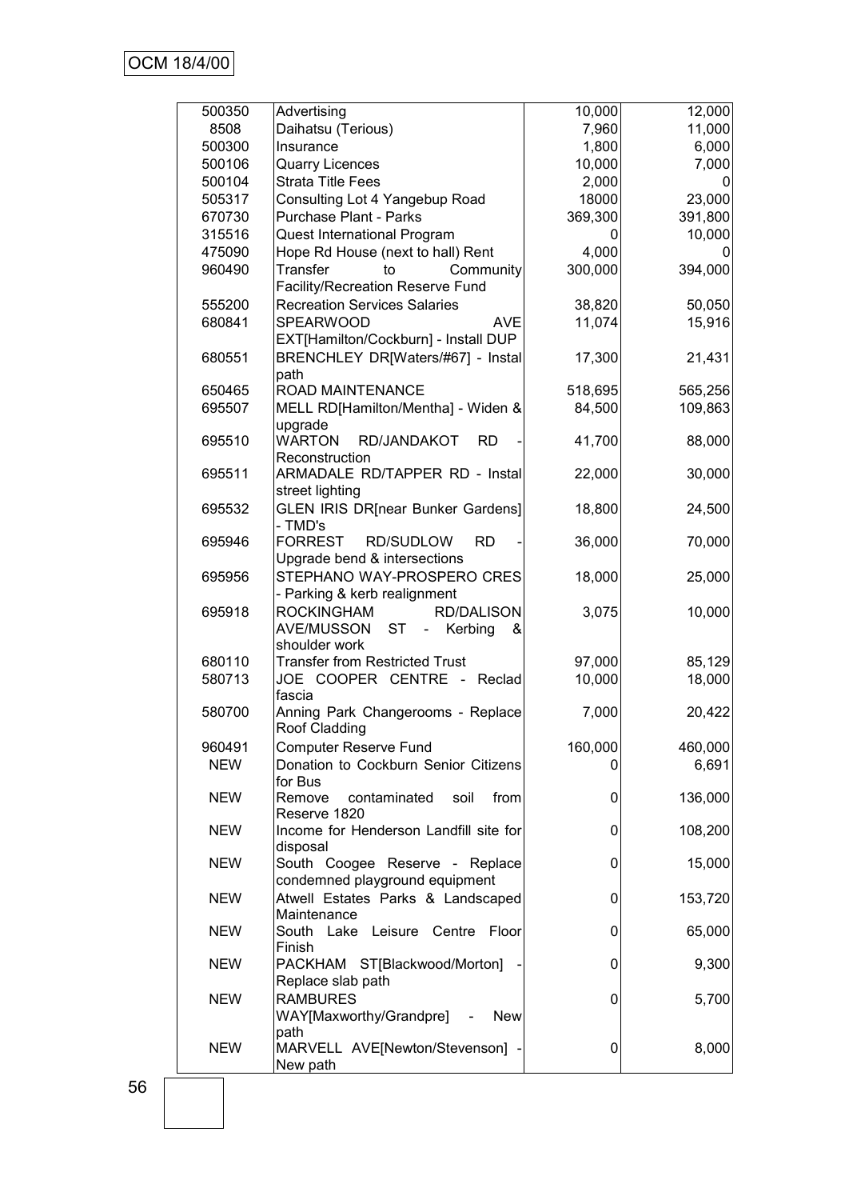| 500350     | Advertising                                                                                                                      | 10,000  | 12,000  |
|------------|----------------------------------------------------------------------------------------------------------------------------------|---------|---------|
| 8508       | Daihatsu (Terious)                                                                                                               | 7,960   | 11,000  |
| 500300     | Insurance                                                                                                                        | 1,800   | 6,000   |
| 500106     | <b>Quarry Licences</b>                                                                                                           | 10,000  | 7,000   |
| 500104     | <b>Strata Title Fees</b>                                                                                                         | 2,000   |         |
| 505317     | Consulting Lot 4 Yangebup Road                                                                                                   | 18000   | 23,000  |
| 670730     | <b>Purchase Plant - Parks</b>                                                                                                    | 369,300 | 391,800 |
| 315516     | Quest International Program                                                                                                      |         | 10,000  |
| 475090     | Hope Rd House (next to hall) Rent                                                                                                | 4,000   |         |
| 960490     | Transfer<br>Community<br>to<br>Facility/Recreation Reserve Fund                                                                  | 300,000 | 394,000 |
| 555200     | <b>Recreation Services Salaries</b>                                                                                              | 38,820  | 50,050  |
| 680841     | <b>SPEARWOOD</b><br><b>AVE</b><br>EXT[Hamilton/Cockburn] - Install DUP                                                           | 11,074  | 15,916  |
| 680551     | BRENCHLEY DR[Waters/#67] - Instal<br>path                                                                                        | 17,300  | 21,431  |
| 650465     | ROAD MAINTENANCE                                                                                                                 | 518,695 | 565,256 |
| 695507     | MELL RD[Hamilton/Mentha] - Widen &<br>upgrade                                                                                    | 84,500  | 109,863 |
| 695510     | <b>WARTON</b><br>RD/JANDAKOT<br><b>RD</b><br>Reconstruction                                                                      | 41,700  | 88,000  |
| 695511     | ARMADALE RD/TAPPER RD - Instal<br>street lighting                                                                                | 22,000  | 30,000  |
| 695532     | GLEN IRIS DR[near Bunker Gardens]<br>- TMD's                                                                                     | 18,800  | 24,500  |
| 695946     | <b>FORREST</b><br>RD/SUDLOW<br><b>RD</b><br>Upgrade bend & intersections                                                         | 36,000  | 70,000  |
| 695956     | STEPHANO WAY-PROSPERO CRES<br>- Parking & kerb realignment                                                                       | 18,000  | 25,000  |
| 695918     | <b>ROCKINGHAM</b><br><b>RD/DALISON</b><br><b>ST</b><br><b>AVE/MUSSON</b><br>$\omega_{\rm{eff}}$<br>Kerbing<br>&<br>shoulder work | 3,075   | 10,000  |
| 680110     | <b>Transfer from Restricted Trust</b>                                                                                            | 97,000  | 85,129  |
| 580713     | JOE COOPER CENTRE - Reclad<br>fascia                                                                                             | 10,000  | 18,000  |
| 580700     | Anning Park Changerooms - Replace<br>Roof Cladding                                                                               | 7,000   | 20,422  |
| 960491     | <b>Computer Reserve Fund</b>                                                                                                     | 160,000 | 460,000 |
| <b>NEW</b> | Donation to Cockburn Senior Citizens<br>for Bus                                                                                  | 0       | 6,691   |
| <b>NEW</b> | Remove<br>contaminated<br>from<br>soil<br>Reserve 1820                                                                           | 0       | 136,000 |
| <b>NEW</b> | Income for Henderson Landfill site for<br>disposal                                                                               | 0       | 108,200 |
| <b>NEW</b> | South Coogee Reserve - Replace<br>condemned playground equipment                                                                 | 0       | 15,000  |
| <b>NEW</b> | Atwell Estates Parks & Landscaped<br>Maintenance                                                                                 | 0       | 153,720 |
| <b>NEW</b> | South Lake Leisure Centre<br>Floor<br>Finish                                                                                     | 0       | 65,000  |
| <b>NEW</b> | PACKHAM ST[Blackwood/Morton]<br>Replace slab path                                                                                | 0       | 9,300   |
| <b>NEW</b> | <b>RAMBURES</b><br>WAY[Maxworthy/Grandpre] -<br><b>New</b><br>path                                                               | 0       | 5,700   |
| <b>NEW</b> | MARVELL AVE[Newton/Stevenson]<br>New path                                                                                        | 0       | 8,000   |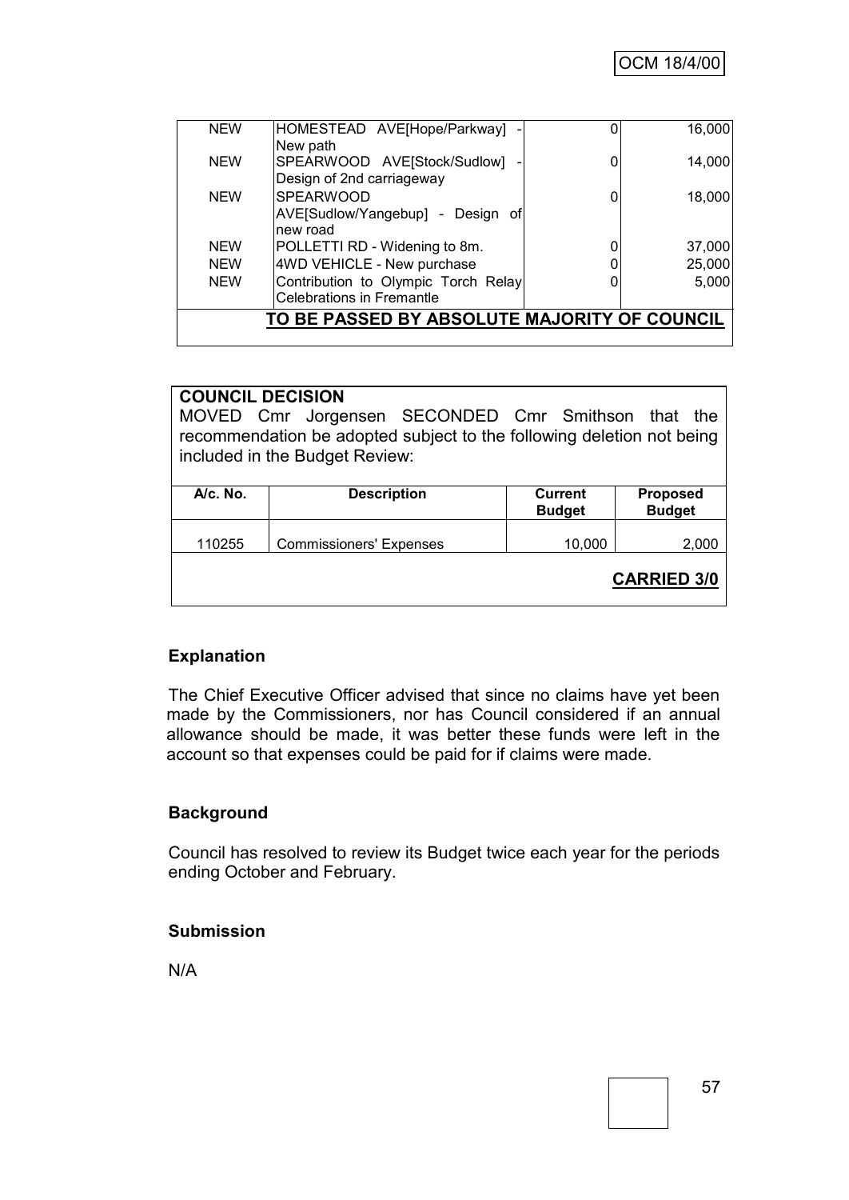| <b>NEW</b>                                   | HOMESTEAD AVE[Hope/Parkway]         |   | 16,000 |
|----------------------------------------------|-------------------------------------|---|--------|
|                                              | New path                            |   |        |
| <b>NEW</b>                                   | SPEARWOOD AVE[Stock/Sudlow] -       |   | 14,000 |
|                                              | Design of 2nd carriageway           |   |        |
| <b>NEW</b>                                   | <b>SPEARWOOD</b>                    | 0 | 18,000 |
|                                              | AVE[Sudlow/Yangebup] - Design of    |   |        |
|                                              | new road                            |   |        |
| <b>NEW</b>                                   | POLLETTI RD - Widening to 8m.       |   | 37,000 |
| <b>NEW</b>                                   | 4WD VEHICLE - New purchase          |   | 25,000 |
| <b>NEW</b>                                   | Contribution to Olympic Torch Relay |   | 5,000  |
|                                              | <b>Celebrations in Fremantle</b>    |   |        |
| TO BE PASSED BY ABSOLUTE MAJORITY OF COUNCIL |                                     |   |        |
|                                              |                                     |   |        |

# **COUNCIL DECISION**

MOVED Cmr Jorgensen SECONDED Cmr Smithson that the recommendation be adopted subject to the following deletion not being included in the Budget Review:

| $A/c.$ No. | <b>Description</b>             | Current<br><b>Budget</b> | <b>Proposed</b><br><b>Budget</b> |
|------------|--------------------------------|--------------------------|----------------------------------|
| 110255     | <b>Commissioners' Expenses</b> | 10,000                   | 2,000                            |
|            |                                |                          | <b>CARRIED 3/0</b>               |

# **Explanation**

The Chief Executive Officer advised that since no claims have yet been made by the Commissioners, nor has Council considered if an annual allowance should be made, it was better these funds were left in the account so that expenses could be paid for if claims were made.

# **Background**

Council has resolved to review its Budget twice each year for the periods ending October and February.

# **Submission**

N/A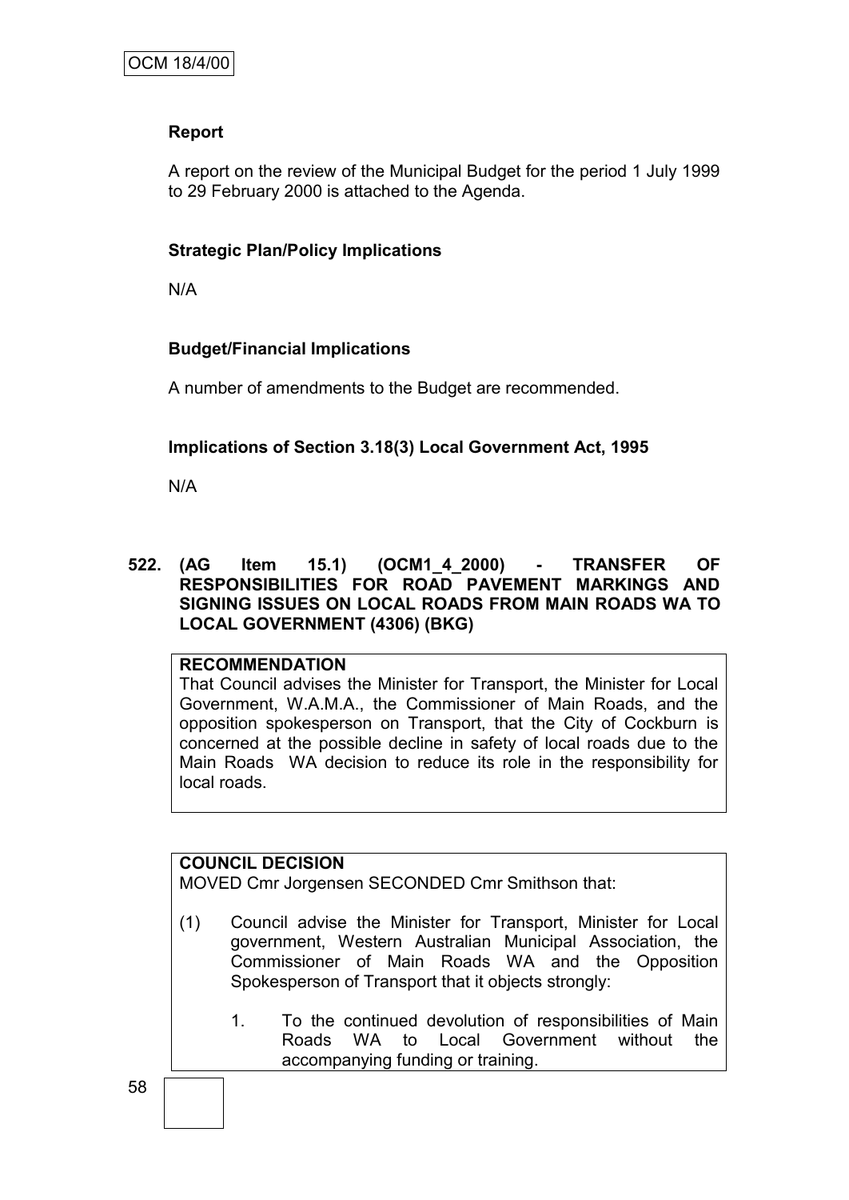# **Report**

A report on the review of the Municipal Budget for the period 1 July 1999 to 29 February 2000 is attached to the Agenda.

## **Strategic Plan/Policy Implications**

N/A

## **Budget/Financial Implications**

A number of amendments to the Budget are recommended.

## **Implications of Section 3.18(3) Local Government Act, 1995**

N/A

## **522. (AG Item 15.1) (OCM1\_4\_2000) - TRANSFER OF RESPONSIBILITIES FOR ROAD PAVEMENT MARKINGS AND SIGNING ISSUES ON LOCAL ROADS FROM MAIN ROADS WA TO LOCAL GOVERNMENT (4306) (BKG)**

## **RECOMMENDATION**

That Council advises the Minister for Transport, the Minister for Local Government, W.A.M.A., the Commissioner of Main Roads, and the opposition spokesperson on Transport, that the City of Cockburn is concerned at the possible decline in safety of local roads due to the Main Roads WA decision to reduce its role in the responsibility for local roads.

## **COUNCIL DECISION**

MOVED Cmr Jorgensen SECONDED Cmr Smithson that:

- (1) Council advise the Minister for Transport, Minister for Local government, Western Australian Municipal Association, the Commissioner of Main Roads WA and the Opposition Spokesperson of Transport that it objects strongly:
	- 1. To the continued devolution of responsibilities of Main Roads WA to Local Government without the accompanying funding or training.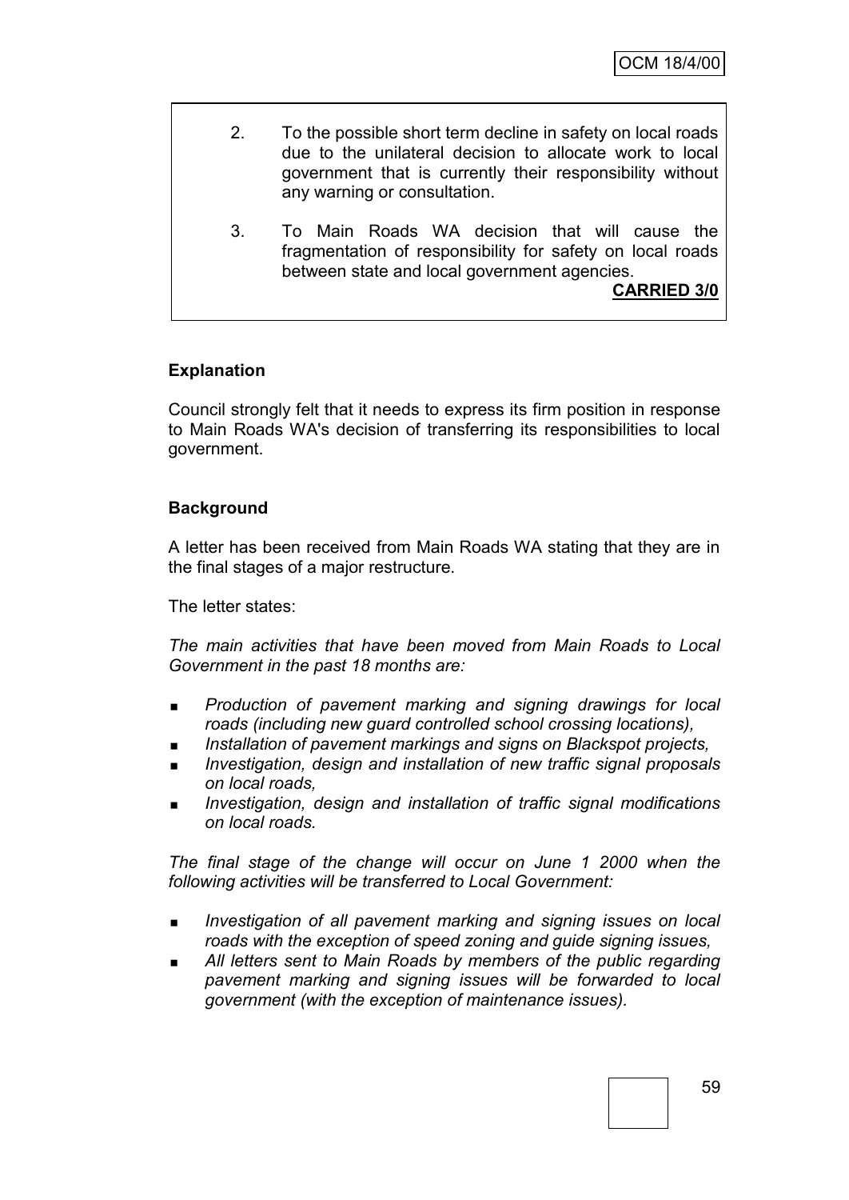- 2. To the possible short term decline in safety on local roads due to the unilateral decision to allocate work to local government that is currently their responsibility without any warning or consultation.
	- 3. To Main Roads WA decision that will cause the fragmentation of responsibility for safety on local roads between state and local government agencies.

**CARRIED 3/0**

## **Explanation**

Council strongly felt that it needs to express its firm position in response to Main Roads WA's decision of transferring its responsibilities to local government.

## **Background**

A letter has been received from Main Roads WA stating that they are in the final stages of a major restructure.

The letter states:

*The main activities that have been moved from Main Roads to Local Government in the past 18 months are:*

- *Production of pavement marking and signing drawings for local roads (including new guard controlled school crossing locations),*
- *Installation of pavement markings and signs on Blackspot projects,*
- *Investigation, design and installation of new traffic signal proposals on local roads,*
- *Investigation, design and installation of traffic signal modifications on local roads.*

*The final stage of the change will occur on June 1 2000 when the following activities will be transferred to Local Government:*

- *Investigation of all pavement marking and signing issues on local roads with the exception of speed zoning and guide signing issues,*
- **All letters sent to Main Roads by members of the public regarding** *pavement marking and signing issues will be forwarded to local government (with the exception of maintenance issues).*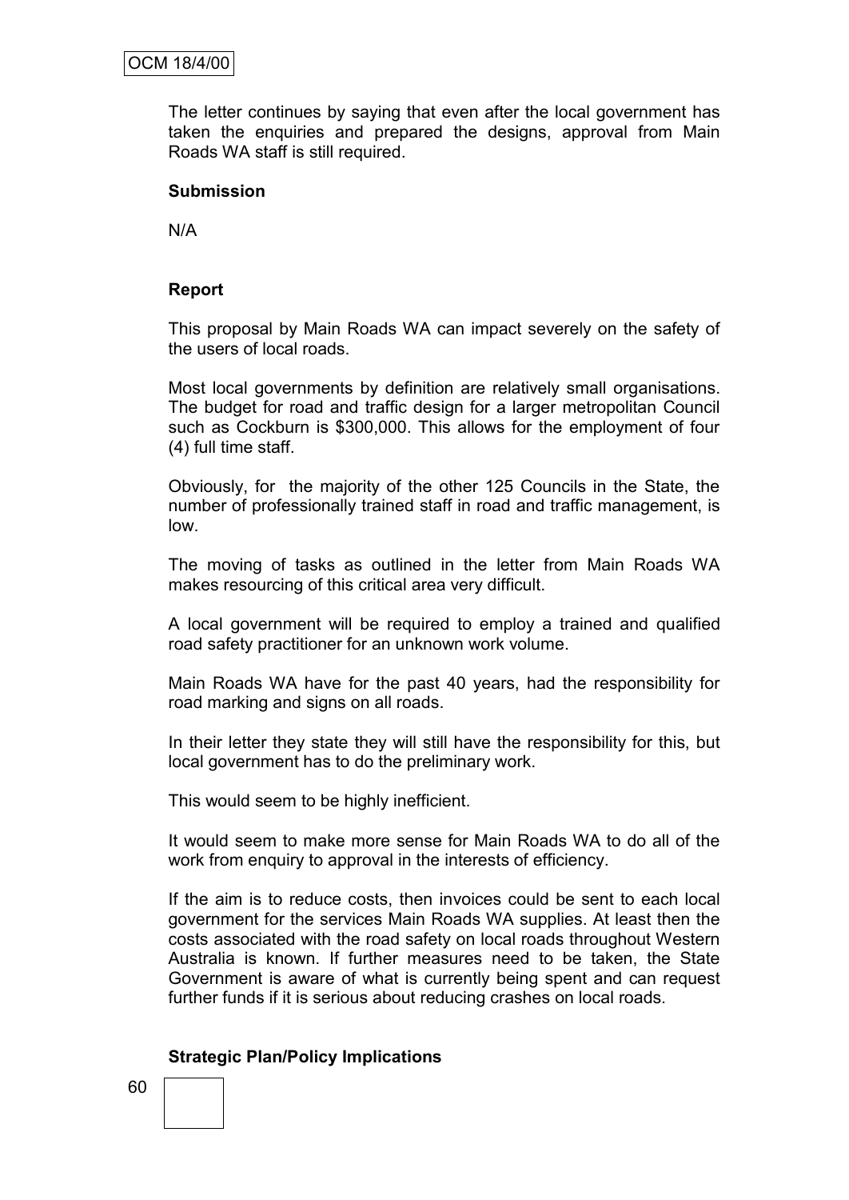The letter continues by saying that even after the local government has taken the enquiries and prepared the designs, approval from Main Roads WA staff is still required.

#### **Submission**

N/A

## **Report**

This proposal by Main Roads WA can impact severely on the safety of the users of local roads.

Most local governments by definition are relatively small organisations. The budget for road and traffic design for a larger metropolitan Council such as Cockburn is \$300,000. This allows for the employment of four (4) full time staff.

Obviously, for the majority of the other 125 Councils in the State, the number of professionally trained staff in road and traffic management, is low.

The moving of tasks as outlined in the letter from Main Roads WA makes resourcing of this critical area very difficult.

A local government will be required to employ a trained and qualified road safety practitioner for an unknown work volume.

Main Roads WA have for the past 40 years, had the responsibility for road marking and signs on all roads.

In their letter they state they will still have the responsibility for this, but local government has to do the preliminary work.

This would seem to be highly inefficient.

It would seem to make more sense for Main Roads WA to do all of the work from enquiry to approval in the interests of efficiency.

If the aim is to reduce costs, then invoices could be sent to each local government for the services Main Roads WA supplies. At least then the costs associated with the road safety on local roads throughout Western Australia is known. If further measures need to be taken, the State Government is aware of what is currently being spent and can request further funds if it is serious about reducing crashes on local roads.

## **Strategic Plan/Policy Implications**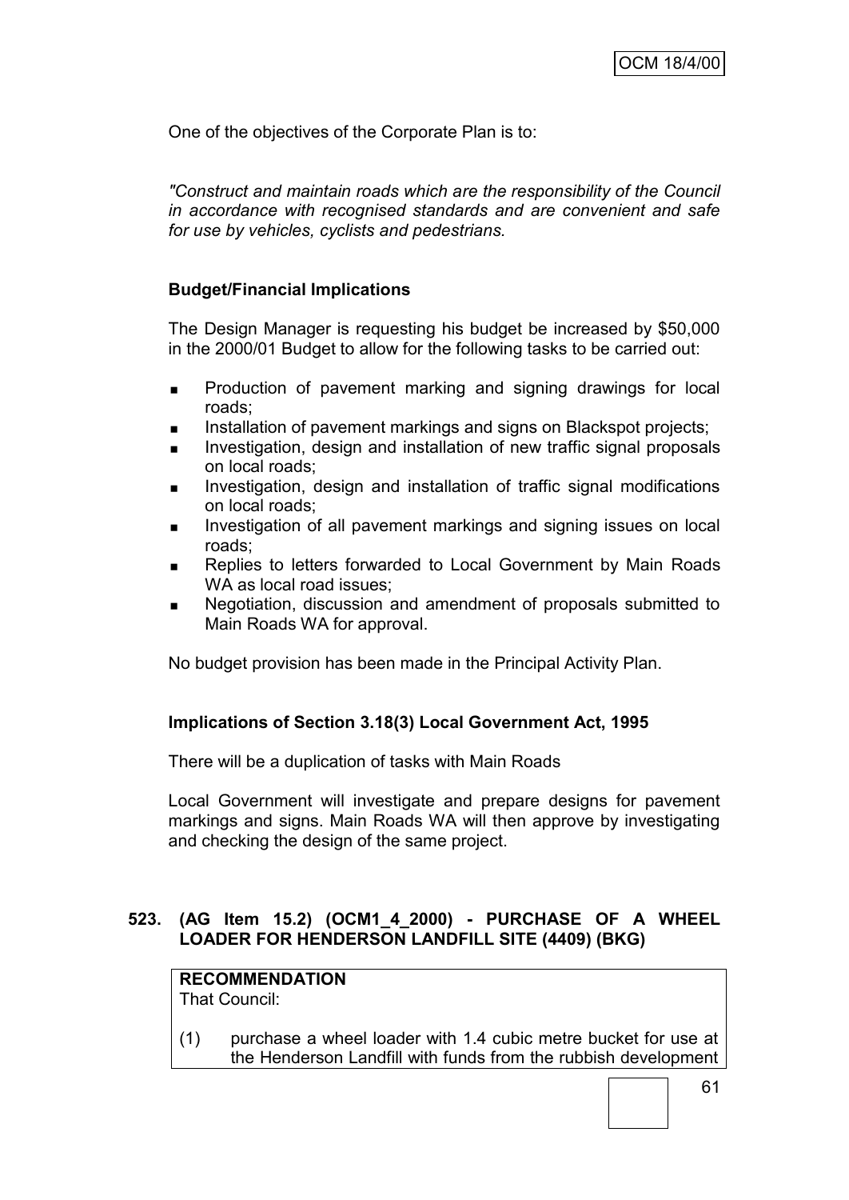One of the objectives of the Corporate Plan is to:

*"Construct and maintain roads which are the responsibility of the Council in accordance with recognised standards and are convenient and safe for use by vehicles, cyclists and pedestrians.*

# **Budget/Financial Implications**

The Design Manager is requesting his budget be increased by \$50,000 in the 2000/01 Budget to allow for the following tasks to be carried out:

- **Production of pavement marking and signing drawings for local** roads;
- **Installation of pavement markings and signs on Blackspot projects;**
- Investigation, design and installation of new traffic signal proposals on local roads;
- Investigation, design and installation of traffic signal modifications on local roads;
- **Investigation of all pavement markings and signing issues on local** roads;
- **Replies to letters forwarded to Local Government by Main Roads** WA as local road issues:
- **Negotiation, discussion and amendment of proposals submitted to** Main Roads WA for approval.

No budget provision has been made in the Principal Activity Plan.

## **Implications of Section 3.18(3) Local Government Act, 1995**

There will be a duplication of tasks with Main Roads

Local Government will investigate and prepare designs for pavement markings and signs. Main Roads WA will then approve by investigating and checking the design of the same project.

## **523. (AG Item 15.2) (OCM1\_4\_2000) - PURCHASE OF A WHEEL LOADER FOR HENDERSON LANDFILL SITE (4409) (BKG)**

**RECOMMENDATION** That Council:

(1) purchase a wheel loader with 1.4 cubic metre bucket for use at the Henderson Landfill with funds from the rubbish development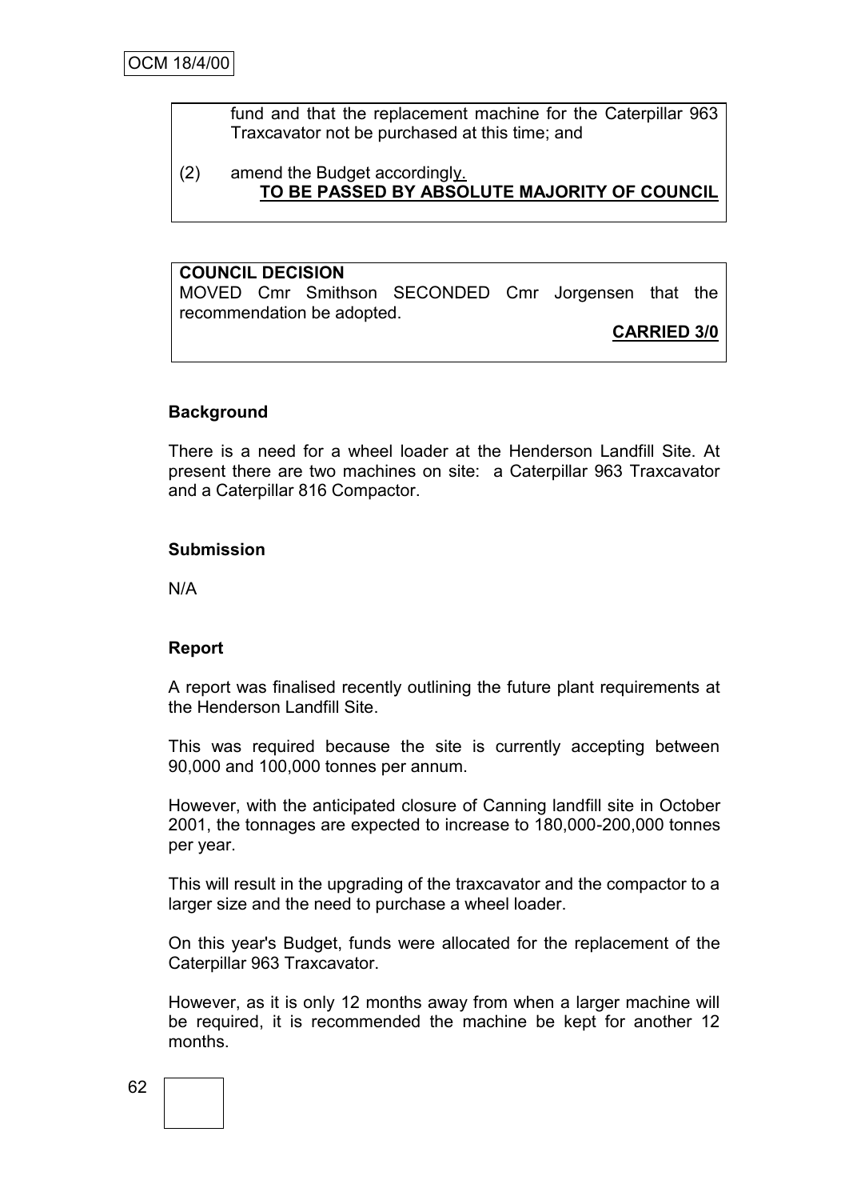fund and that the replacement machine for the Caterpillar 963 Traxcavator not be purchased at this time; and

## (2) amend the Budget accordingly. **TO BE PASSED BY ABSOLUTE MAJORITY OF COUNCIL**

# **COUNCIL DECISION**

MOVED Cmr Smithson SECONDED Cmr Jorgensen that the recommendation be adopted.

**CARRIED 3/0**

## **Background**

There is a need for a wheel loader at the Henderson Landfill Site. At present there are two machines on site: a Caterpillar 963 Traxcavator and a Caterpillar 816 Compactor.

#### **Submission**

N/A

## **Report**

A report was finalised recently outlining the future plant requirements at the Henderson Landfill Site.

This was required because the site is currently accepting between 90,000 and 100,000 tonnes per annum.

However, with the anticipated closure of Canning landfill site in October 2001, the tonnages are expected to increase to 180,000-200,000 tonnes per year.

This will result in the upgrading of the traxcavator and the compactor to a larger size and the need to purchase a wheel loader.

On this year's Budget, funds were allocated for the replacement of the Caterpillar 963 Traxcavator.

However, as it is only 12 months away from when a larger machine will be required, it is recommended the machine be kept for another 12 months.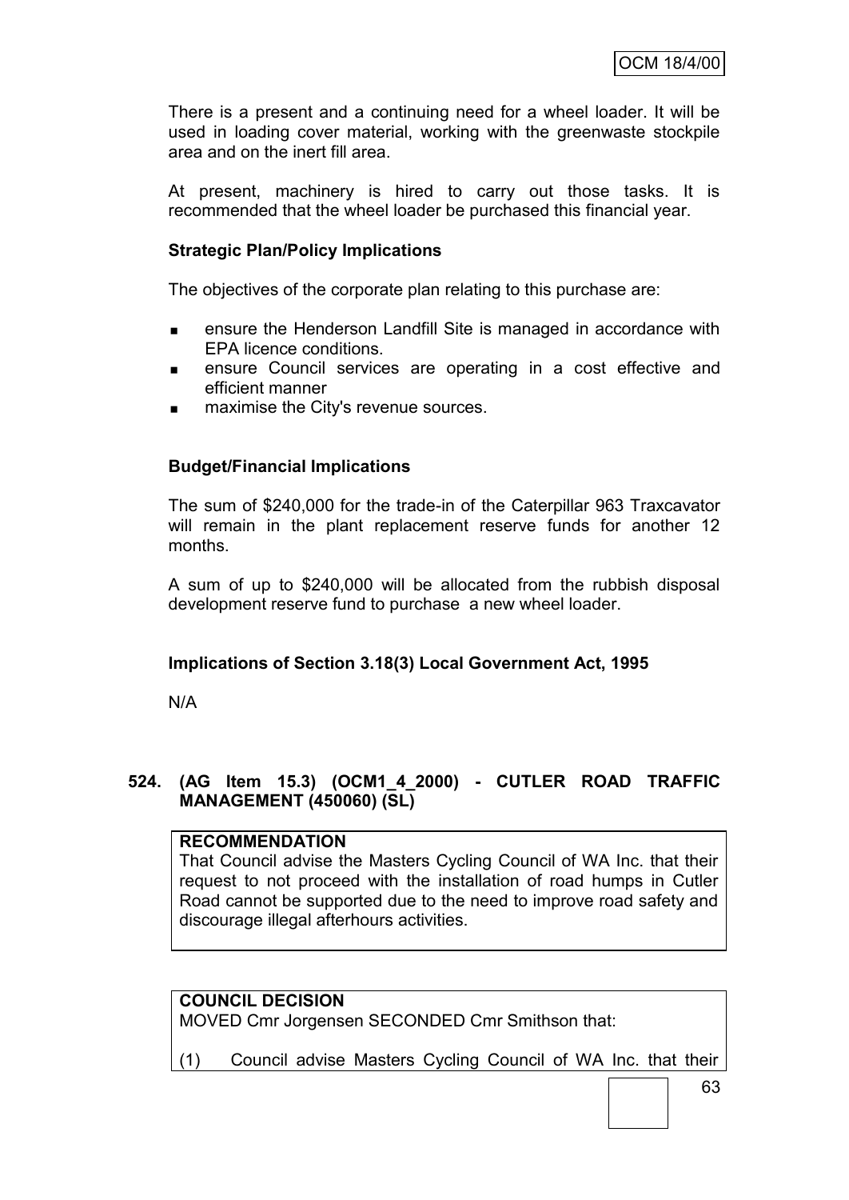There is a present and a continuing need for a wheel loader. It will be used in loading cover material, working with the greenwaste stockpile area and on the inert fill area.

At present, machinery is hired to carry out those tasks. It is recommended that the wheel loader be purchased this financial year.

## **Strategic Plan/Policy Implications**

The objectives of the corporate plan relating to this purchase are:

- **EXECT** ensure the Henderson Landfill Site is managed in accordance with EPA licence conditions.
- **EXECOUNCER ENGINEES ARE OPER AT A COST EFFECTIVE and EXECUTE COUNCIL SET AT A COST EFFECTIVE AND** efficient manner
- maximise the City's revenue sources.

## **Budget/Financial Implications**

The sum of \$240,000 for the trade-in of the Caterpillar 963 Traxcavator will remain in the plant replacement reserve funds for another 12 months.

A sum of up to \$240,000 will be allocated from the rubbish disposal development reserve fund to purchase a new wheel loader.

## **Implications of Section 3.18(3) Local Government Act, 1995**

N/A

## **524. (AG Item 15.3) (OCM1\_4\_2000) - CUTLER ROAD TRAFFIC MANAGEMENT (450060) (SL)**

## **RECOMMENDATION**

That Council advise the Masters Cycling Council of WA Inc. that their request to not proceed with the installation of road humps in Cutler Road cannot be supported due to the need to improve road safety and discourage illegal afterhours activities.

## **COUNCIL DECISION**

MOVED Cmr Jorgensen SECONDED Cmr Smithson that:

(1) Council advise Masters Cycling Council of WA Inc. that their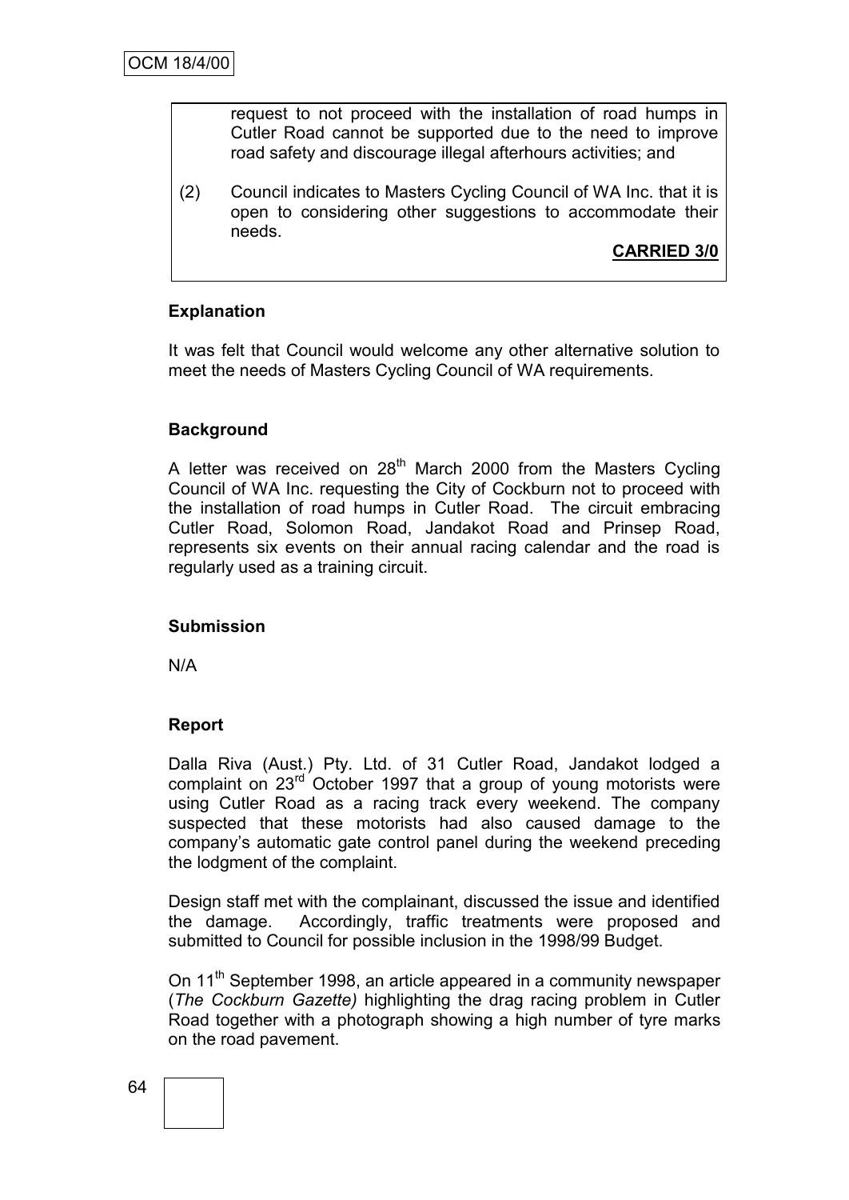request to not proceed with the installation of road humps in Cutler Road cannot be supported due to the need to improve road safety and discourage illegal afterhours activities; and

(2) Council indicates to Masters Cycling Council of WA Inc. that it is open to considering other suggestions to accommodate their needs.

**CARRIED 3/0**

## **Explanation**

It was felt that Council would welcome any other alternative solution to meet the needs of Masters Cycling Council of WA requirements.

## **Background**

A letter was received on  $28<sup>th</sup>$  March 2000 from the Masters Cycling Council of WA Inc. requesting the City of Cockburn not to proceed with the installation of road humps in Cutler Road. The circuit embracing Cutler Road, Solomon Road, Jandakot Road and Prinsep Road, represents six events on their annual racing calendar and the road is regularly used as a training circuit.

## **Submission**

N/A

# **Report**

Dalla Riva (Aust.) Pty. Ltd. of 31 Cutler Road, Jandakot lodged a complaint on  $23<sup>rd</sup>$  October 1997 that a group of young motorists were using Cutler Road as a racing track every weekend. The company suspected that these motorists had also caused damage to the company's automatic gate control panel during the weekend preceding the lodgment of the complaint.

Design staff met with the complainant, discussed the issue and identified the damage. Accordingly, traffic treatments were proposed and submitted to Council for possible inclusion in the 1998/99 Budget.

On 11<sup>th</sup> September 1998, an article appeared in a community newspaper (*The Cockburn Gazette)* highlighting the drag racing problem in Cutler Road together with a photograph showing a high number of tyre marks on the road pavement.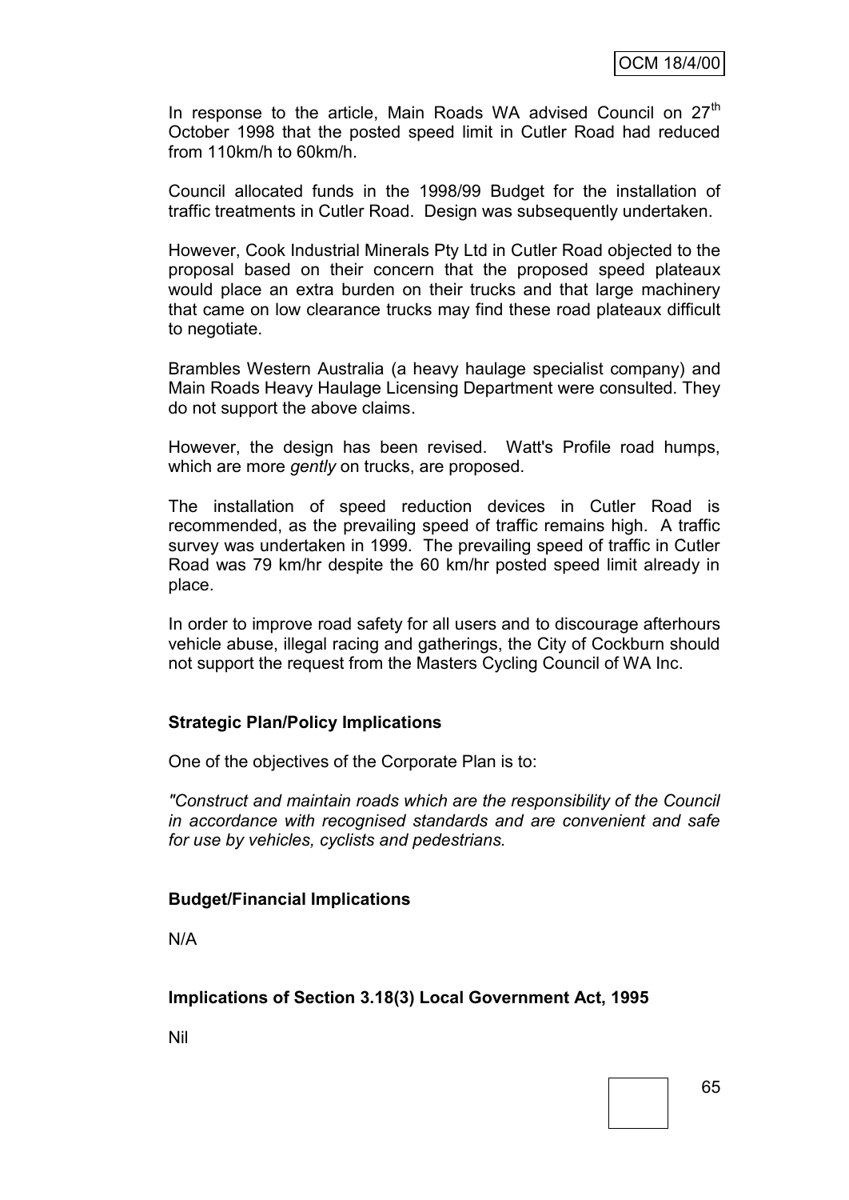In response to the article, Main Roads WA advised Council on  $27<sup>th</sup>$ October 1998 that the posted speed limit in Cutler Road had reduced from 110km/h to 60km/h.

Council allocated funds in the 1998/99 Budget for the installation of traffic treatments in Cutler Road. Design was subsequently undertaken.

However, Cook Industrial Minerals Pty Ltd in Cutler Road objected to the proposal based on their concern that the proposed speed plateaux would place an extra burden on their trucks and that large machinery that came on low clearance trucks may find these road plateaux difficult to negotiate.

Brambles Western Australia (a heavy haulage specialist company) and Main Roads Heavy Haulage Licensing Department were consulted. They do not support the above claims.

However, the design has been revised. Watt's Profile road humps, which are more *gently* on trucks, are proposed.

The installation of speed reduction devices in Cutler Road is recommended, as the prevailing speed of traffic remains high. A traffic survey was undertaken in 1999. The prevailing speed of traffic in Cutler Road was 79 km/hr despite the 60 km/hr posted speed limit already in place.

In order to improve road safety for all users and to discourage afterhours vehicle abuse, illegal racing and gatherings, the City of Cockburn should not support the request from the Masters Cycling Council of WA Inc.

## **Strategic Plan/Policy Implications**

One of the objectives of the Corporate Plan is to:

*"Construct and maintain roads which are the responsibility of the Council in accordance with recognised standards and are convenient and safe for use by vehicles, cyclists and pedestrians.*

#### **Budget/Financial Implications**

N/A

#### **Implications of Section 3.18(3) Local Government Act, 1995**

Nil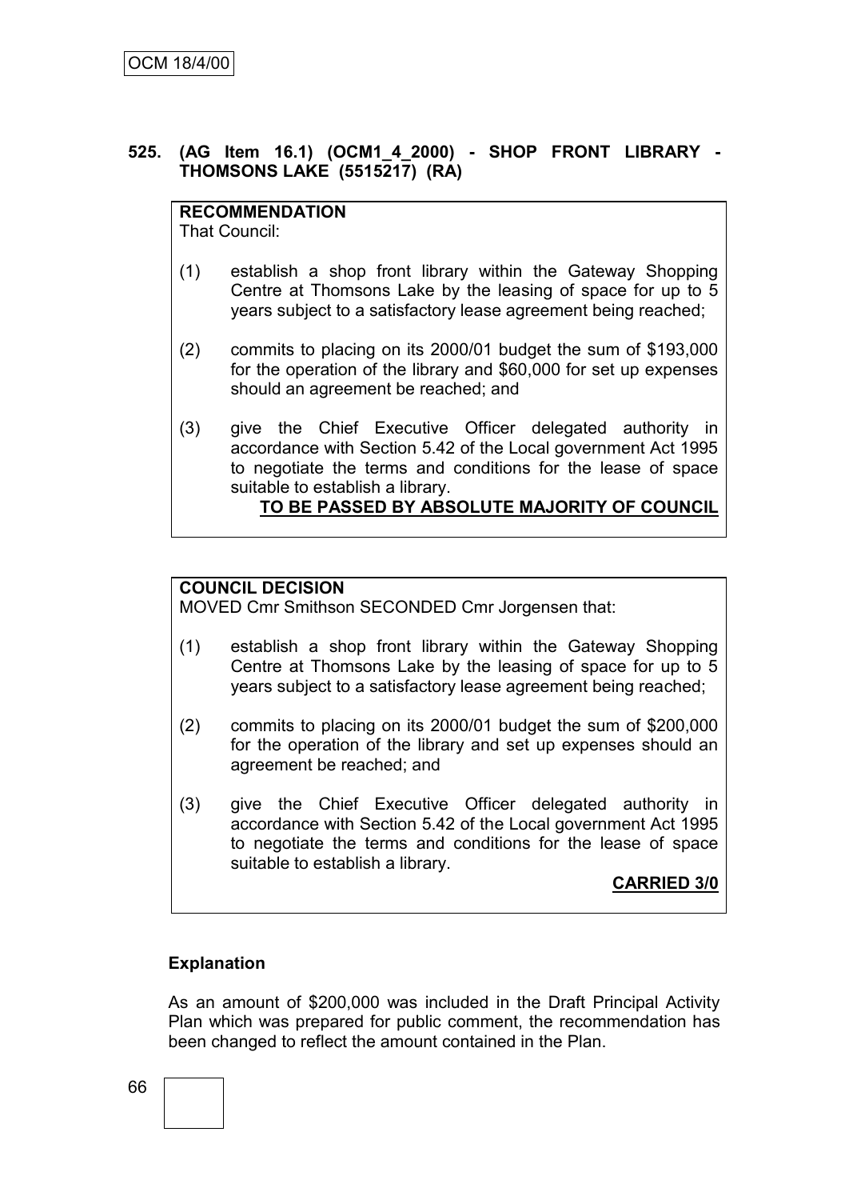## **525. (AG Item 16.1) (OCM1\_4\_2000) - SHOP FRONT LIBRARY - THOMSONS LAKE (5515217) (RA)**

## **RECOMMENDATION**

That Council:

- (1) establish a shop front library within the Gateway Shopping Centre at Thomsons Lake by the leasing of space for up to 5 years subject to a satisfactory lease agreement being reached;
- (2) commits to placing on its 2000/01 budget the sum of \$193,000 for the operation of the library and \$60,000 for set up expenses should an agreement be reached; and
- (3) give the Chief Executive Officer delegated authority in accordance with Section 5.42 of the Local government Act 1995 to negotiate the terms and conditions for the lease of space suitable to establish a library. **TO BE PASSED BY ABSOLUTE MAJORITY OF COUNCIL**

## **COUNCIL DECISION**

MOVED Cmr Smithson SECONDED Cmr Jorgensen that:

- (1) establish a shop front library within the Gateway Shopping Centre at Thomsons Lake by the leasing of space for up to 5 years subject to a satisfactory lease agreement being reached;
- (2) commits to placing on its 2000/01 budget the sum of \$200,000 for the operation of the library and set up expenses should an agreement be reached; and
- (3) give the Chief Executive Officer delegated authority in accordance with Section 5.42 of the Local government Act 1995 to negotiate the terms and conditions for the lease of space suitable to establish a library.

## **CARRIED 3/0**

## **Explanation**

As an amount of \$200,000 was included in the Draft Principal Activity Plan which was prepared for public comment, the recommendation has been changed to reflect the amount contained in the Plan.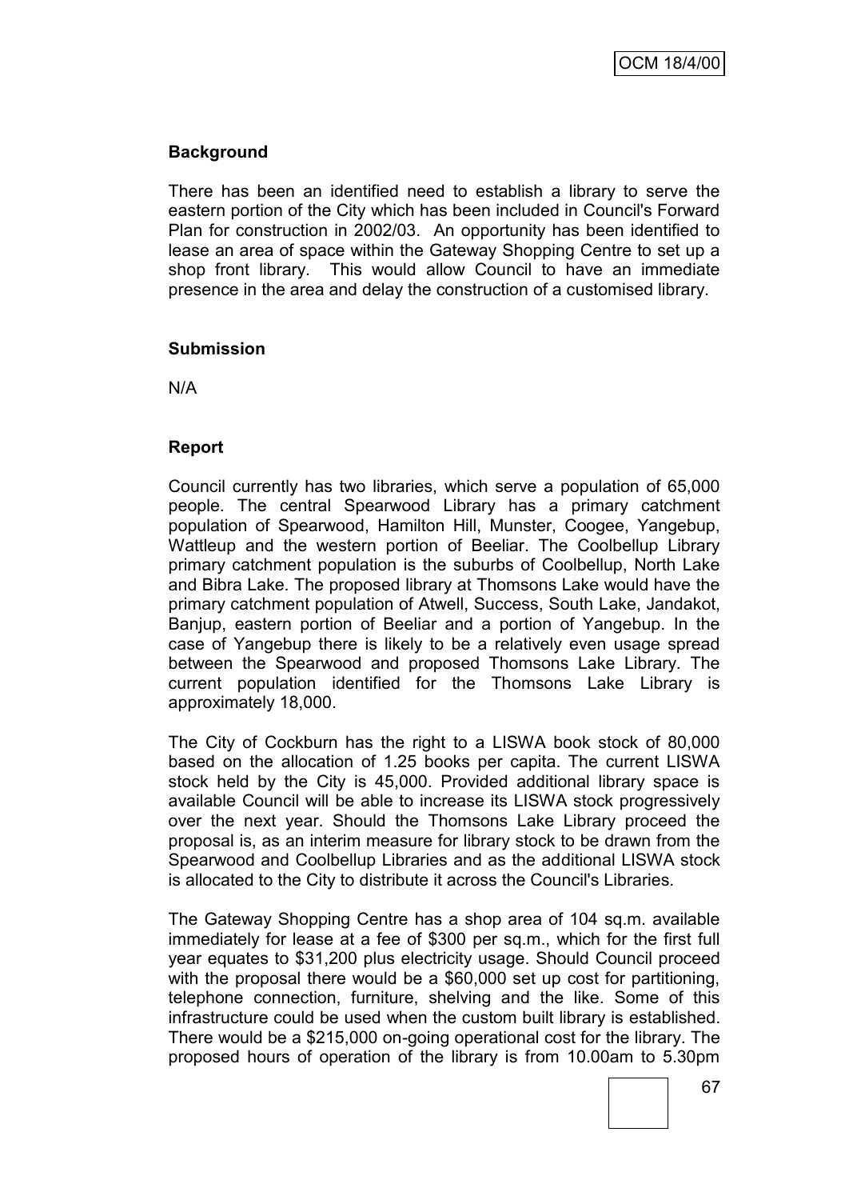# **Background**

There has been an identified need to establish a library to serve the eastern portion of the City which has been included in Council's Forward Plan for construction in 2002/03. An opportunity has been identified to lease an area of space within the Gateway Shopping Centre to set up a shop front library. This would allow Council to have an immediate presence in the area and delay the construction of a customised library.

## **Submission**

N/A

## **Report**

Council currently has two libraries, which serve a population of 65,000 people. The central Spearwood Library has a primary catchment population of Spearwood, Hamilton Hill, Munster, Coogee, Yangebup, Wattleup and the western portion of Beeliar. The Coolbellup Library primary catchment population is the suburbs of Coolbellup, North Lake and Bibra Lake. The proposed library at Thomsons Lake would have the primary catchment population of Atwell, Success, South Lake, Jandakot, Banjup, eastern portion of Beeliar and a portion of Yangebup. In the case of Yangebup there is likely to be a relatively even usage spread between the Spearwood and proposed Thomsons Lake Library. The current population identified for the Thomsons Lake Library is approximately 18,000.

The City of Cockburn has the right to a LISWA book stock of 80,000 based on the allocation of 1.25 books per capita. The current LISWA stock held by the City is 45,000. Provided additional library space is available Council will be able to increase its LISWA stock progressively over the next year. Should the Thomsons Lake Library proceed the proposal is, as an interim measure for library stock to be drawn from the Spearwood and Coolbellup Libraries and as the additional LISWA stock is allocated to the City to distribute it across the Council's Libraries.

The Gateway Shopping Centre has a shop area of 104 sq.m. available immediately for lease at a fee of \$300 per sq.m., which for the first full year equates to \$31,200 plus electricity usage. Should Council proceed with the proposal there would be a \$60,000 set up cost for partitioning, telephone connection, furniture, shelving and the like. Some of this infrastructure could be used when the custom built library is established. There would be a \$215,000 on-going operational cost for the library. The proposed hours of operation of the library is from 10.00am to 5.30pm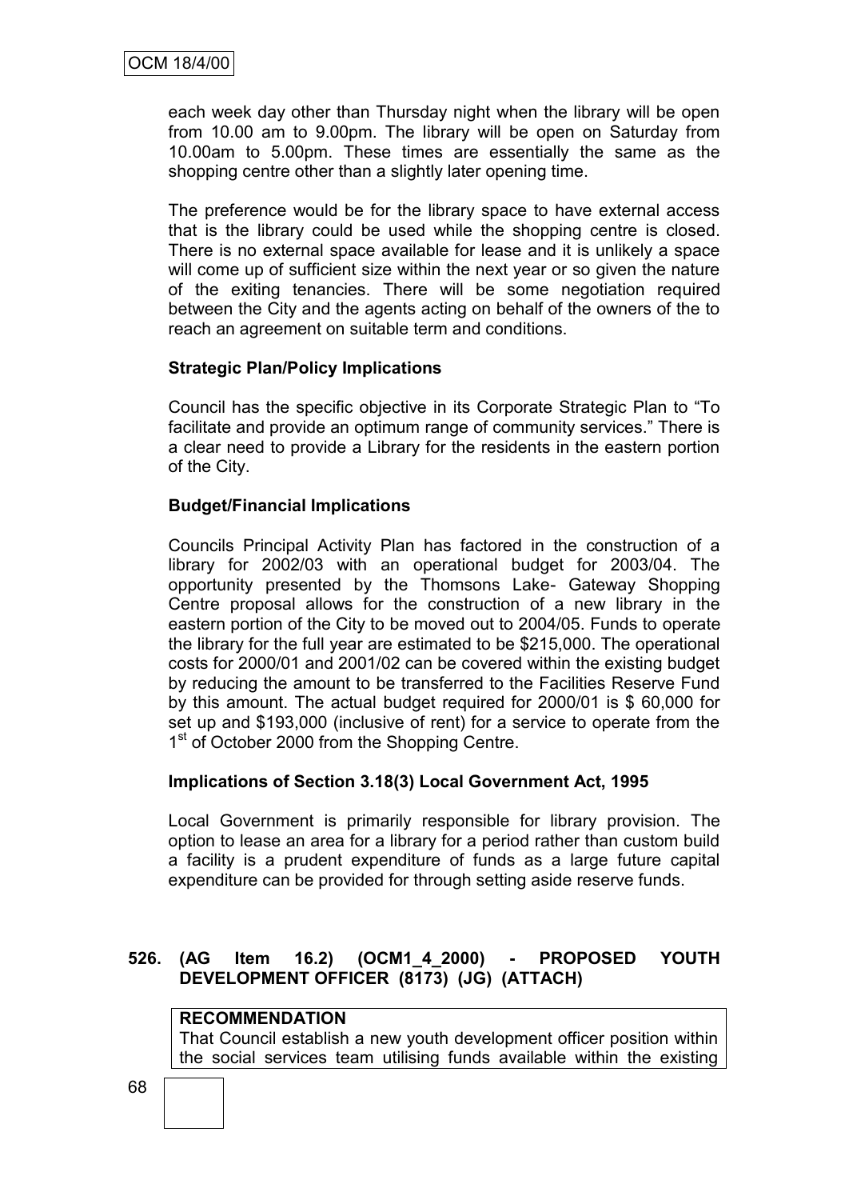each week day other than Thursday night when the library will be open from 10.00 am to 9.00pm. The library will be open on Saturday from 10.00am to 5.00pm. These times are essentially the same as the shopping centre other than a slightly later opening time.

The preference would be for the library space to have external access that is the library could be used while the shopping centre is closed. There is no external space available for lease and it is unlikely a space will come up of sufficient size within the next year or so given the nature of the exiting tenancies. There will be some negotiation required between the City and the agents acting on behalf of the owners of the to reach an agreement on suitable term and conditions.

## **Strategic Plan/Policy Implications**

Council has the specific objective in its Corporate Strategic Plan to "To facilitate and provide an optimum range of community services." There is a clear need to provide a Library for the residents in the eastern portion of the City.

## **Budget/Financial Implications**

Councils Principal Activity Plan has factored in the construction of a library for 2002/03 with an operational budget for 2003/04. The opportunity presented by the Thomsons Lake- Gateway Shopping Centre proposal allows for the construction of a new library in the eastern portion of the City to be moved out to 2004/05. Funds to operate the library for the full year are estimated to be \$215,000. The operational costs for 2000/01 and 2001/02 can be covered within the existing budget by reducing the amount to be transferred to the Facilities Reserve Fund by this amount. The actual budget required for 2000/01 is \$ 60,000 for set up and \$193,000 (inclusive of rent) for a service to operate from the 1<sup>st</sup> of October 2000 from the Shopping Centre.

## **Implications of Section 3.18(3) Local Government Act, 1995**

Local Government is primarily responsible for library provision. The option to lease an area for a library for a period rather than custom build a facility is a prudent expenditure of funds as a large future capital expenditure can be provided for through setting aside reserve funds.

## **526. (AG Item 16.2) (OCM1\_4\_2000) - PROPOSED YOUTH DEVELOPMENT OFFICER (8173) (JG) (ATTACH)**

# **RECOMMENDATION**

That Council establish a new youth development officer position within the social services team utilising funds available within the existing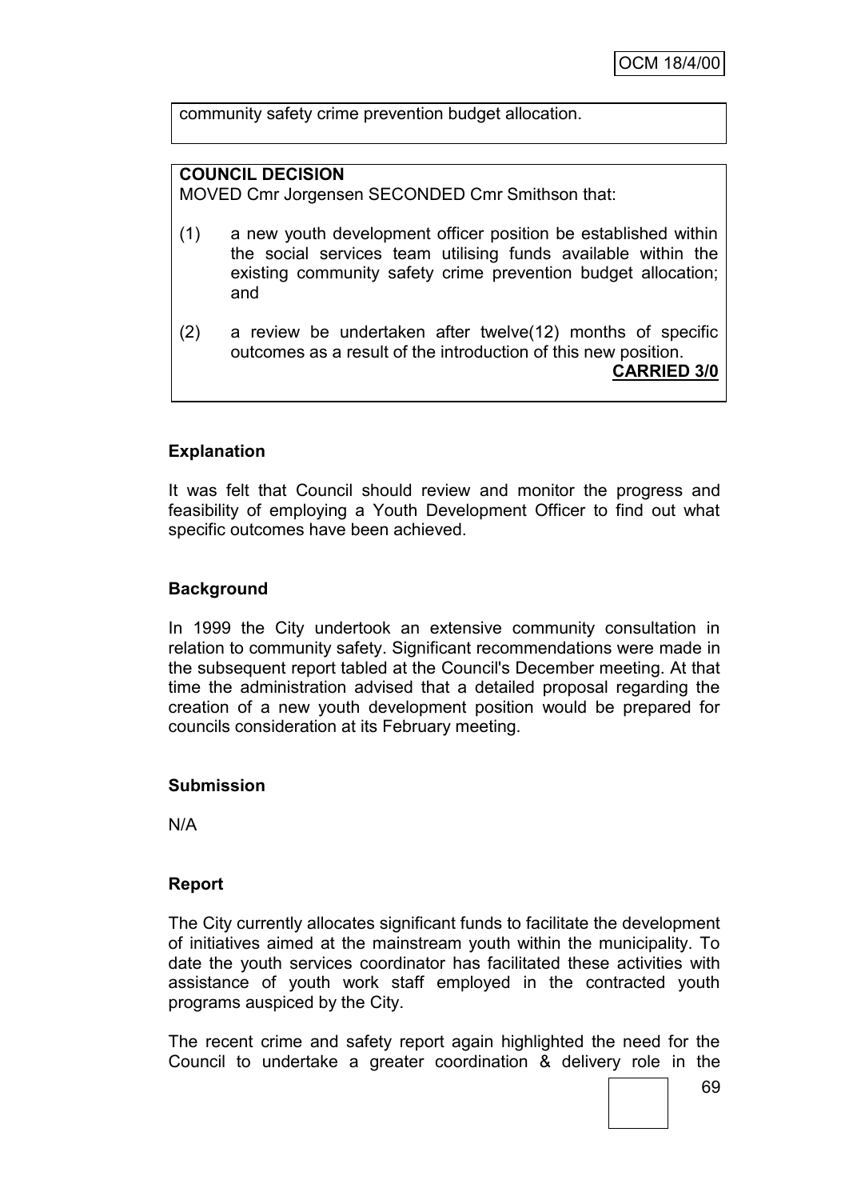community safety crime prevention budget allocation.

### **COUNCIL DECISION**

MOVED Cmr Jorgensen SECONDED Cmr Smithson that:

- (1) a new youth development officer position be established within the social services team utilising funds available within the existing community safety crime prevention budget allocation; and
- (2) a review be undertaken after twelve(12) months of specific outcomes as a result of the introduction of this new position. **CARRIED 3/0**

## **Explanation**

It was felt that Council should review and monitor the progress and feasibility of employing a Youth Development Officer to find out what specific outcomes have been achieved.

#### **Background**

In 1999 the City undertook an extensive community consultation in relation to community safety. Significant recommendations were made in the subsequent report tabled at the Council's December meeting. At that time the administration advised that a detailed proposal regarding the creation of a new youth development position would be prepared for councils consideration at its February meeting.

#### **Submission**

N/A

## **Report**

The City currently allocates significant funds to facilitate the development of initiatives aimed at the mainstream youth within the municipality. To date the youth services coordinator has facilitated these activities with assistance of youth work staff employed in the contracted youth programs auspiced by the City.

The recent crime and safety report again highlighted the need for the Council to undertake a greater coordination & delivery role in the

69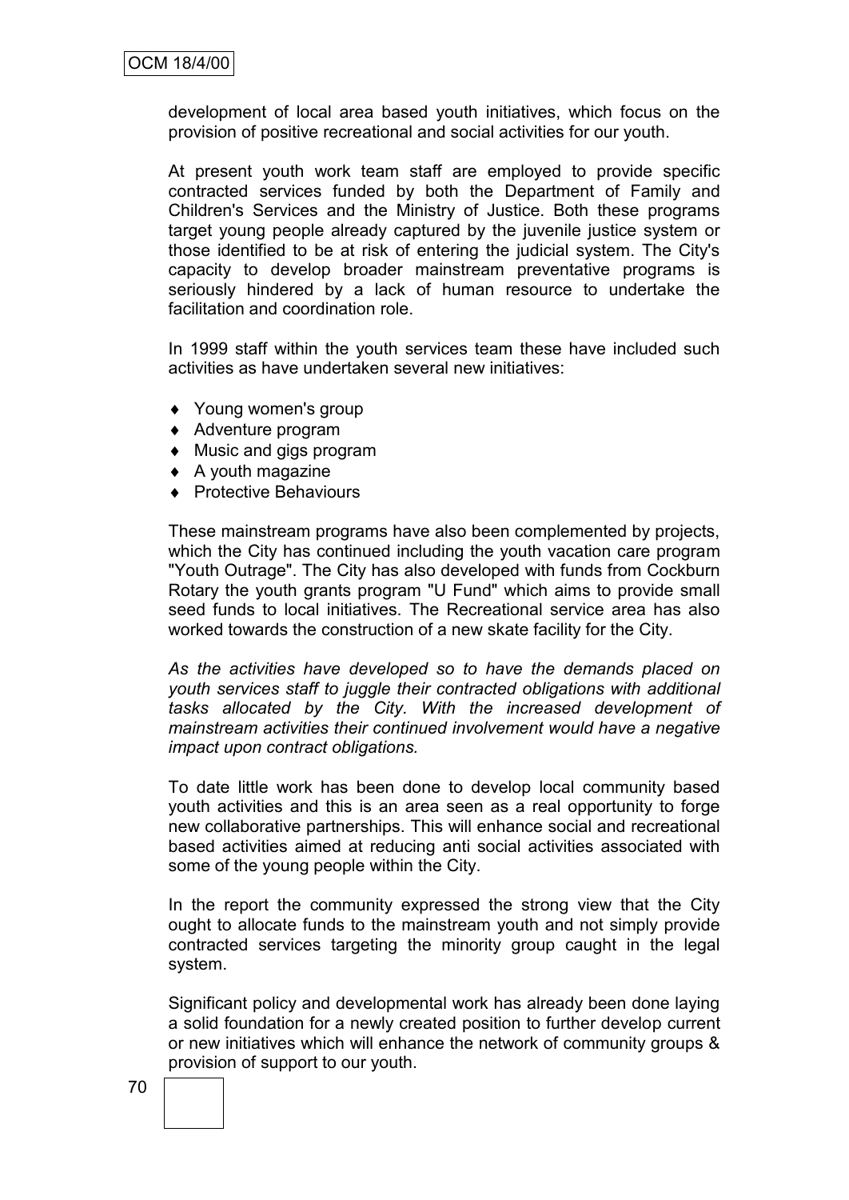development of local area based youth initiatives, which focus on the provision of positive recreational and social activities for our youth.

At present youth work team staff are employed to provide specific contracted services funded by both the Department of Family and Children's Services and the Ministry of Justice. Both these programs target young people already captured by the juvenile justice system or those identified to be at risk of entering the judicial system. The City's capacity to develop broader mainstream preventative programs is seriously hindered by a lack of human resource to undertake the facilitation and coordination role.

In 1999 staff within the youth services team these have included such activities as have undertaken several new initiatives:

- ◆ Young women's group
- ◆ Adventure program
- $\bullet$  Music and gigs program
- $\triangle$  A youth magazine
- ◆ Protective Behaviours

These mainstream programs have also been complemented by projects, which the City has continued including the youth vacation care program "Youth Outrage". The City has also developed with funds from Cockburn Rotary the youth grants program "U Fund" which aims to provide small seed funds to local initiatives. The Recreational service area has also worked towards the construction of a new skate facility for the City.

*As the activities have developed so to have the demands placed on youth services staff to juggle their contracted obligations with additional tasks allocated by the City. With the increased development of mainstream activities their continued involvement would have a negative impact upon contract obligations.*

To date little work has been done to develop local community based youth activities and this is an area seen as a real opportunity to forge new collaborative partnerships. This will enhance social and recreational based activities aimed at reducing anti social activities associated with some of the young people within the City.

In the report the community expressed the strong view that the City ought to allocate funds to the mainstream youth and not simply provide contracted services targeting the minority group caught in the legal system.

Significant policy and developmental work has already been done laying a solid foundation for a newly created position to further develop current or new initiatives which will enhance the network of community groups & provision of support to our youth.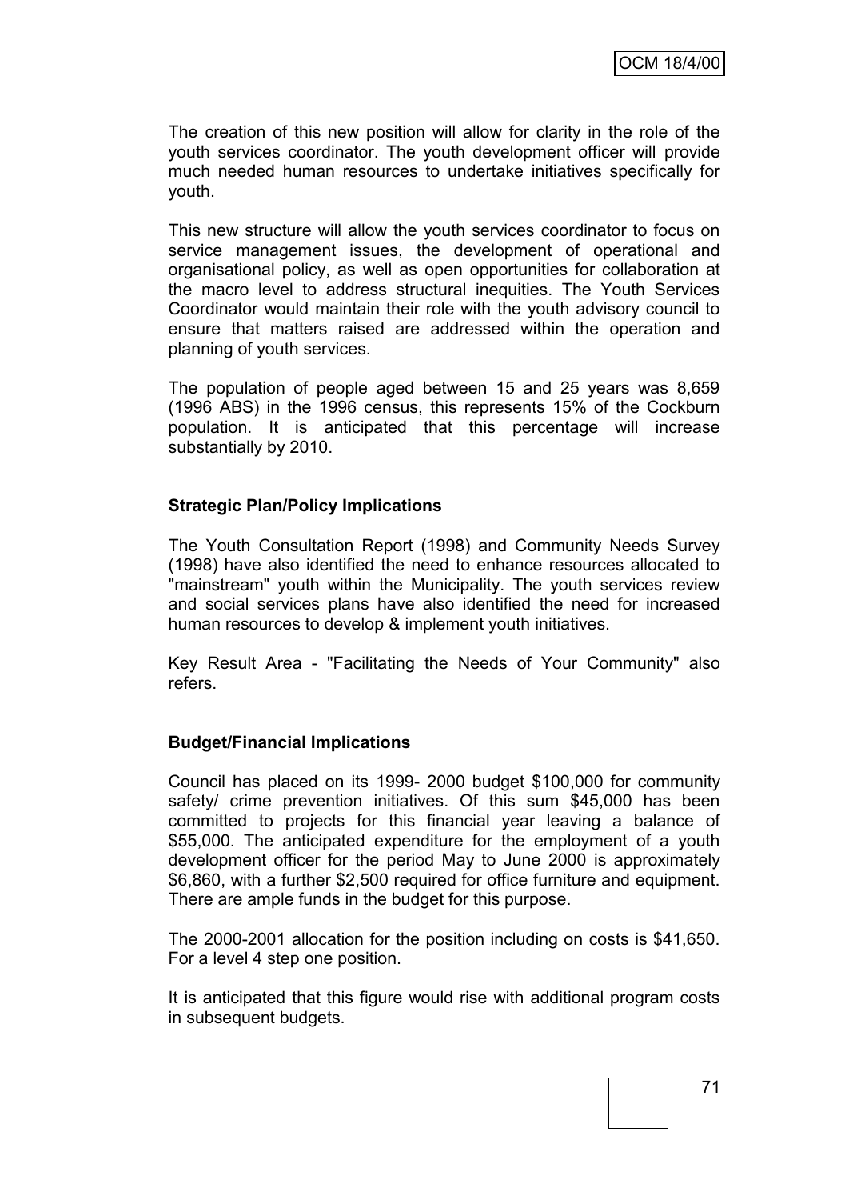The creation of this new position will allow for clarity in the role of the youth services coordinator. The youth development officer will provide much needed human resources to undertake initiatives specifically for youth.

This new structure will allow the youth services coordinator to focus on service management issues, the development of operational and organisational policy, as well as open opportunities for collaboration at the macro level to address structural inequities. The Youth Services Coordinator would maintain their role with the youth advisory council to ensure that matters raised are addressed within the operation and planning of youth services.

The population of people aged between 15 and 25 years was 8,659 (1996 ABS) in the 1996 census, this represents 15% of the Cockburn population. It is anticipated that this percentage will increase substantially by 2010.

## **Strategic Plan/Policy Implications**

The Youth Consultation Report (1998) and Community Needs Survey (1998) have also identified the need to enhance resources allocated to "mainstream" youth within the Municipality. The youth services review and social services plans have also identified the need for increased human resources to develop & implement youth initiatives.

Key Result Area - "Facilitating the Needs of Your Community" also refers.

## **Budget/Financial Implications**

Council has placed on its 1999- 2000 budget \$100,000 for community safety/ crime prevention initiatives. Of this sum \$45,000 has been committed to projects for this financial year leaving a balance of \$55,000. The anticipated expenditure for the employment of a youth development officer for the period May to June 2000 is approximately \$6,860, with a further \$2,500 required for office furniture and equipment. There are ample funds in the budget for this purpose.

The 2000-2001 allocation for the position including on costs is \$41,650. For a level 4 step one position.

It is anticipated that this figure would rise with additional program costs in subsequent budgets.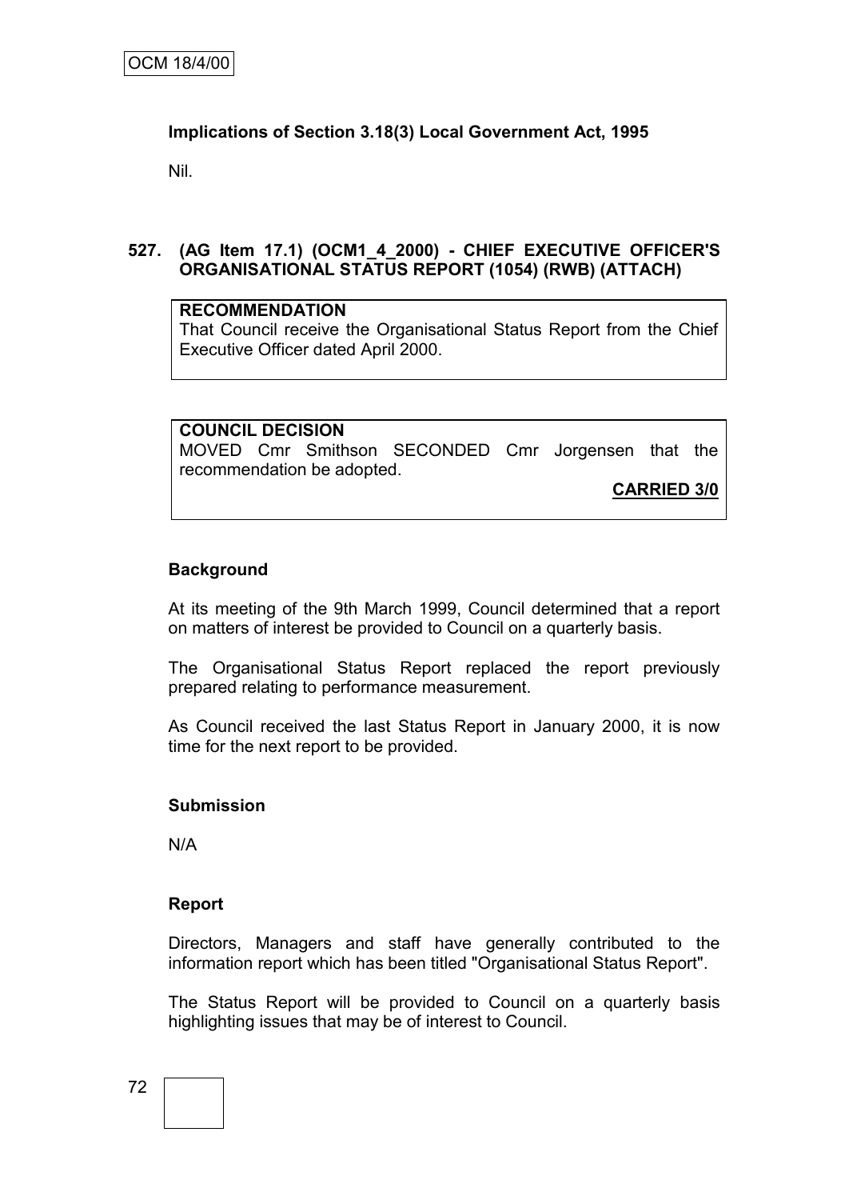# **Implications of Section 3.18(3) Local Government Act, 1995**

Nil.

## **527. (AG Item 17.1) (OCM1\_4\_2000) - CHIEF EXECUTIVE OFFICER'S ORGANISATIONAL STATUS REPORT (1054) (RWB) (ATTACH)**

### **RECOMMENDATION**

That Council receive the Organisational Status Report from the Chief Executive Officer dated April 2000.

## **COUNCIL DECISION**

MOVED Cmr Smithson SECONDED Cmr Jorgensen that the recommendation be adopted.

**CARRIED 3/0**

## **Background**

At its meeting of the 9th March 1999, Council determined that a report on matters of interest be provided to Council on a quarterly basis.

The Organisational Status Report replaced the report previously prepared relating to performance measurement.

As Council received the last Status Report in January 2000, it is now time for the next report to be provided.

## **Submission**

N/A

## **Report**

Directors, Managers and staff have generally contributed to the information report which has been titled "Organisational Status Report".

The Status Report will be provided to Council on a quarterly basis highlighting issues that may be of interest to Council.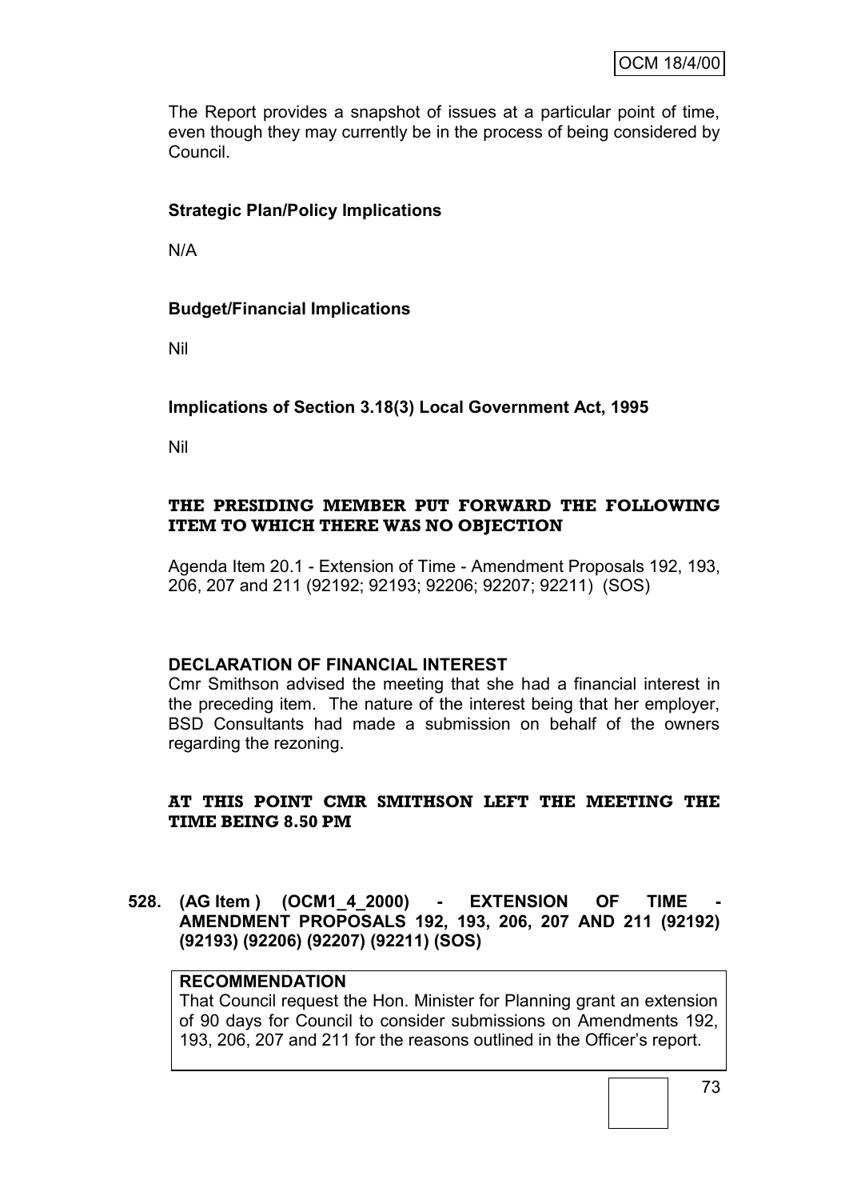The Report provides a snapshot of issues at a particular point of time, even though they may currently be in the process of being considered by Council.

## **Strategic Plan/Policy Implications**

N/A

## **Budget/Financial Implications**

Nil

## **Implications of Section 3.18(3) Local Government Act, 1995**

Nil

## **THE PRESIDING MEMBER PUT FORWARD THE FOLLOWING ITEM TO WHICH THERE WAS NO OBJECTION**

Agenda Item 20.1 - Extension of Time - Amendment Proposals 192, 193, 206, 207 and 211 (92192; 92193; 92206; 92207; 92211) (SOS)

## **DECLARATION OF FINANCIAL INTEREST**

Cmr Smithson advised the meeting that she had a financial interest in the preceding item. The nature of the interest being that her employer, BSD Consultants had made a submission on behalf of the owners regarding the rezoning.

## **AT THIS POINT CMR SMITHSON LEFT THE MEETING THE TIME BEING 8.50 PM**

**528. (AG Item ) (OCM1\_4\_2000) - EXTENSION OF TIME - AMENDMENT PROPOSALS 192, 193, 206, 207 AND 211 (92192) (92193) (92206) (92207) (92211) (SOS)**

#### **RECOMMENDATION**

That Council request the Hon. Minister for Planning grant an extension of 90 days for Council to consider submissions on Amendments 192, 193, 206, 207 and 211 for the reasons outlined in the Officer's report.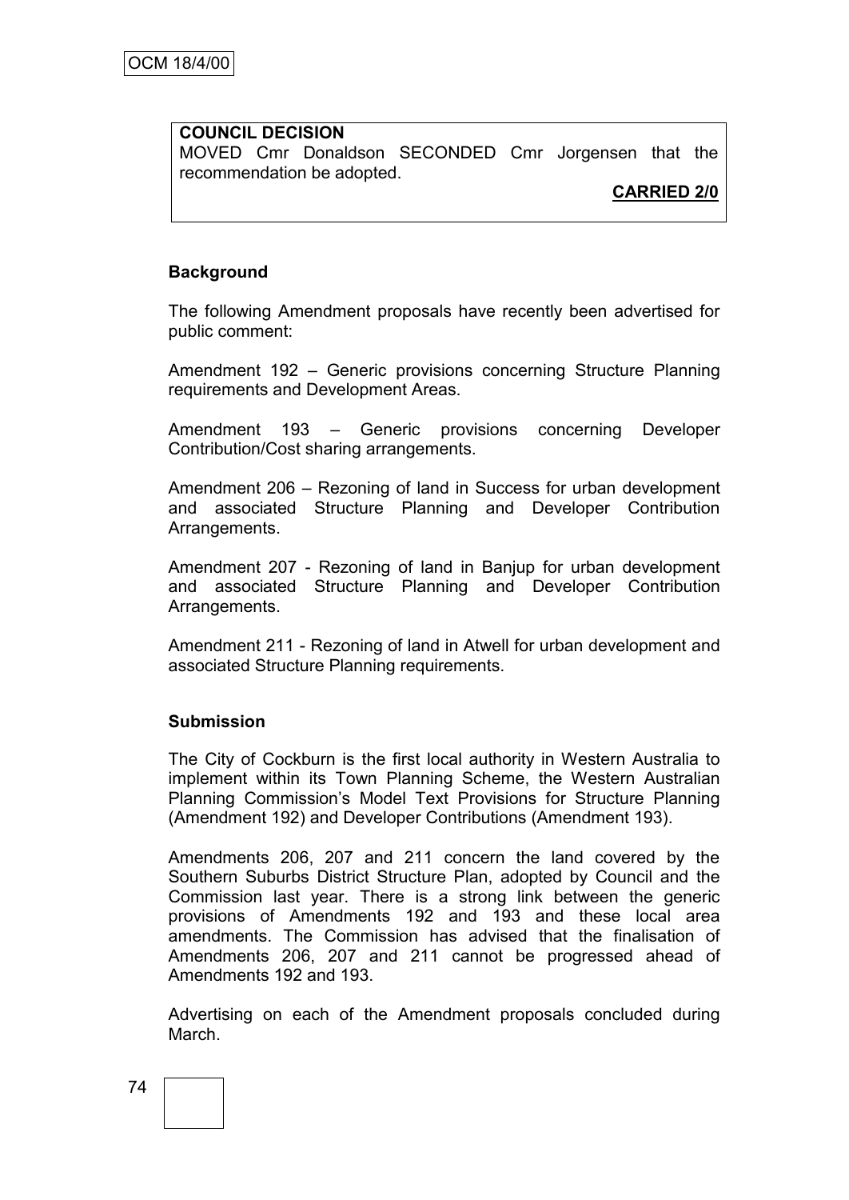## **COUNCIL DECISION**

MOVED Cmr Donaldson SECONDED Cmr Jorgensen that the recommendation be adopted.

## **Background**

The following Amendment proposals have recently been advertised for public comment:

Amendment 192 – Generic provisions concerning Structure Planning requirements and Development Areas.

Amendment 193 – Generic provisions concerning Developer Contribution/Cost sharing arrangements.

Amendment 206 – Rezoning of land in Success for urban development and associated Structure Planning and Developer Contribution Arrangements.

Amendment 207 - Rezoning of land in Banjup for urban development and associated Structure Planning and Developer Contribution Arrangements.

Amendment 211 - Rezoning of land in Atwell for urban development and associated Structure Planning requirements.

## **Submission**

The City of Cockburn is the first local authority in Western Australia to implement within its Town Planning Scheme, the Western Australian Planning Commission's Model Text Provisions for Structure Planning (Amendment 192) and Developer Contributions (Amendment 193).

Amendments 206, 207 and 211 concern the land covered by the Southern Suburbs District Structure Plan, adopted by Council and the Commission last year. There is a strong link between the generic provisions of Amendments 192 and 193 and these local area amendments. The Commission has advised that the finalisation of Amendments 206, 207 and 211 cannot be progressed ahead of Amendments 192 and 193.

Advertising on each of the Amendment proposals concluded during March.

$$
\begin{array}{c|c} \hline 74 \\ \hline \end{array}
$$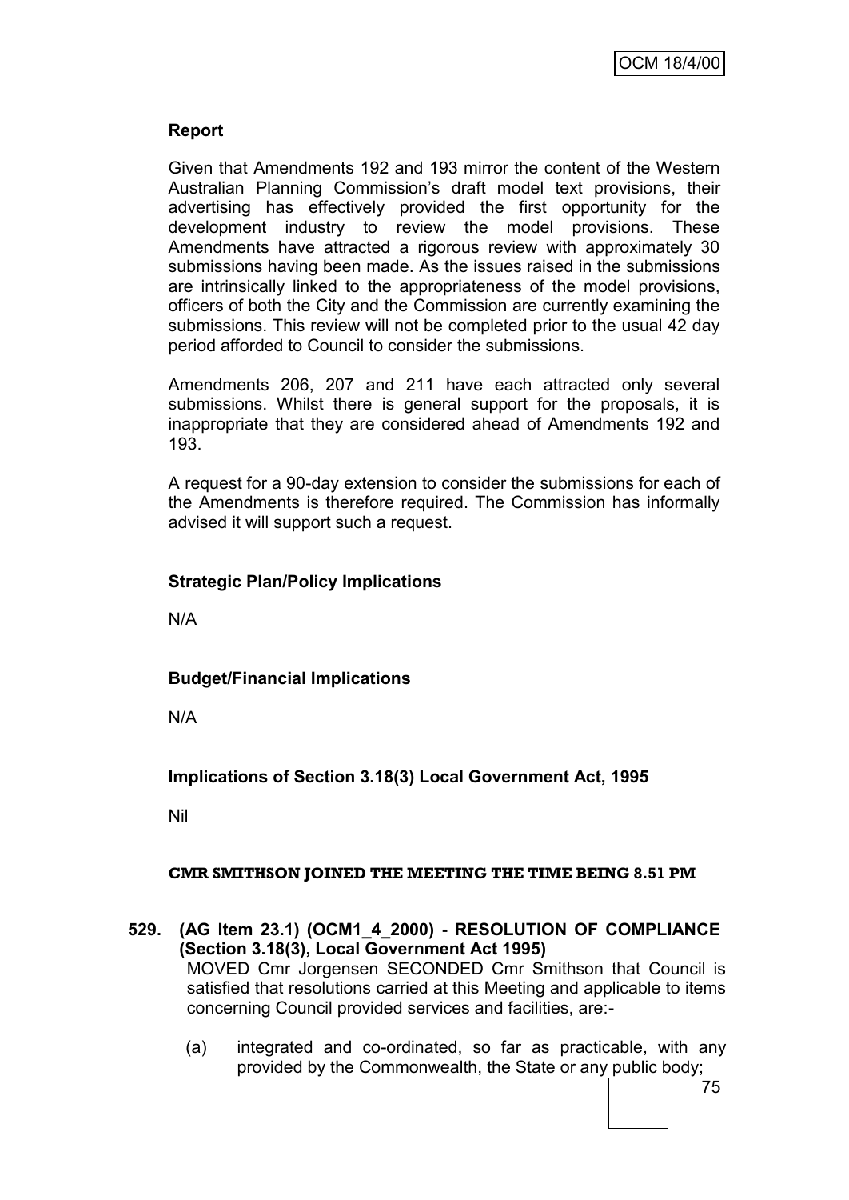# **Report**

Given that Amendments 192 and 193 mirror the content of the Western Australian Planning Commission's draft model text provisions, their advertising has effectively provided the first opportunity for the development industry to review the model provisions. These Amendments have attracted a rigorous review with approximately 30 submissions having been made. As the issues raised in the submissions are intrinsically linked to the appropriateness of the model provisions, officers of both the City and the Commission are currently examining the submissions. This review will not be completed prior to the usual 42 day period afforded to Council to consider the submissions.

Amendments 206, 207 and 211 have each attracted only several submissions. Whilst there is general support for the proposals, it is inappropriate that they are considered ahead of Amendments 192 and 193.

A request for a 90-day extension to consider the submissions for each of the Amendments is therefore required. The Commission has informally advised it will support such a request.

## **Strategic Plan/Policy Implications**

N/A

**Budget/Financial Implications**

N/A

**Implications of Section 3.18(3) Local Government Act, 1995**

Nil

## **CMR SMITHSON JOINED THE MEETING THE TIME BEING 8.51 PM**

- **529. (AG Item 23.1) (OCM1\_4\_2000) - RESOLUTION OF COMPLIANCE (Section 3.18(3), Local Government Act 1995)** MOVED Cmr Jorgensen SECONDED Cmr Smithson that Council is satisfied that resolutions carried at this Meeting and applicable to items concerning Council provided services and facilities, are:-
	- (a) integrated and co-ordinated, so far as practicable, with any provided by the Commonwealth, the State or any public body;